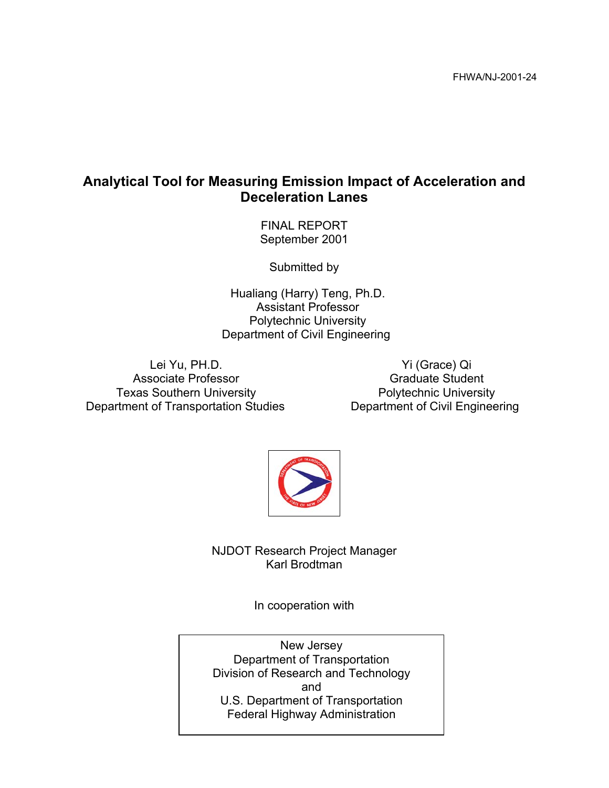## **Analytical Tool for Measuring Emission Impact of Acceleration and Deceleration Lanes**

FINAL REPORT September 2001

Submitted by

Hualiang (Harry) Teng, Ph.D. Assistant Professor Polytechnic University Department of Civil Engineering

Lei Yu, PH.D. Associate Professor Texas Southern University Department of Transportation Studies

Yi (Grace) Qi Graduate Student Polytechnic University Department of Civil Engineering



NJDOT Research Project Manager Karl Brodtman

In cooperation with

New Jersey Department of Transportation Division of Research and Technology and U.S. Department of Transportation Federal Highway Administration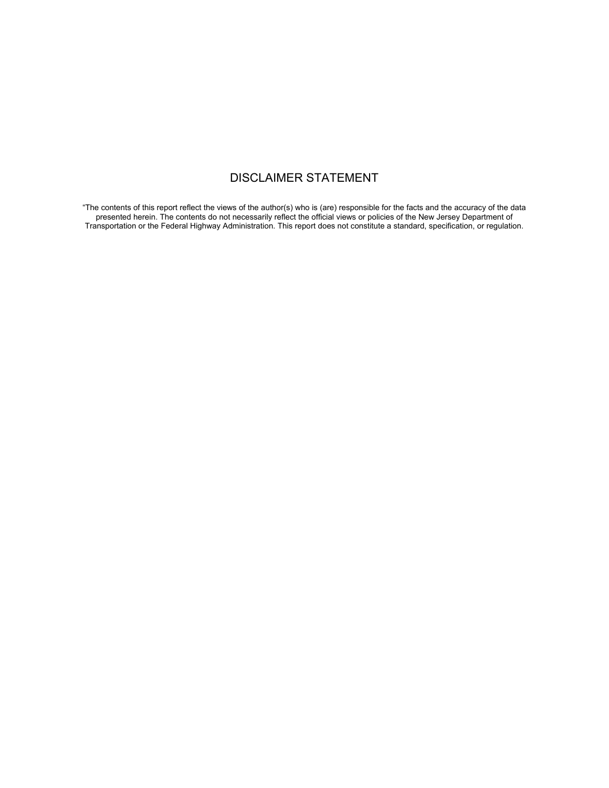### DISCLAIMER STATEMENT

"The contents of this report reflect the views of the author(s) who is (are) responsible for the facts and the accuracy of the data presented herein. The contents do not necessarily reflect the official views or policies of the New Jersey Department of Transportation or the Federal Highway Administration. This report does not constitute a standard, specification, or regulation.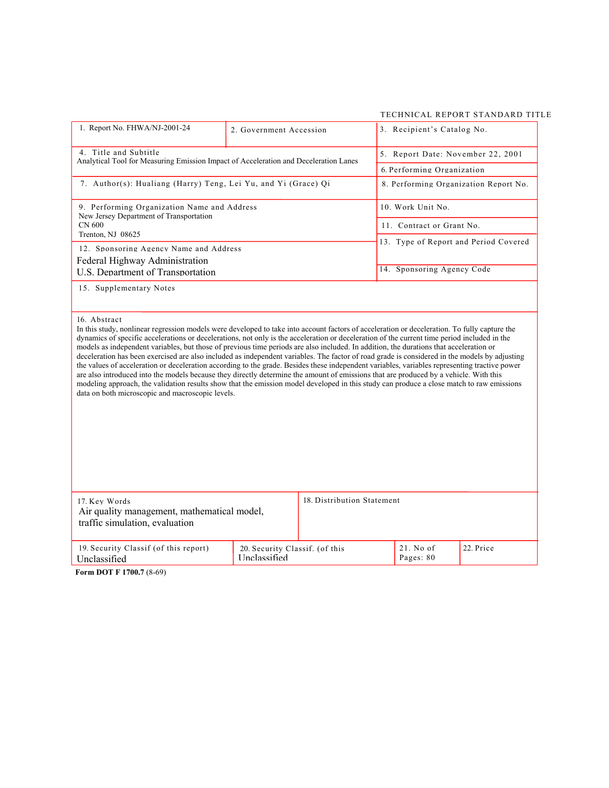#### TECHNICAL REPORT STANDARD TITLE

| 1. Report No. FHWA/NJ-2001-24                                                                                                                                                                                                                                                                                                                                                                                                                                                                                                                                                                                                                                                                                                                                                                                                                                                                                                                                                                                                                                                                      | 2. Government Accession                        |                            | 3. Recipient's Catalog No.            |           |  |
|----------------------------------------------------------------------------------------------------------------------------------------------------------------------------------------------------------------------------------------------------------------------------------------------------------------------------------------------------------------------------------------------------------------------------------------------------------------------------------------------------------------------------------------------------------------------------------------------------------------------------------------------------------------------------------------------------------------------------------------------------------------------------------------------------------------------------------------------------------------------------------------------------------------------------------------------------------------------------------------------------------------------------------------------------------------------------------------------------|------------------------------------------------|----------------------------|---------------------------------------|-----------|--|
| 4. Title and Subtitle<br>Analytical Tool for Measuring Emission Impact of Acceleration and Deceleration Lanes                                                                                                                                                                                                                                                                                                                                                                                                                                                                                                                                                                                                                                                                                                                                                                                                                                                                                                                                                                                      |                                                |                            | 5. Report Date: November 22, 2001     |           |  |
|                                                                                                                                                                                                                                                                                                                                                                                                                                                                                                                                                                                                                                                                                                                                                                                                                                                                                                                                                                                                                                                                                                    |                                                | 6. Performing Organization |                                       |           |  |
| 7. Author(s): Hualiang (Harry) Teng, Lei Yu, and Yi (Grace) Qi                                                                                                                                                                                                                                                                                                                                                                                                                                                                                                                                                                                                                                                                                                                                                                                                                                                                                                                                                                                                                                     |                                                |                            | 8. Performing Organization Report No. |           |  |
| 9. Performing Organization Name and Address<br>New Jersey Department of Transportation                                                                                                                                                                                                                                                                                                                                                                                                                                                                                                                                                                                                                                                                                                                                                                                                                                                                                                                                                                                                             |                                                | 10. Work Unit No.          |                                       |           |  |
| CN 600                                                                                                                                                                                                                                                                                                                                                                                                                                                                                                                                                                                                                                                                                                                                                                                                                                                                                                                                                                                                                                                                                             |                                                |                            | 11. Contract or Grant No.             |           |  |
| Trenton, NJ 08625                                                                                                                                                                                                                                                                                                                                                                                                                                                                                                                                                                                                                                                                                                                                                                                                                                                                                                                                                                                                                                                                                  |                                                |                            | 13. Type of Report and Period Covered |           |  |
| 12. Sponsoring Agency Name and Address                                                                                                                                                                                                                                                                                                                                                                                                                                                                                                                                                                                                                                                                                                                                                                                                                                                                                                                                                                                                                                                             |                                                |                            |                                       |           |  |
| Federal Highway Administration                                                                                                                                                                                                                                                                                                                                                                                                                                                                                                                                                                                                                                                                                                                                                                                                                                                                                                                                                                                                                                                                     |                                                |                            | 14. Sponsoring Agency Code            |           |  |
| U.S. Department of Transportation                                                                                                                                                                                                                                                                                                                                                                                                                                                                                                                                                                                                                                                                                                                                                                                                                                                                                                                                                                                                                                                                  |                                                |                            |                                       |           |  |
| 16. Abstract<br>In this study, nonlinear regression models were developed to take into account factors of acceleration or deceleration. To fully capture the<br>dynamics of specific accelerations or decelerations, not only is the acceleration or deceleration of the current time period included in the<br>models as independent variables, but those of previous time periods are also included. In addition, the durations that acceleration or<br>deceleration has been exercised are also included as independent variables. The factor of road grade is considered in the models by adjusting<br>the values of acceleration or deceleration according to the grade. Besides these independent variables, variables representing tractive power<br>are also introduced into the models because they directly determine the amount of emissions that are produced by a vehicle. With this<br>modeling approach, the validation results show that the emission model developed in this study can produce a close match to raw emissions<br>data on both microscopic and macroscopic levels. |                                                |                            |                                       |           |  |
| 17. Key Words<br>Air quality management, mathematical model,                                                                                                                                                                                                                                                                                                                                                                                                                                                                                                                                                                                                                                                                                                                                                                                                                                                                                                                                                                                                                                       |                                                | 18. Distribution Statement |                                       |           |  |
| traffic simulation, evaluation                                                                                                                                                                                                                                                                                                                                                                                                                                                                                                                                                                                                                                                                                                                                                                                                                                                                                                                                                                                                                                                                     |                                                |                            |                                       |           |  |
| 19. Security Classif (of this report)<br>Unclassified                                                                                                                                                                                                                                                                                                                                                                                                                                                                                                                                                                                                                                                                                                                                                                                                                                                                                                                                                                                                                                              | 20. Security Classif. (of this<br>Unclassified |                            | 21. No of<br>Pages: 80                | 22. Price |  |

**Form DOT F 1700.7** (8-69)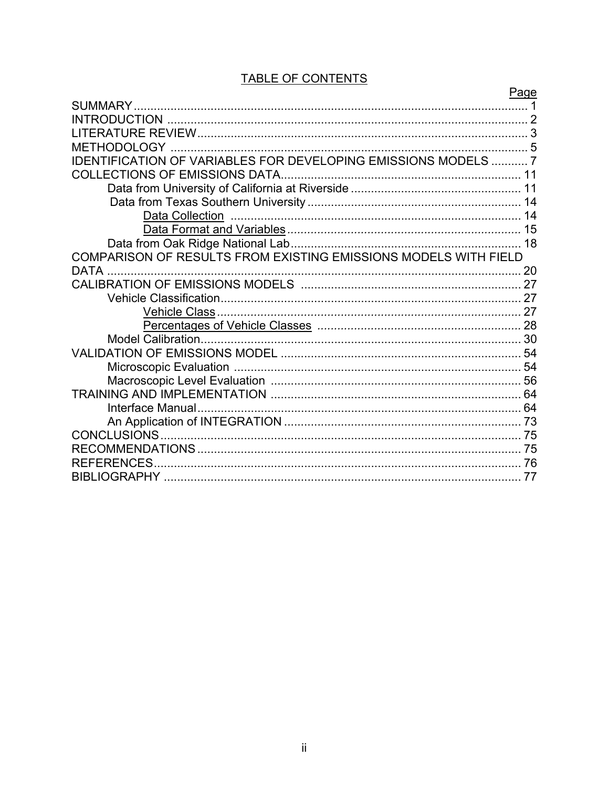|                                                                 | Page |
|-----------------------------------------------------------------|------|
| SUMMARY.                                                        |      |
| <b>INTRODUCTION</b>                                             |      |
|                                                                 |      |
| 'HODOLOGY .                                                     |      |
| IDENTIFICATION OF VARIABLES FOR DEVELOPING EMISSIONS MODELS  7  |      |
|                                                                 |      |
|                                                                 |      |
|                                                                 |      |
|                                                                 |      |
|                                                                 |      |
|                                                                 |      |
| COMPARISON OF RESULTS FROM EXISTING EMISSIONS MODELS WITH FIELD |      |
| <b>DATA</b>                                                     | 20   |
|                                                                 |      |
|                                                                 |      |
|                                                                 |      |
|                                                                 |      |
|                                                                 |      |
|                                                                 |      |
|                                                                 |      |
|                                                                 |      |
|                                                                 |      |
|                                                                 |      |
|                                                                 |      |
| CONCLUSIONS                                                     |      |
|                                                                 |      |
| <b>REFERENCES</b>                                               |      |
|                                                                 | 77   |
|                                                                 |      |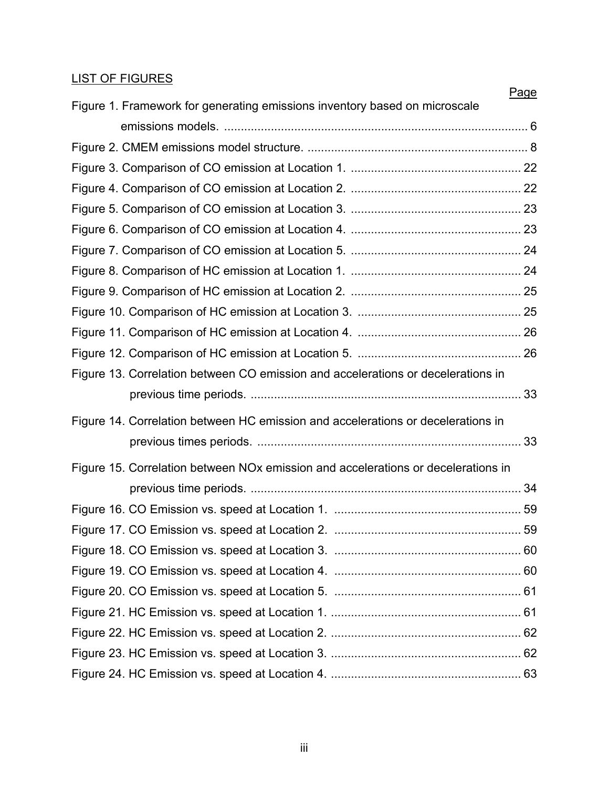### LIST OF FIGURES

| Page                                                                              |  |
|-----------------------------------------------------------------------------------|--|
| Figure 1. Framework for generating emissions inventory based on microscale        |  |
|                                                                                   |  |
|                                                                                   |  |
|                                                                                   |  |
|                                                                                   |  |
|                                                                                   |  |
|                                                                                   |  |
|                                                                                   |  |
|                                                                                   |  |
|                                                                                   |  |
|                                                                                   |  |
|                                                                                   |  |
|                                                                                   |  |
| Figure 13. Correlation between CO emission and accelerations or decelerations in  |  |
|                                                                                   |  |
| Figure 14. Correlation between HC emission and accelerations or decelerations in  |  |
|                                                                                   |  |
| Figure 15. Correlation between NOx emission and accelerations or decelerations in |  |
|                                                                                   |  |
|                                                                                   |  |
|                                                                                   |  |
|                                                                                   |  |
|                                                                                   |  |
|                                                                                   |  |
|                                                                                   |  |
|                                                                                   |  |
|                                                                                   |  |
|                                                                                   |  |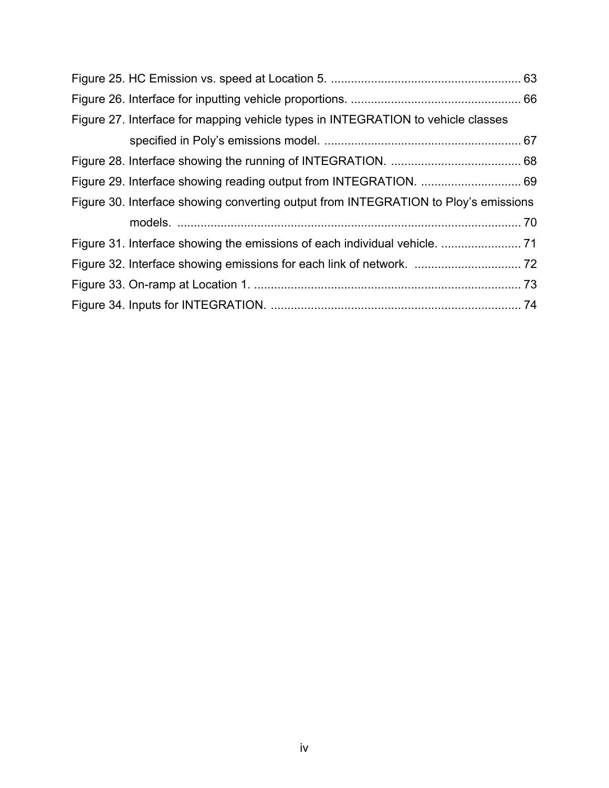| Figure 27. Interface for mapping vehicle types in INTEGRATION to vehicle classes    |  |
|-------------------------------------------------------------------------------------|--|
|                                                                                     |  |
|                                                                                     |  |
|                                                                                     |  |
| Figure 30. Interface showing converting output from INTEGRATION to Ploy's emissions |  |
|                                                                                     |  |
|                                                                                     |  |
|                                                                                     |  |
|                                                                                     |  |
|                                                                                     |  |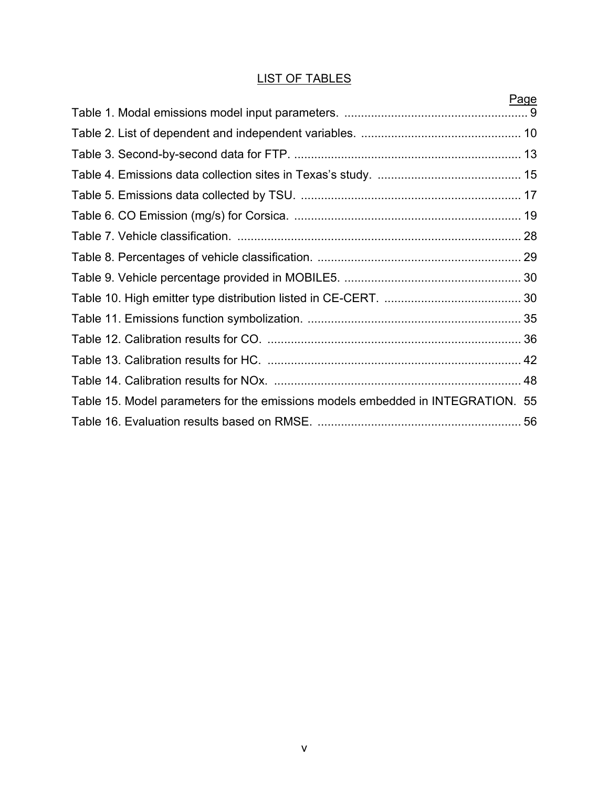### LIST OF TABLES

|                                                                                 | Page |
|---------------------------------------------------------------------------------|------|
|                                                                                 |      |
|                                                                                 |      |
|                                                                                 |      |
|                                                                                 |      |
|                                                                                 |      |
|                                                                                 |      |
|                                                                                 |      |
|                                                                                 |      |
|                                                                                 |      |
|                                                                                 |      |
|                                                                                 |      |
|                                                                                 |      |
|                                                                                 |      |
|                                                                                 |      |
| Table 15. Model parameters for the emissions models embedded in INTEGRATION. 55 |      |
|                                                                                 |      |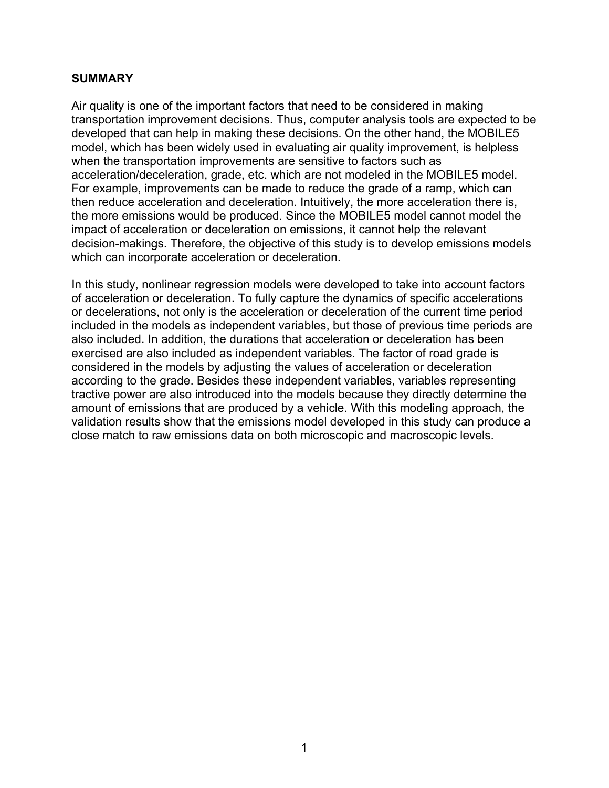#### **SUMMARY**

Air quality is one of the important factors that need to be considered in making transportation improvement decisions. Thus, computer analysis tools are expected to be developed that can help in making these decisions. On the other hand, the MOBILE5 model, which has been widely used in evaluating air quality improvement, is helpless when the transportation improvements are sensitive to factors such as acceleration/deceleration, grade, etc. which are not modeled in the MOBILE5 model. For example, improvements can be made to reduce the grade of a ramp, which can then reduce acceleration and deceleration. Intuitively, the more acceleration there is, the more emissions would be produced. Since the MOBILE5 model cannot model the impact of acceleration or deceleration on emissions, it cannot help the relevant decision-makings. Therefore, the objective of this study is to develop emissions models which can incorporate acceleration or deceleration.

In this study, nonlinear regression models were developed to take into account factors of acceleration or deceleration. To fully capture the dynamics of specific accelerations or decelerations, not only is the acceleration or deceleration of the current time period included in the models as independent variables, but those of previous time periods are also included. In addition, the durations that acceleration or deceleration has been exercised are also included as independent variables. The factor of road grade is considered in the models by adjusting the values of acceleration or deceleration according to the grade. Besides these independent variables, variables representing tractive power are also introduced into the models because they directly determine the amount of emissions that are produced by a vehicle. With this modeling approach, the validation results show that the emissions model developed in this study can produce a close match to raw emissions data on both microscopic and macroscopic levels.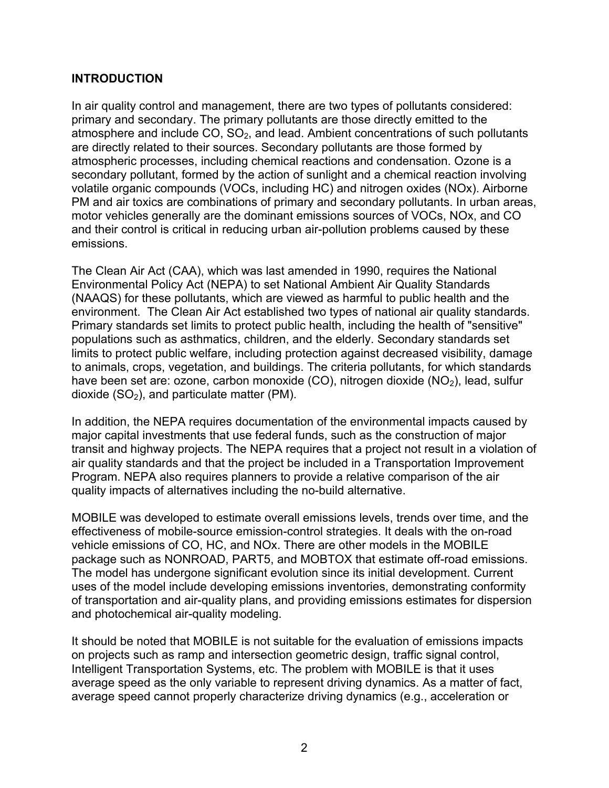#### **INTRODUCTION**

In air quality control and management, there are two types of pollutants considered: primary and secondary. The primary pollutants are those directly emitted to the atmosphere and include  $CO$ ,  $SO<sub>2</sub>$ , and lead. Ambient concentrations of such pollutants are directly related to their sources. Secondary pollutants are those formed by atmospheric processes, including chemical reactions and condensation. Ozone is a secondary pollutant, formed by the action of sunlight and a chemical reaction involving volatile organic compounds (VOCs, including HC) and nitrogen oxides (NOx). Airborne PM and air toxics are combinations of primary and secondary pollutants. In urban areas, motor vehicles generally are the dominant emissions sources of VOCs, NOx, and CO and their control is critical in reducing urban air-pollution problems caused by these emissions.

The Clean Air Act (CAA), which was last amended in 1990, requires the National Environmental Policy Act (NEPA) to set National Ambient Air Quality Standards (NAAQS) for these pollutants, which are viewed as harmful to public health and the environment. The Clean Air Act established two types of national air quality standards. Primary standards set limits to protect public health, including the health of "sensitive" populations such as asthmatics, children, and the elderly. Secondary standards set limits to protect public welfare, including protection against decreased visibility, damage to animals, crops, vegetation, and buildings. The criteria pollutants, for which standards have been set are: ozone, carbon monoxide (CO), nitrogen dioxide  $(NO<sub>2</sub>)$ , lead, sulfur dioxide  $(SO<sub>2</sub>)$ , and particulate matter (PM).

In addition, the NEPA requires documentation of the environmental impacts caused by major capital investments that use federal funds, such as the construction of major transit and highway projects. The NEPA requires that a project not result in a violation of air quality standards and that the project be included in a Transportation Improvement Program. NEPA also requires planners to provide a relative comparison of the air quality impacts of alternatives including the no-build alternative.

MOBILE was developed to estimate overall emissions levels, trends over time, and the effectiveness of mobile-source emission-control strategies. It deals with the on-road vehicle emissions of CO, HC, and NOx. There are other models in the MOBILE package such as NONROAD, PART5, and MOBTOX that estimate off-road emissions. The model has undergone significant evolution since its initial development. Current uses of the model include developing emissions inventories, demonstrating conformity of transportation and air-quality plans, and providing emissions estimates for dispersion and photochemical air-quality modeling.

It should be noted that MOBILE is not suitable for the evaluation of emissions impacts on projects such as ramp and intersection geometric design, traffic signal control, Intelligent Transportation Systems, etc. The problem with MOBILE is that it uses average speed as the only variable to represent driving dynamics. As a matter of fact, average speed cannot properly characterize driving dynamics (e.g., acceleration or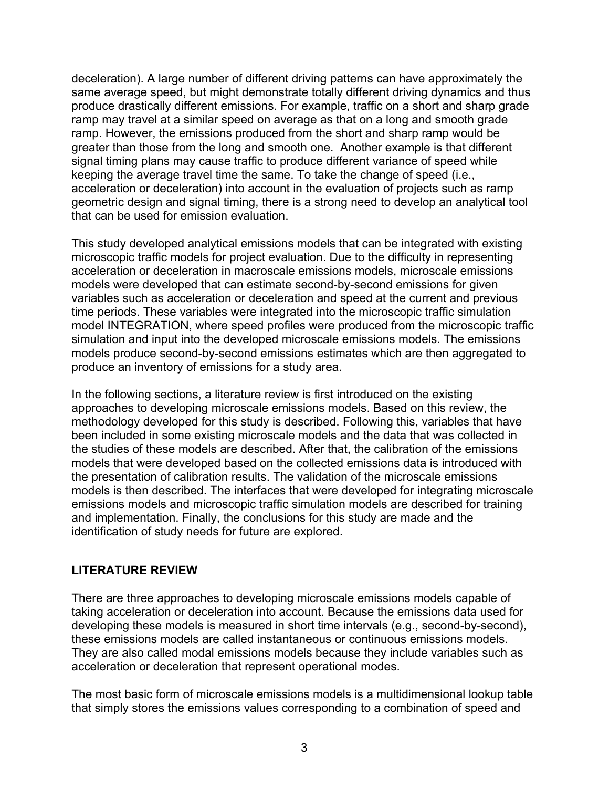deceleration). A large number of different driving patterns can have approximately the same average speed, but might demonstrate totally different driving dynamics and thus produce drastically different emissions. For example, traffic on a short and sharp grade ramp may travel at a similar speed on average as that on a long and smooth grade ramp. However, the emissions produced from the short and sharp ramp would be greater than those from the long and smooth one. Another example is that different signal timing plans may cause traffic to produce different variance of speed while keeping the average travel time the same. To take the change of speed (i.e., acceleration or deceleration) into account in the evaluation of projects such as ramp geometric design and signal timing, there is a strong need to develop an analytical tool that can be used for emission evaluation.

This study developed analytical emissions models that can be integrated with existing microscopic traffic models for project evaluation. Due to the difficulty in representing acceleration or deceleration in macroscale emissions models, microscale emissions models were developed that can estimate second-by-second emissions for given variables such as acceleration or deceleration and speed at the current and previous time periods. These variables were integrated into the microscopic traffic simulation model INTEGRATION, where speed profiles were produced from the microscopic traffic simulation and input into the developed microscale emissions models. The emissions models produce second-by-second emissions estimates which are then aggregated to produce an inventory of emissions for a study area.

In the following sections, a literature review is first introduced on the existing approaches to developing microscale emissions models. Based on this review, the methodology developed for this study is described. Following this, variables that have been included in some existing microscale models and the data that was collected in the studies of these models are described. After that, the calibration of the emissions models that were developed based on the collected emissions data is introduced with the presentation of calibration results. The validation of the microscale emissions models is then described. The interfaces that were developed for integrating microscale emissions models and microscopic traffic simulation models are described for training and implementation. Finally, the conclusions for this study are made and the identification of study needs for future are explored.

#### **LITERATURE REVIEW**

There are three approaches to developing microscale emissions models capable of taking acceleration or deceleration into account. Because the emissions data used for developing these models is measured in short time intervals (e.g., second-by-second), these emissions models are called instantaneous or continuous emissions models. They are also called modal emissions models because they include variables such as acceleration or deceleration that represent operational modes.

The most basic form of microscale emissions models is a multidimensional lookup table that simply stores the emissions values corresponding to a combination of speed and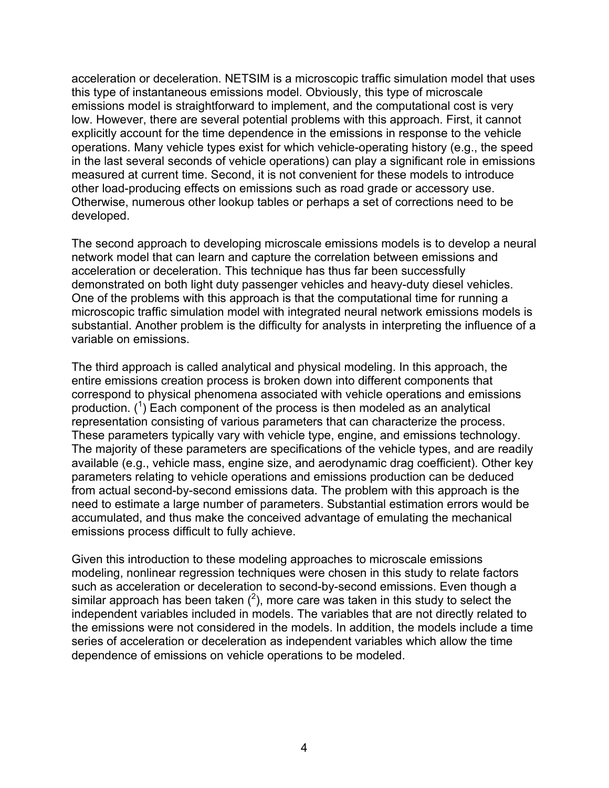acceleration or deceleration. NETSIM is a microscopic traffic simulation model that uses this type of instantaneous emissions model. Obviously, this type of microscale emissions model is straightforward to implement, and the computational cost is very low. However, there are several potential problems with this approach. First, it cannot explicitly account for the time dependence in the emissions in response to the vehicle operations. Many vehicle types exist for which vehicle-operating history (e.g., the speed in the last several seconds of vehicle operations) can play a significant role in emissions measured at current time. Second, it is not convenient for these models to introduce other load-producing effects on emissions such as road grade or accessory use. Otherwise, numerous other lookup tables or perhaps a set of corrections need to be developed.

The second approach to developing microscale emissions models is to develop a neural network model that can learn and capture the correlation between emissions and acceleration or deceleration. This technique has thus far been successfully demonstrated on both light duty passenger vehicles and heavy-duty diesel vehicles. One of the problems with this approach is that the computational time for running a microscopic traffic simulation model with integrated neural network emissions models is substantial. Another problem is the difficulty for analysts in interpreting the influence of a variable on emissions.

The third approach is called analytical and physical modeling. In this approach, the entire emissions creation process is broken down into different components that correspond to physical phenomena associated with vehicle operations and emissions production.  $(1)$  Each component of the process is then modeled as an analytical representation consisting of various parameters that can characterize the process. These parameters typically vary with vehicle type, engine, and emissions technology. The majority of these parameters are specifications of the vehicle types, and are readily available (e.g., vehicle mass, engine size, and aerodynamic drag coefficient). Other key parameters relating to vehicle operations and emissions production can be deduced from actual second-by-second emissions data. The problem with this approach is the need to estimate a large number of parameters. Substantial estimation errors would be accumulated, and thus make the conceived advantage of emulating the mechanical emissions process difficult to fully achieve.

Given this introduction to these modeling approaches to microscale emissions modeling, nonlinear regression techniques were chosen in this study to relate factors such as acceleration or deceleration to second-by-second emissions. Even though a similar approach has been taken  $(2)$ , more care was taken in this study to select the independent variables included in models. The variables that are not directly related to the emissions were not considered in the models. In addition, the models include a time series of acceleration or deceleration as independent variables which allow the time dependence of emissions on vehicle operations to be modeled.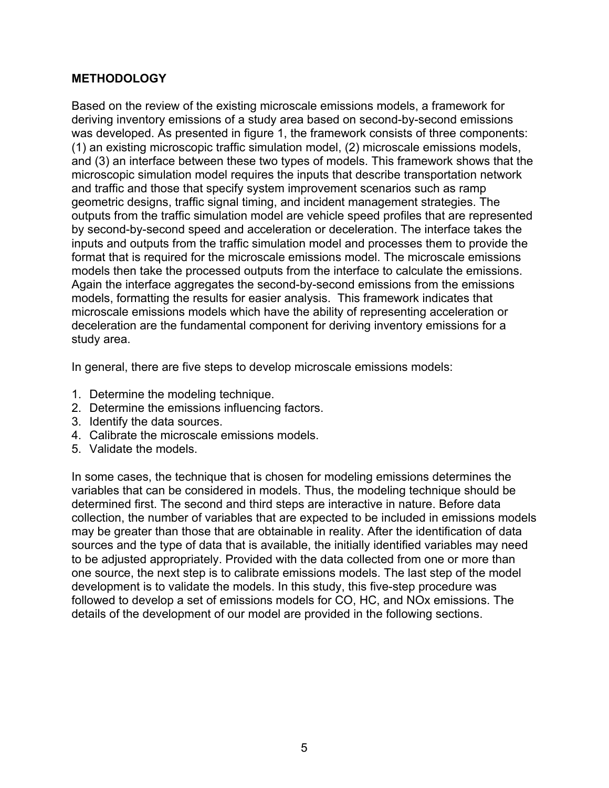#### **METHODOLOGY**

Based on the review of the existing microscale emissions models, a framework for deriving inventory emissions of a study area based on second-by-second emissions was developed. As presented in figure 1, the framework consists of three components: (1) an existing microscopic traffic simulation model, (2) microscale emissions models, and (3) an interface between these two types of models. This framework shows that the microscopic simulation model requires the inputs that describe transportation network and traffic and those that specify system improvement scenarios such as ramp geometric designs, traffic signal timing, and incident management strategies. The outputs from the traffic simulation model are vehicle speed profiles that are represented by second-by-second speed and acceleration or deceleration. The interface takes the inputs and outputs from the traffic simulation model and processes them to provide the format that is required for the microscale emissions model. The microscale emissions models then take the processed outputs from the interface to calculate the emissions. Again the interface aggregates the second-by-second emissions from the emissions models, formatting the results for easier analysis. This framework indicates that microscale emissions models which have the ability of representing acceleration or deceleration are the fundamental component for deriving inventory emissions for a study area.

In general, there are five steps to develop microscale emissions models:

- 1. Determine the modeling technique.
- 2. Determine the emissions influencing factors.
- 3. Identify the data sources.
- 4. Calibrate the microscale emissions models.
- 5. Validate the models.

In some cases, the technique that is chosen for modeling emissions determines the variables that can be considered in models. Thus, the modeling technique should be determined first. The second and third steps are interactive in nature. Before data collection, the number of variables that are expected to be included in emissions models may be greater than those that are obtainable in reality. After the identification of data sources and the type of data that is available, the initially identified variables may need to be adjusted appropriately. Provided with the data collected from one or more than one source, the next step is to calibrate emissions models. The last step of the model development is to validate the models. In this study, this five-step procedure was followed to develop a set of emissions models for CO, HC, and NOx emissions. The details of the development of our model are provided in the following sections.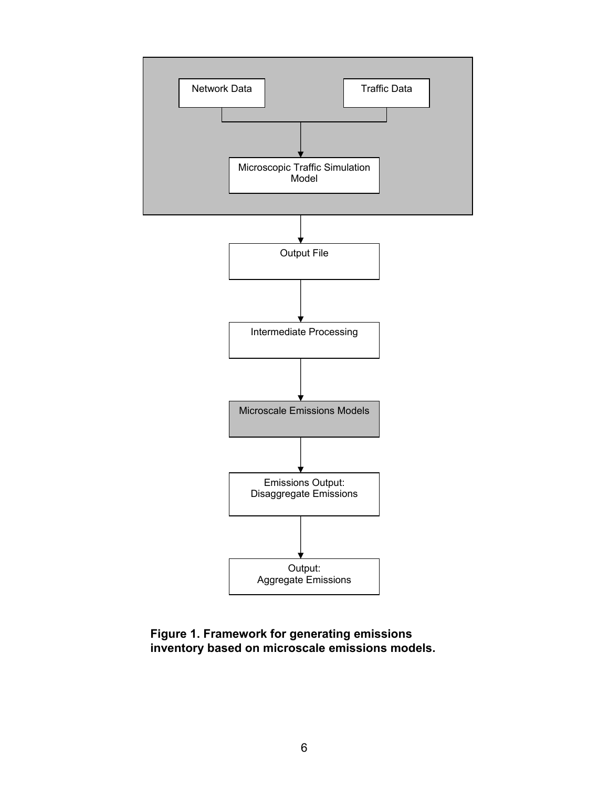

#### **Figure 1. Framework for generating emissions inventory based on microscale emissions models.**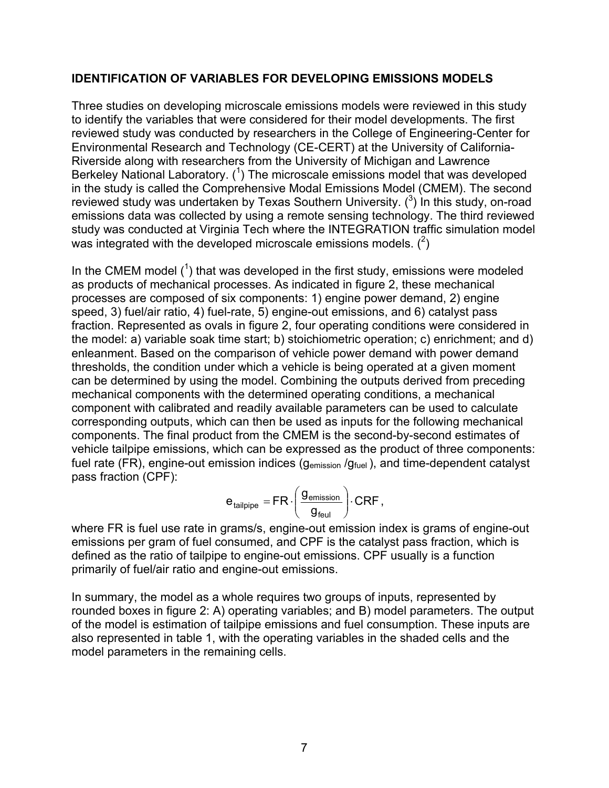#### **IDENTIFICATION OF VARIABLES FOR DEVELOPING EMISSIONS MODELS**

Three studies on developing microscale emissions models were reviewed in this study to identify the variables that were considered for their model developments. The first reviewed study was conducted by researchers in the College of Engineering-Center for Environmental Research and Technology (CE-CERT) at the University of California-Riverside along with researchers from the University of Michigan and Lawrence Berkeley National Laboratory.  $(1)$  The microscale emissions model that was developed in the study is called the Comprehensive Modal Emissions Model (CMEM). The second reviewed study was undertaken by Texas Southern University.  $(^3)$  in this study, on-road emissions data was collected by using a remote sensing technology. The third reviewed study was conducted at Virginia Tech where the INTEGRATION traffic simulation model was integrated with the developed microscale emissions models.  $(^2)$ 

In the CMEM model  $(1)$  that was developed in the first study, emissions were modeled as products of mechanical processes. As indicated in figure 2, these mechanical processes are composed of six components: 1) engine power demand, 2) engine speed, 3) fuel/air ratio, 4) fuel-rate, 5) engine-out emissions, and 6) catalyst pass fraction. Represented as ovals in figure 2, four operating conditions were considered in the model: a) variable soak time start; b) stoichiometric operation; c) enrichment; and d) enleanment. Based on the comparison of vehicle power demand with power demand thresholds, the condition under which a vehicle is being operated at a given moment can be determined by using the model. Combining the outputs derived from preceding mechanical components with the determined operating conditions, a mechanical component with calibrated and readily available parameters can be used to calculate corresponding outputs, which can then be used as inputs for the following mechanical components. The final product from the CMEM is the second-by-second estimates of vehicle tailpipe emissions, which can be expressed as the product of three components: fuel rate (FR), engine-out emission indices ( $g<sub>emission</sub> / g<sub>fuel</sub>$ ), and time-dependent catalyst pass fraction (CPF):

$$
e_{\text{tailpipe}} = FR \cdot \left(\frac{g_{\text{emission}}}{g_{\text{feul}}}\right) \cdot CRF,
$$

where FR is fuel use rate in grams/s, engine-out emission index is grams of engine-out emissions per gram of fuel consumed, and CPF is the catalyst pass fraction, which is defined as the ratio of tailpipe to engine-out emissions. CPF usually is a function primarily of fuel/air ratio and engine-out emissions.

In summary, the model as a whole requires two groups of inputs, represented by rounded boxes in figure 2: A) operating variables; and B) model parameters. The output of the model is estimation of tailpipe emissions and fuel consumption. These inputs are also represented in table 1, with the operating variables in the shaded cells and the model parameters in the remaining cells.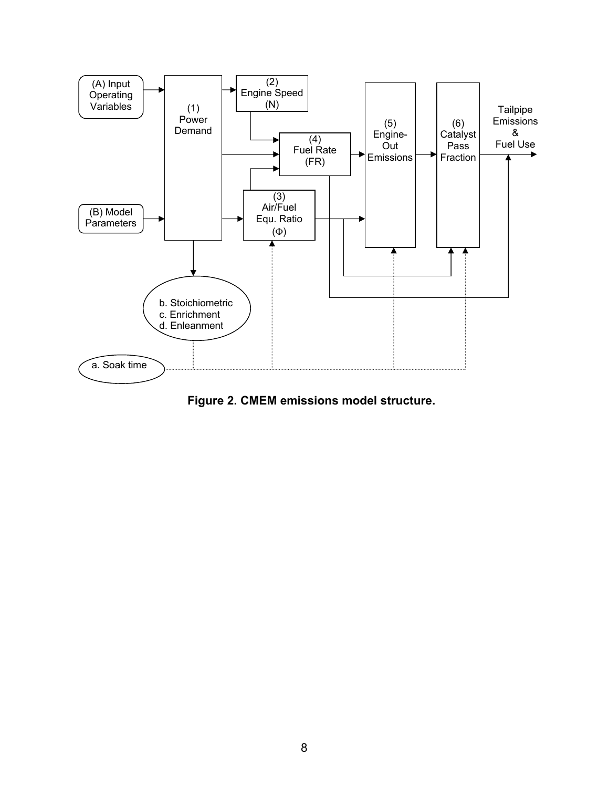

**Figure 2. CMEM emissions model structure.**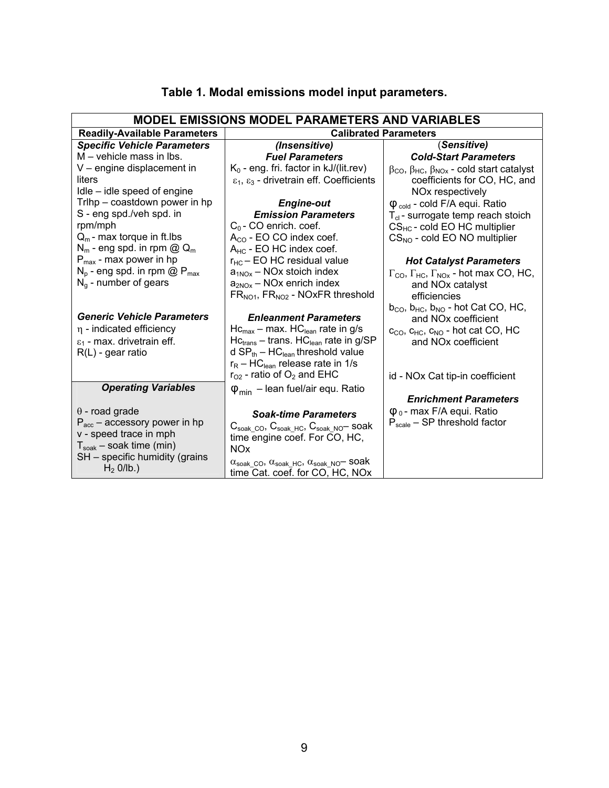| <b>MODEL EMISSIONS MODEL PARAMETERS AND VARIABLES</b> |                                                                                                                              |                                                                                              |  |  |
|-------------------------------------------------------|------------------------------------------------------------------------------------------------------------------------------|----------------------------------------------------------------------------------------------|--|--|
| <b>Readily-Available Parameters</b>                   |                                                                                                                              | <b>Calibrated Parameters</b>                                                                 |  |  |
| <b>Specific Vehicle Parameters</b>                    | (Insensitive)                                                                                                                | (Sensitive)                                                                                  |  |  |
| M – vehicle mass in lbs.                              | <b>Fuel Parameters</b>                                                                                                       | <b>Cold-Start Parameters</b>                                                                 |  |  |
| V - engine displacement in                            | $K_0$ - eng. fri. factor in kJ/(lit.rev)                                                                                     | $\beta$ <sub>CO</sub> , $\beta$ <sub>HC</sub> , $\beta$ <sub>NOx</sub> - cold start catalyst |  |  |
| liters                                                | $\varepsilon_1$ , $\varepsilon_3$ - drivetrain eff. Coefficients                                                             | coefficients for CO, HC, and                                                                 |  |  |
| Idle – idle speed of engine                           |                                                                                                                              | NO <sub>x</sub> respectively                                                                 |  |  |
| Trihp - coastdown power in hp                         | <b>Engine-out</b>                                                                                                            | $\phi_{\text{cold}}$ - cold F/A equi. Ratio                                                  |  |  |
| S - eng spd./veh spd. in                              | <b>Emission Parameters</b>                                                                                                   | $T_{cl}$ - surrogate temp reach stoich                                                       |  |  |
| rpm/mph                                               | $C_0$ - CO enrich. coef.                                                                                                     | $CS_{HC}$ - cold EO HC multiplier                                                            |  |  |
| $Q_m$ - max torque in ft.lbs                          | $A_{CO}$ - EO CO index coef.                                                                                                 | $CS_{NO}$ - cold EO NO multiplier                                                            |  |  |
| $N_m$ - eng spd. in rpm @ $Q_m$                       | $A_{HC}$ - EO HC index coef.                                                                                                 |                                                                                              |  |  |
| $P_{\text{max}}$ - max power in hp                    | $r_{HC}$ EO HC residual value                                                                                                | <b>Hot Catalyst Parameters</b>                                                               |  |  |
| $N_p$ - eng spd. in rpm @ $P_{max}$                   | $a_{1NOx}$ – NOx stoich index                                                                                                | $\Gamma_{\text{CO}}$ , $\Gamma_{\text{HC}}$ , $\Gamma_{\text{NOx}}$ - hot max CO, HC,        |  |  |
| $N_g$ - number of gears                               | $a_{2NOx}$ – NOx enrich index                                                                                                | and NO <sub>x</sub> catalyst                                                                 |  |  |
|                                                       | $FR_{NO1}$ , $FR_{NO2}$ - NOxFR threshold                                                                                    | efficiencies                                                                                 |  |  |
| <b>Generic Vehicle Parameters</b>                     | <b>Enleanment Parameters</b>                                                                                                 | $b_{CO}$ , $b_{HC}$ , $b_{NO}$ - hot Cat CO, HC,                                             |  |  |
| $\eta$ - indicated efficiency                         | $HC_{max}$ – max. HC <sub>lean</sub> rate in g/s                                                                             | and NO <sub>x</sub> coefficient                                                              |  |  |
| $\varepsilon_1$ - max. drivetrain eff.                | $HCtrans - trans. HClean rate in g/SP$                                                                                       | $c_{CO}$ , $c_{HC}$ , $c_{NO}$ - hot cat CO, HC<br>and NO <sub>x</sub> coefficient           |  |  |
| $R(L)$ - gear ratio                                   | d $SP_{th}$ – HC <sub>lean</sub> threshold value                                                                             |                                                                                              |  |  |
|                                                       | $r_R$ – HC <sub>lean</sub> release rate in 1/s                                                                               |                                                                                              |  |  |
|                                                       | $r_{O2}$ - ratio of $O_2$ and EHC                                                                                            | id - NOx Cat tip-in coefficient                                                              |  |  |
| <b>Operating Variables</b>                            | $\varphi_{\text{min}}$ – lean fuel/air equ. Ratio                                                                            |                                                                                              |  |  |
|                                                       |                                                                                                                              | <b>Enrichment Parameters</b>                                                                 |  |  |
| $\theta$ - road grade                                 | <b>Soak-time Parameters</b>                                                                                                  | $\phi_0$ - max F/A equi. Ratio                                                               |  |  |
| $P_{\text{acc}}$ – accessory power in hp              |                                                                                                                              | $P_{scale}$ – SP threshold factor                                                            |  |  |
| v - speed trace in mph                                | $C_{\text{soak CO}}$ , $C_{\text{soak HC}}$ , $C_{\text{soak NO}}$ soak<br>time engine coef. For CO, HC,                     |                                                                                              |  |  |
| $T_{\text{soak}}$ – soak time (min)                   | <b>NO<sub>x</sub></b>                                                                                                        |                                                                                              |  |  |
| SH - specific humidity (grains                        |                                                                                                                              |                                                                                              |  |  |
| $H_2$ O/Ib.)                                          | $\alpha_{\text{soak\_CO}}$ , $\alpha_{\text{soak\_HC}}$ , $\alpha_{\text{soak\_NO}}$ soak<br>time Cat. coef. for CO, HC, NOx |                                                                                              |  |  |

## **Table 1. Modal emissions model input parameters.**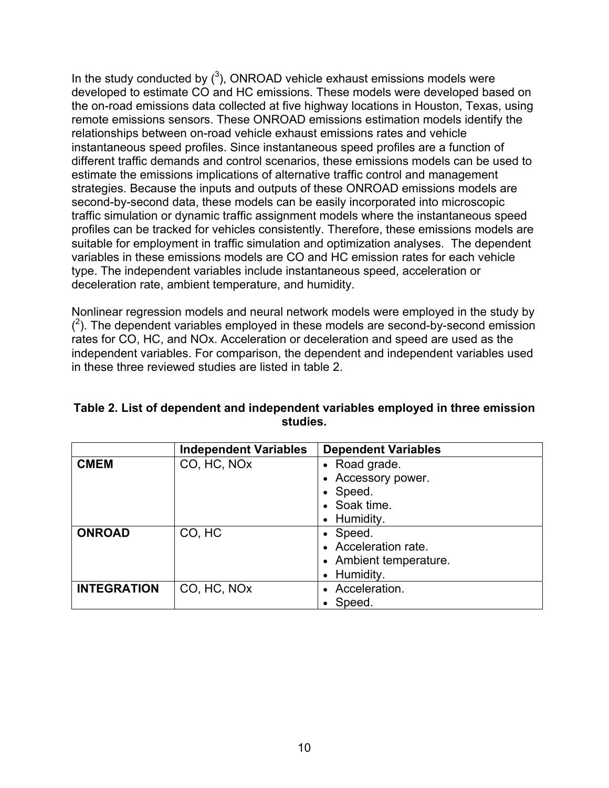In the study conducted by  $(^3)$ , ONROAD vehicle exhaust emissions models were developed to estimate CO and HC emissions. These models were developed based on the on-road emissions data collected at five highway locations in Houston, Texas, using remote emissions sensors. These ONROAD emissions estimation models identify the relationships between on-road vehicle exhaust emissions rates and vehicle instantaneous speed profiles. Since instantaneous speed profiles are a function of different traffic demands and control scenarios, these emissions models can be used to estimate the emissions implications of alternative traffic control and management strategies. Because the inputs and outputs of these ONROAD emissions models are second-by-second data, these models can be easily incorporated into microscopic traffic simulation or dynamic traffic assignment models where the instantaneous speed profiles can be tracked for vehicles consistently. Therefore, these emissions models are suitable for employment in traffic simulation and optimization analyses. The dependent variables in these emissions models are CO and HC emission rates for each vehicle type. The independent variables include instantaneous speed, acceleration or deceleration rate, ambient temperature, and humidity.

Nonlinear regression models and neural network models were employed in the study by  $(2)$ . The dependent variables employed in these models are second-by-second emission rates for CO, HC, and NOx. Acceleration or deceleration and speed are used as the independent variables. For comparison, the dependent and independent variables used in these three reviewed studies are listed in table 2.

|                    | <b>Independent Variables</b> | <b>Dependent Variables</b> |
|--------------------|------------------------------|----------------------------|
| <b>CMEM</b>        | CO, HC, NOx                  | • Road grade.              |
|                    |                              | • Accessory power.         |
|                    |                              | • Speed.                   |
|                    |                              | • Soak time.               |
|                    |                              | • Humidity.                |
| <b>ONROAD</b>      | CO, HC                       | • Speed.                   |
|                    |                              | • Acceleration rate.       |
|                    |                              | • Ambient temperature.     |
|                    |                              | • Humidity.                |
| <b>INTEGRATION</b> | CO, HC, NO <sub>x</sub>      | • Acceleration.            |
|                    |                              | $\bullet$ Speed.           |

#### **Table 2. List of dependent and independent variables employed in three emission studies.**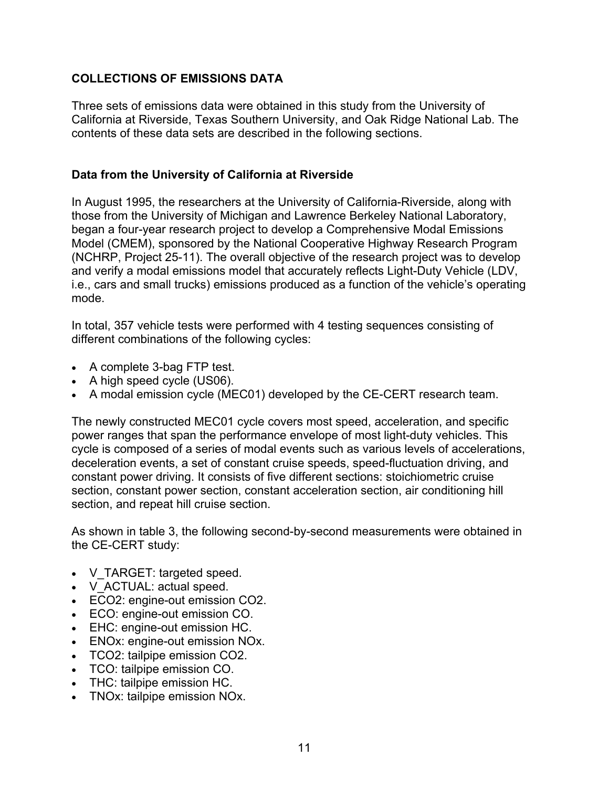### **COLLECTIONS OF EMISSIONS DATA**

Three sets of emissions data were obtained in this study from the University of California at Riverside, Texas Southern University, and Oak Ridge National Lab. The contents of these data sets are described in the following sections.

### **Data from the University of California at Riverside**

In August 1995, the researchers at the University of California-Riverside, along with those from the University of Michigan and Lawrence Berkeley National Laboratory, began a four-year research project to develop a Comprehensive Modal Emissions Model (CMEM), sponsored by the National Cooperative Highway Research Program (NCHRP, Project 25-11). The overall objective of the research project was to develop and verify a modal emissions model that accurately reflects Light-Duty Vehicle (LDV, i.e., cars and small trucks) emissions produced as a function of the vehicle's operating mode.

In total, 357 vehicle tests were performed with 4 testing sequences consisting of different combinations of the following cycles:

- A complete 3-bag FTP test.
- A high speed cycle (US06).
- A modal emission cycle (MEC01) developed by the CE-CERT research team.

The newly constructed MEC01 cycle covers most speed, acceleration, and specific power ranges that span the performance envelope of most light-duty vehicles. This cycle is composed of a series of modal events such as various levels of accelerations, deceleration events, a set of constant cruise speeds, speed-fluctuation driving, and constant power driving. It consists of five different sections: stoichiometric cruise section, constant power section, constant acceleration section, air conditioning hill section, and repeat hill cruise section.

As shown in table 3, the following second-by-second measurements were obtained in the CE-CERT study:

- V\_TARGET: targeted speed.
- V\_ACTUAL: actual speed.
- ECO2: engine-out emission CO2.
- ECO: engine-out emission CO.
- EHC: engine-out emission HC.
- ENOx: engine-out emission NOx.
- TCO2: tailpipe emission CO2.
- TCO: tailpipe emission CO.
- THC: tailpipe emission HC.
- TNOx: tailpipe emission NOx.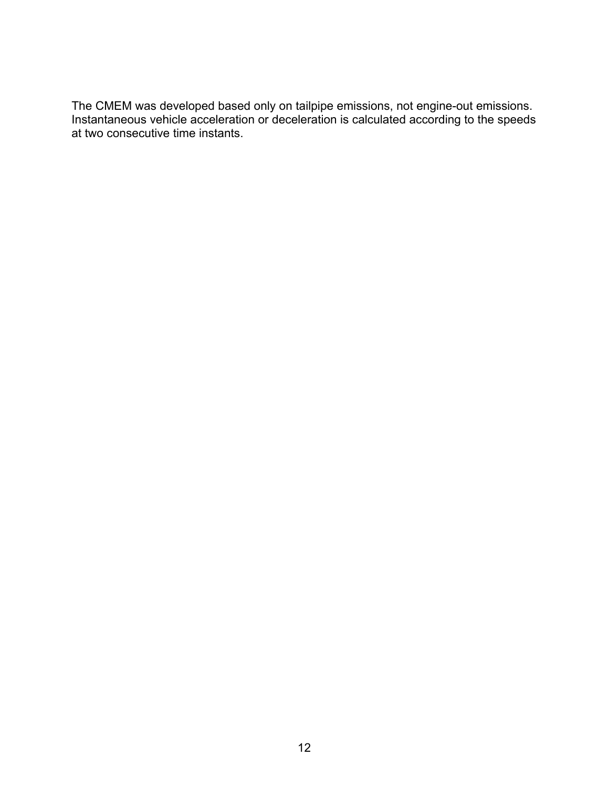The CMEM was developed based only on tailpipe emissions, not engine-out emissions. Instantaneous vehicle acceleration or deceleration is calculated according to the speeds at two consecutive time instants.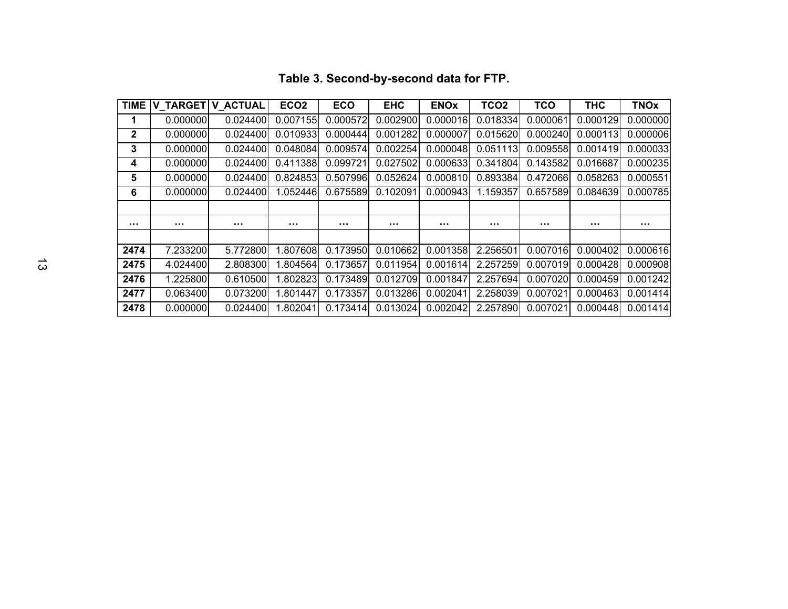| <b>TIME</b>  |          | V_TARGET   V_ACTUAL | ECO <sub>2</sub> | <b>ECO</b> | <b>EHC</b> | <b>ENOx</b>   | TCO <sub>2</sub> | <b>TCO</b>    | <b>THC</b> | <b>TNOx</b>   |
|--------------|----------|---------------------|------------------|------------|------------|---------------|------------------|---------------|------------|---------------|
|              | 0.000000 | 0.024400            | 0.007155         | 0.000572   | 0.002900   | 0.000016      | 0.018334         | 0.000061      | 0.000129   | 0.000000      |
| $\mathbf{2}$ | 0.000000 | 0.024400            | 0.010933         | 0.000444   | 0.001282   | 0.000007      | 0.015620         | 0.000240      | 0.000113   | 0.000006      |
| 3            | 0.000000 | 0.024400            | 0.048084         | 0.009574   | 0.002254   | 0.000048      | 0.051113         | 0.009558      | 0.001419   | 0.000033      |
| 4            | 0.000000 | 0.024400            | 0.411388         | 0.099721   | 0.027502   | 0.000633      | 0.341804         | 0.143582      | 0.016687   | 0.000235      |
| 5            | 0.000000 | 0.024400            | 0.824853         | 0.507996   | 0.052624   | 0.000810      | 0.893384         | 0.472066      | 0.058263   | 0.000551      |
| 6            | 0.000000 | 0.024400            | 1.052446         | 0.675589   | 0.102091   | 0.000943      | 1.159357         | 0.657589      | 0.084639   | 0.000785      |
|              |          |                     |                  |            |            |               |                  |               |            |               |
| $\cdots$     |          |                     | $\sim$ $\sim$    | $\cdots$   |            | $\sim$ $\sim$ | $\sim$ $\sim$    | $\sim$ $\sim$ | $\cdots$   | $\sim$ $\sim$ |
|              |          |                     |                  |            |            |               |                  |               |            |               |
| 2474         | 7.233200 | 5.772800            | 1.807608         | 0.173950   | 0.010662   | 0.001358      | 2.256501         | 0.007016      | 0.000402   | 0.000616      |
| 2475         | 4.024400 | 2.808300            | 1.804564         | 0.173657   | 0.011954   | 0.001614      | 2.257259         | 0.007019      | 0.000428   | 0.000908      |
| 2476         | 1.225800 | 0.610500            | 1.802823         | 0.173489   | 0.012709   | 0.001847      | 2.257694         | 0.007020      | 0.000459   | 0.001242      |
| 2477         | 0.063400 | 0.073200            | 1.801447         | 0.173357   | 0.013286   | 0.002041      | 2.258039         | 0.007021      | 0.000463   | 0.001414      |
| 2478         | 0.000000 | 0.024400            | 1.802041         | 0.173414   | 0.013024   | 0.002042      | 2.257890         | 0.007021      | 0.000448   | 0.001414      |

# **Table 3. Second-by-second data for FTP.**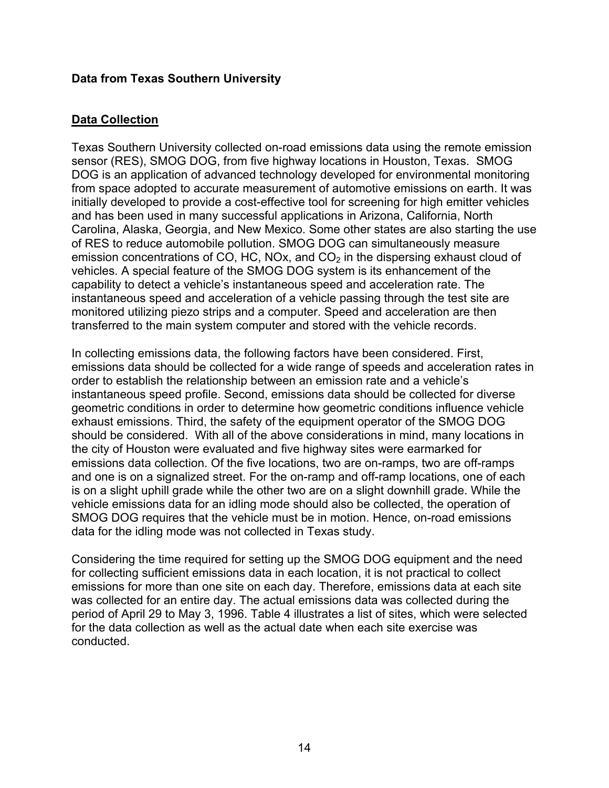#### **Data from Texas Southern University**

### **Data Collection**

Texas Southern University collected on-road emissions data using the remote emission sensor (RES), SMOG DOG, from five highway locations in Houston, Texas. SMOG DOG is an application of advanced technology developed for environmental monitoring from space adopted to accurate measurement of automotive emissions on earth. It was initially developed to provide a cost-effective tool for screening for high emitter vehicles and has been used in many successful applications in Arizona, California, North Carolina, Alaska, Georgia, and New Mexico. Some other states are also starting the use of RES to reduce automobile pollution. SMOG DOG can simultaneously measure emission concentrations of CO, HC, NOx, and  $CO<sub>2</sub>$  in the dispersing exhaust cloud of vehicles. A special feature of the SMOG DOG system is its enhancement of the capability to detect a vehicle's instantaneous speed and acceleration rate. The instantaneous speed and acceleration of a vehicle passing through the test site are monitored utilizing piezo strips and a computer. Speed and acceleration are then transferred to the main system computer and stored with the vehicle records.

In collecting emissions data, the following factors have been considered. First, emissions data should be collected for a wide range of speeds and acceleration rates in order to establish the relationship between an emission rate and a vehicle's instantaneous speed profile. Second, emissions data should be collected for diverse geometric conditions in order to determine how geometric conditions influence vehicle exhaust emissions. Third, the safety of the equipment operator of the SMOG DOG should be considered. With all of the above considerations in mind, many locations in the city of Houston were evaluated and five highway sites were earmarked for emissions data collection. Of the five locations, two are on-ramps, two are off-ramps and one is on a signalized street. For the on-ramp and off-ramp locations, one of each is on a slight uphill grade while the other two are on a slight downhill grade. While the vehicle emissions data for an idling mode should also be collected, the operation of SMOG DOG requires that the vehicle must be in motion. Hence, on-road emissions data for the idling mode was not collected in Texas study.

Considering the time required for setting up the SMOG DOG equipment and the need for collecting sufficient emissions data in each location, it is not practical to collect emissions for more than one site on each day. Therefore, emissions data at each site was collected for an entire day. The actual emissions data was collected during the period of April 29 to May 3, 1996. Table 4 illustrates a list of sites, which were selected for the data collection as well as the actual date when each site exercise was conducted.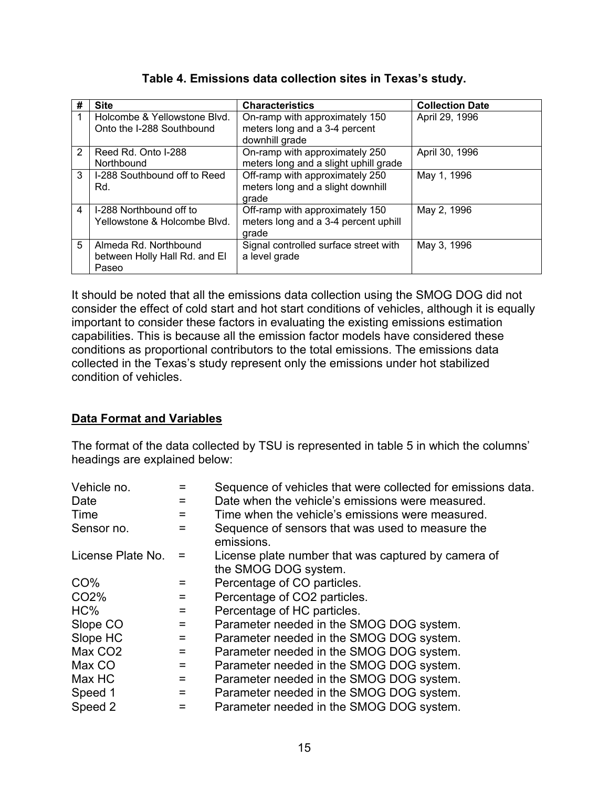| # | <b>Site</b>                                                     | <b>Characteristics</b>                                                            | <b>Collection Date</b> |
|---|-----------------------------------------------------------------|-----------------------------------------------------------------------------------|------------------------|
|   | Holcombe & Yellowstone Blvd.<br>Onto the I-288 Southbound       | On-ramp with approximately 150<br>meters long and a 3-4 percent<br>downhill grade | April 29, 1996         |
| 2 | Reed Rd. Onto I-288<br>Northbound                               | On-ramp with approximately 250<br>meters long and a slight uphill grade           | April 30, 1996         |
| 3 | I-288 Southbound off to Reed<br>Rd.                             | Off-ramp with approximately 250<br>meters long and a slight downhill<br>grade     | May 1, 1996            |
| 4 | I-288 Northbound off to<br>Yellowstone & Holcombe Blvd.         | Off-ramp with approximately 150<br>meters long and a 3-4 percent uphill<br>grade  | May 2, 1996            |
| 5 | Almeda Rd. Northbound<br>between Holly Hall Rd. and El<br>Paseo | Signal controlled surface street with<br>a level grade                            | May 3, 1996            |

#### **Table 4. Emissions data collection sites in Texas's study.**

It should be noted that all the emissions data collection using the SMOG DOG did not consider the effect of cold start and hot start conditions of vehicles, although it is equally important to consider these factors in evaluating the existing emissions estimation capabilities. This is because all the emission factor models have considered these conditions as proportional contributors to the total emissions. The emissions data collected in the Texas's study represent only the emissions under hot stabilized condition of vehicles.

#### **Data Format and Variables**

The format of the data collected by TSU is represented in table 5 in which the columns' headings are explained below:

| Vehicle no.         |     | Sequence of vehicles that were collected for emissions data.   |
|---------------------|-----|----------------------------------------------------------------|
| Date                | =   | Date when the vehicle's emissions were measured.               |
| Time                | $=$ | Time when the vehicle's emissions were measured.               |
| Sensor no.          | =   | Sequence of sensors that was used to measure the<br>emissions. |
| License Plate No.   |     | License plate number that was captured by camera of            |
|                     |     | the SMOG DOG system.                                           |
| CO%                 | =   | Percentage of CO particles.                                    |
| CO <sub>2</sub> %   | =   | Percentage of CO2 particles.                                   |
| HC%                 | =   | Percentage of HC particles.                                    |
| Slope CO            | =   | Parameter needed in the SMOG DOG system.                       |
| Slope HC            | =   | Parameter needed in the SMOG DOG system.                       |
| Max CO <sub>2</sub> | =   | Parameter needed in the SMOG DOG system.                       |
| Max CO              | =   | Parameter needed in the SMOG DOG system.                       |
| Max HC              | $=$ | Parameter needed in the SMOG DOG system.                       |
| Speed 1             | =   | Parameter needed in the SMOG DOG system.                       |
| Speed 2             | =   | Parameter needed in the SMOG DOG system.                       |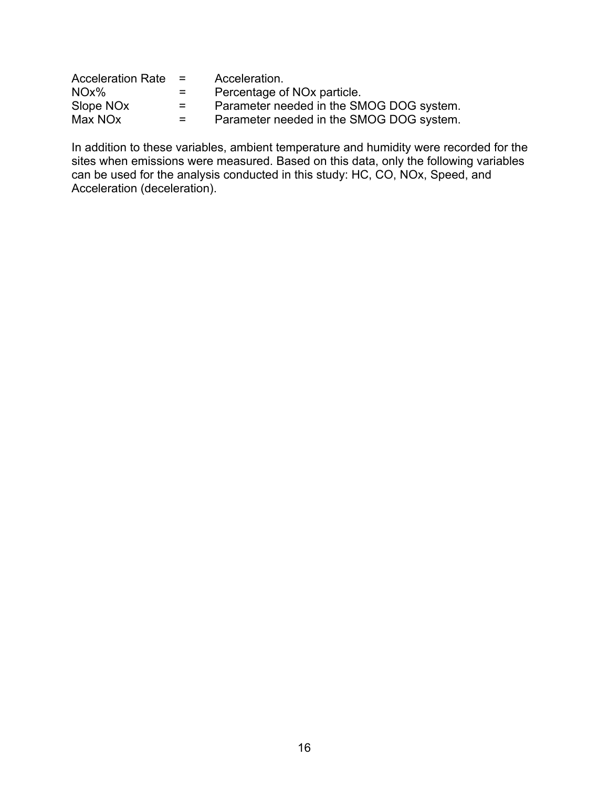| <b>Acceleration Rate</b> | $\mathbf{r}$       | Acceleration.                            |
|--------------------------|--------------------|------------------------------------------|
| $NOx\%$                  | $=$ $-$            | Percentage of NO <sub>x</sub> particle.  |
| Slope NO <sub>x</sub>    | $=$ $\blacksquare$ | Parameter needed in the SMOG DOG system. |
| Max NO <sub>x</sub>      | $=$ $-$            | Parameter needed in the SMOG DOG system. |

In addition to these variables, ambient temperature and humidity were recorded for the sites when emissions were measured. Based on this data, only the following variables can be used for the analysis conducted in this study: HC, CO, NOx, Speed, and Acceleration (deceleration).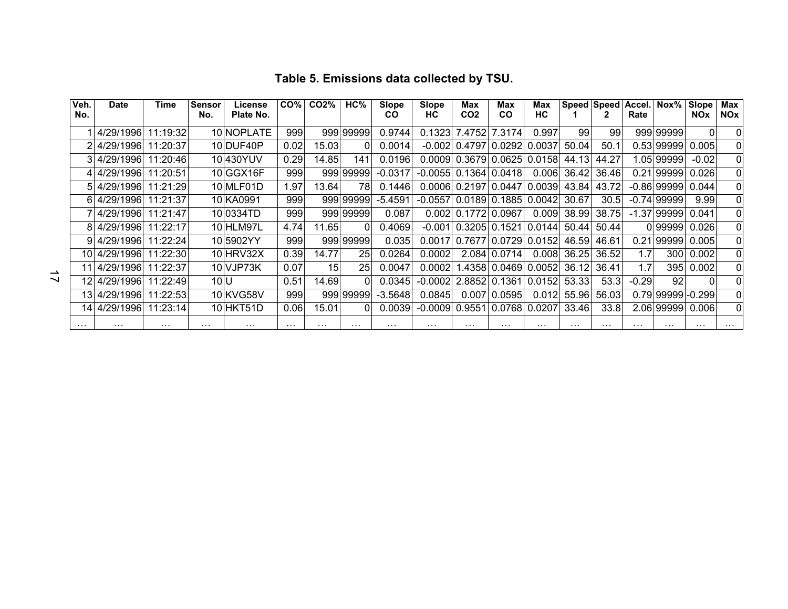| Veh.<br>No. | <b>Date</b>           | Time     | <b>Sensor</b><br>No. | License<br>Plate No. | CO%l     | CO2%     | HC%        | Slope<br>CO | <b>Slope</b><br>НC | <b>Max</b><br>CO <sub>2</sub>          | <b>Max</b><br>CO           | Max<br>HC      |          | Speed Speed | Accel. Nox%<br>Rate |               | Slope<br><b>NOx</b> | Max<br><b>NOx</b> |
|-------------|-----------------------|----------|----------------------|----------------------|----------|----------|------------|-------------|--------------------|----------------------------------------|----------------------------|----------------|----------|-------------|---------------------|---------------|---------------------|-------------------|
|             | 4/29/1996             | 11:19:32 |                      | 10 NOPLATE           | 999      |          | 999199999  | 0.9744      |                    | 0.1323 7.4752                          | 7.3174                     | 0.997          | 99       | 99          |                     | 999 999 99    |                     | $\Omega$          |
|             | 4/29/1996             | 11:20:37 |                      | 10 DUF40P            | 0.02     | 15.03    |            | 0.0014      |                    | $-0.002$ 0.4797                        | 0.0292                     | 0.0037         | 50.04    | 50.1        |                     | 0.53 99999    | 0.005               | $\Omega$          |
|             | 3 4/29/1996 11:20:46  |          |                      | 10 430YUV            | 0.29     | 14.851   | 141        | 0.0196      |                    | 0.0009 0.3679 0.0625 0.0158 44.13      |                            |                |          | 44.27       |                     | 1.05 99999    | $-0.02$             | $\Omega$          |
|             | 4 4/29/1996           | 11:20:51 |                      | 10 GGX16F            | 999      |          | 999 99999  | $-0.0317$   |                    | $-0.0055$ 0.1364 0.0418                |                            | 0.006          | 36.42    | 36.46       |                     | 0.21 99999    | 0.026               | $\Omega$          |
|             | 5 4/29/1996           | 11:21:29 |                      | 10 MLF01D            | 1.97     | 13.64    | 78         | 0.1446      |                    | 0.0006 0.2197 0.0447 0.0039            |                            |                | 43.84    | 43.72       |                     | $-0.86$ 99999 | 0.044               | $\Omega$          |
|             | 6 4/29/1996           | 11:21:37 |                      | 10 KA0991            | 999      |          | 999 999 99 | $-5.4591$   |                    | -0.0557 0.0189 0.1885 0.0042           |                            |                | 30.67    | 30.5        |                     | $-0.74$ 99999 | 9.99                | $\Omega$          |
|             | 4/29/1996             | 11:21:47 |                      | 100334TD             | 999      |          | 999 999 99 | 0.087       |                    | $0.002$ 0.1772                         | 0.0967                     | 0.009          | 38.99    | 38.75       |                     | $-1.37$ 99999 | 0.041               | $\Omega$          |
|             | 8 4/29/1996           | 11:22:17 |                      | 10 HLM97L            | 4.74     | 11.65    | $\Omega$   | 0.4069      |                    | $-0.001$ 0.3205 0.1521 0.0144 50.44    |                            |                |          | 50.44       |                     | 099999        | 0.026               | $\Omega$          |
|             | 9 4/29/1996 11:22:24  |          |                      | 10 5902YY            | 999      |          | 999 999 99 | 0.035       |                    | 0.0017 0.7677 0.0729 0.0152 46.59      |                            |                |          | 46.61       |                     | 0.21 99999    | 0.005               | ΩI                |
|             | 10 4/29/1996 11:22:30 |          |                      | 10 HRV32X            | 0.39     | 14.77    | 25         | 0.0264      | 0.0002             | 2.084                                  | 0.0714                     | 0.008          | 36.25    | 36.52       | 1.7                 | 300           | 0.002               | $\Omega$          |
|             | 11 4/29/1996 11:22:37 |          |                      | 10 VJP73K            | 0.07     | 15       | <b>25</b>  | 0.0047      | 0.0002             |                                        | 1.4358 0.0469 0.0052 36.12 |                |          | 36.41       | 1.7                 | 395           | 0.002               | $\Omega$          |
|             | 12 4/29/1996          | 11:22:49 | 10 <sup>U</sup>      |                      | 0.51     | 14.69    | $\Omega$   | 0.0345      |                    | $-0.0002$ 2.8852 0.1361                |                            | $0.0152$ 53.33 |          | 53.3        | $-0.29$             | 92            |                     | $\Omega$          |
|             | 13 4/29/1996          | 11:22:53 |                      | 10 KV G58V           | 999      |          | 999 999 99 | $-3.5648$   | 0.0845             | 0.007                                  | 0.0595                     | 0.012          | 55.96    | 56.03       |                     | 0.79 99999    | $-0.299$            | $\Omega$          |
|             | 14 4/29/1996 11:23:14 |          |                      | 10 HKT51D            | 0.06     | 15.01l   |            | 0.0039      |                    | -0.0009  0.9551  0.0768  0.0207  33.46 |                            |                |          | 33.8        |                     | 2.06 99999    | 0.006               | $\Omega$          |
| $\cdots$    | $\cdots$              | $\cdots$ | $\cdots$             | $\cdots$             | $\cdots$ | $\cdots$ | $\cdots$   | $\cdots$    | $\cdots$           | $\cdots$                               | $\cdots$                   | .              | $\cdots$ | $\cdots$    | $\cdots$            | $\cdots$      | $\cdots$            | $\cdots$          |

## **Table 5. Emissions data collected by TSU.**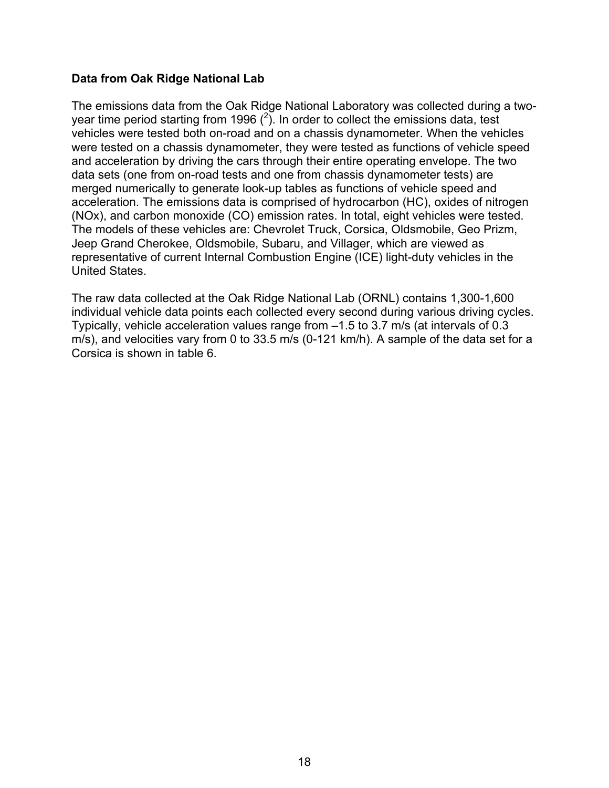#### **Data from Oak Ridge National Lab**

The emissions data from the Oak Ridge National Laboratory was collected during a twoyear time period starting from 1996  $(^2)$ . In order to collect the emissions data, test vehicles were tested both on-road and on a chassis dynamometer. When the vehicles were tested on a chassis dynamometer, they were tested as functions of vehicle speed and acceleration by driving the cars through their entire operating envelope. The two data sets (one from on-road tests and one from chassis dynamometer tests) are merged numerically to generate look-up tables as functions of vehicle speed and acceleration. The emissions data is comprised of hydrocarbon (HC), oxides of nitrogen (NOx), and carbon monoxide (CO) emission rates. In total, eight vehicles were tested. The models of these vehicles are: Chevrolet Truck, Corsica, Oldsmobile, Geo Prizm, Jeep Grand Cherokee, Oldsmobile, Subaru, and Villager, which are viewed as representative of current Internal Combustion Engine (ICE) light-duty vehicles in the United States.

The raw data collected at the Oak Ridge National Lab (ORNL) contains 1,300-1,600 individual vehicle data points each collected every second during various driving cycles. Typically, vehicle acceleration values range from –1.5 to 3.7 m/s (at intervals of 0.3 m/s), and velocities vary from 0 to 33.5 m/s (0-121 km/h). A sample of the data set for a Corsica is shown in table 6.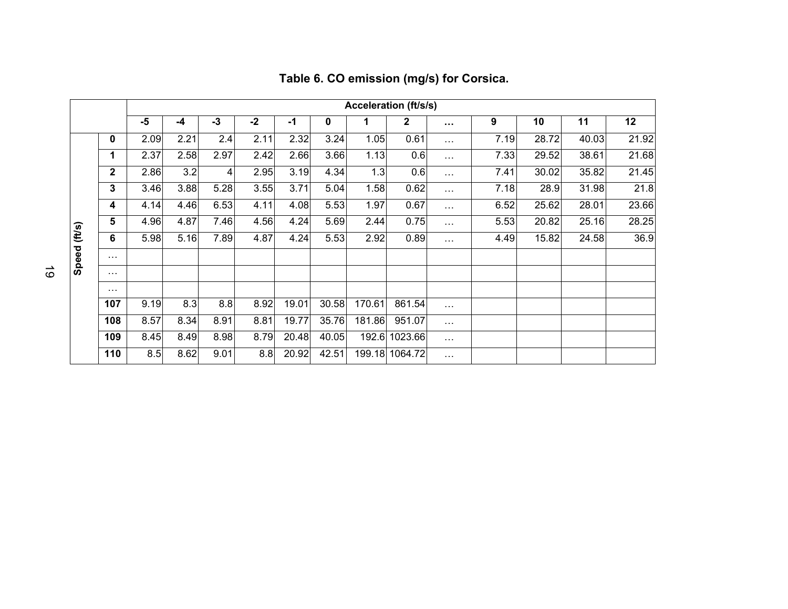|              |              | <b>Acceleration (ft/s/s)</b> |      |                |      |       |             |        |                |               |      |       |       |       |
|--------------|--------------|------------------------------|------|----------------|------|-------|-------------|--------|----------------|---------------|------|-------|-------|-------|
|              |              | $-5$                         | $-4$ | $-3$           | $-2$ | -1    | $\mathbf 0$ | 1      | $\mathbf{2}$   | $\sim$ $\sim$ | 9    | 10    | 11    | 12    |
|              | 0            | 2.09                         | 2.21 | 2.4            | 2.11 | 2.32  | 3.24        | 1.05   | 0.61           | $\cdots$      | 7.19 | 28.72 | 40.03 | 21.92 |
|              | 1            | 2.37                         | 2.58 | 2.97           | 2.42 | 2.66  | 3.66        | 1.13   | 0.6            | $\cdots$      | 7.33 | 29.52 | 38.61 | 21.68 |
|              | $\mathbf{2}$ | 2.86                         | 3.2  | $\overline{4}$ | 2.95 | 3.19  | 4.34        | 1.3    | 0.6            | $\cdots$      | 7.41 | 30.02 | 35.82 | 21.45 |
|              | 3            | 3.46                         | 3.88 | 5.28           | 3.55 | 3.71  | 5.04        | 1.58   | 0.62           | $\cdots$      | 7.18 | 28.9  | 31.98 | 21.8  |
|              | 4            | 4.14                         | 4.46 | 6.53           | 4.11 | 4.08  | 5.53        | 1.97   | 0.67           | $\cdots$      | 6.52 | 25.62 | 28.01 | 23.66 |
| Speed (ft/s) | 5            | 4.96                         | 4.87 | 7.46           | 4.56 | 4.24  | 5.69        | 2.44   | 0.75           | $\cdots$      | 5.53 | 20.82 | 25.16 | 28.25 |
|              | 6            | 5.98                         | 5.16 | 7.89           | 4.87 | 4.24  | 5.53        | 2.92   | 0.89           | $\cdots$      | 4.49 | 15.82 | 24.58 | 36.9  |
|              | $\cdots$     |                              |      |                |      |       |             |        |                |               |      |       |       |       |
|              | $\cdots$     |                              |      |                |      |       |             |        |                |               |      |       |       |       |
|              | $\cdots$     |                              |      |                |      |       |             |        |                |               |      |       |       |       |
|              | 107          | 9.19                         | 8.3  | 8.8            | 8.92 | 19.01 | 30.58       | 170.61 | 861.54         | $\cdots$      |      |       |       |       |
|              | 108          | 8.57                         | 8.34 | 8.91           | 8.81 | 19.77 | 35.76       | 181.86 | 951.07         | $\cdots$      |      |       |       |       |
|              | 109          | 8.45                         | 8.49 | 8.98           | 8.79 | 20.48 | 40.05       | 192.6  | 1023.66        | $\cdots$      |      |       |       |       |
|              | 110          | 8.5                          | 8.62 | 9.01           | 8.8  | 20.92 | 42.51       |        | 199.18 1064.72 | $\cdots$      |      |       |       |       |

## **Table 6. CO emission (mg/s) for Corsica.**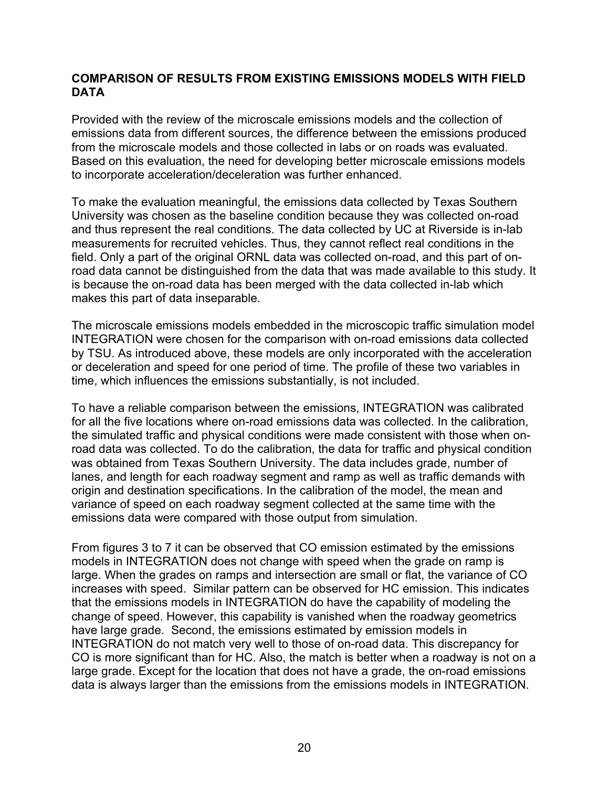#### **COMPARISON OF RESULTS FROM EXISTING EMISSIONS MODELS WITH FIELD DATA**

Provided with the review of the microscale emissions models and the collection of emissions data from different sources, the difference between the emissions produced from the microscale models and those collected in labs or on roads was evaluated. Based on this evaluation, the need for developing better microscale emissions models to incorporate acceleration/deceleration was further enhanced.

To make the evaluation meaningful, the emissions data collected by Texas Southern University was chosen as the baseline condition because they was collected on-road and thus represent the real conditions. The data collected by UC at Riverside is in-lab measurements for recruited vehicles. Thus, they cannot reflect real conditions in the field. Only a part of the original ORNL data was collected on-road, and this part of onroad data cannot be distinguished from the data that was made available to this study. It is because the on-road data has been merged with the data collected in-lab which makes this part of data inseparable.

The microscale emissions models embedded in the microscopic traffic simulation model INTEGRATION were chosen for the comparison with on-road emissions data collected by TSU. As introduced above, these models are only incorporated with the acceleration or deceleration and speed for one period of time. The profile of these two variables in time, which influences the emissions substantially, is not included.

To have a reliable comparison between the emissions, INTEGRATION was calibrated for all the five locations where on-road emissions data was collected. In the calibration, the simulated traffic and physical conditions were made consistent with those when onroad data was collected. To do the calibration, the data for traffic and physical condition was obtained from Texas Southern University. The data includes grade, number of lanes, and length for each roadway segment and ramp as well as traffic demands with origin and destination specifications. In the calibration of the model, the mean and variance of speed on each roadway segment collected at the same time with the emissions data were compared with those output from simulation.

From figures 3 to 7 it can be observed that CO emission estimated by the emissions models in INTEGRATION does not change with speed when the grade on ramp is large. When the grades on ramps and intersection are small or flat, the variance of CO increases with speed. Similar pattern can be observed for HC emission. This indicates that the emissions models in INTEGRATION do have the capability of modeling the change of speed. However, this capability is vanished when the roadway geometrics have large grade. Second, the emissions estimated by emission models in INTEGRATION do not match very well to those of on-road data. This discrepancy for CO is more significant than for HC. Also, the match is better when a roadway is not on a large grade. Except for the location that does not have a grade, the on-road emissions data is always larger than the emissions from the emissions models in INTEGRATION.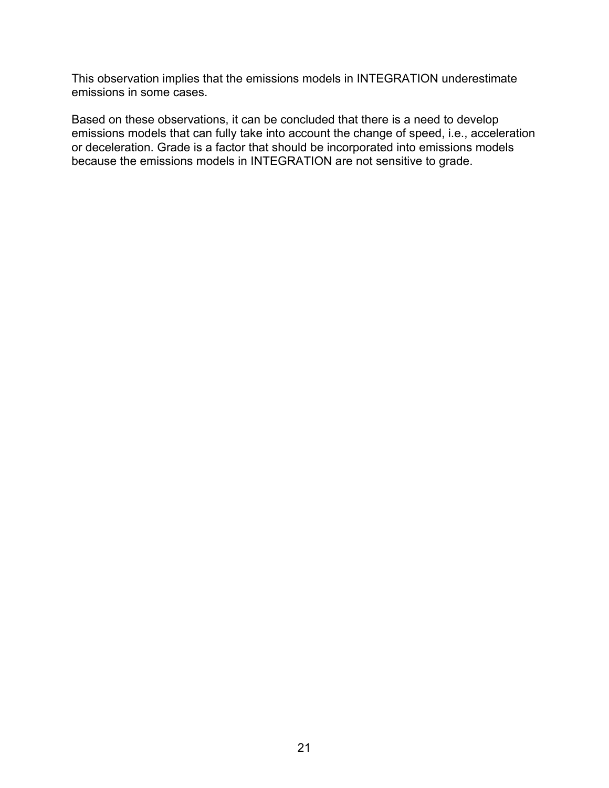This observation implies that the emissions models in INTEGRATION underestimate emissions in some cases.

Based on these observations, it can be concluded that there is a need to develop emissions models that can fully take into account the change of speed, i.e., acceleration or deceleration. Grade is a factor that should be incorporated into emissions models because the emissions models in INTEGRATION are not sensitive to grade.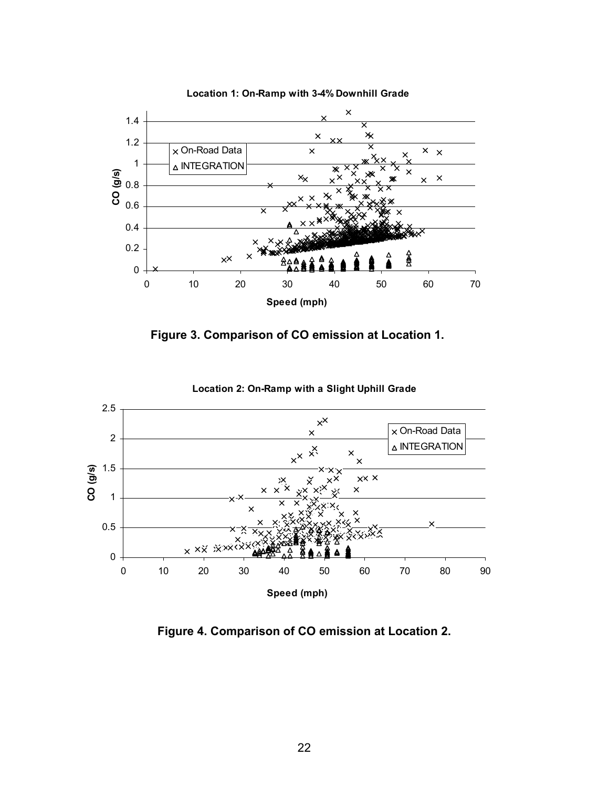

**Location 1: On-Ramp with 3-4% Downhill Grade**





**Location 2: On-Ramp with a Slight Uphill Grade**

**Figure 4. Comparison of CO emission at Location 2.**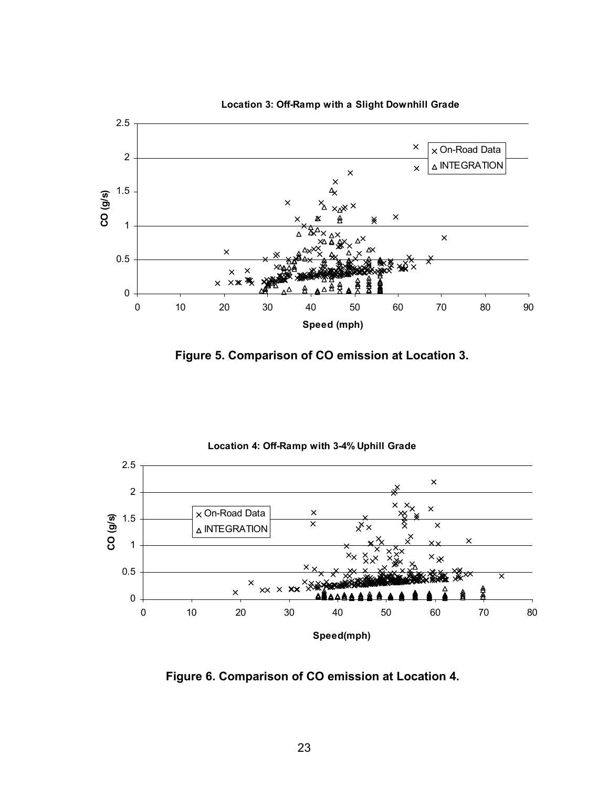

**Location 3: Off-Ramp with a Slight Downhill Grade**

**Figure 5. Comparison of CO emission at Location 3.** 



**Figure 6. Comparison of CO emission at Location 4.**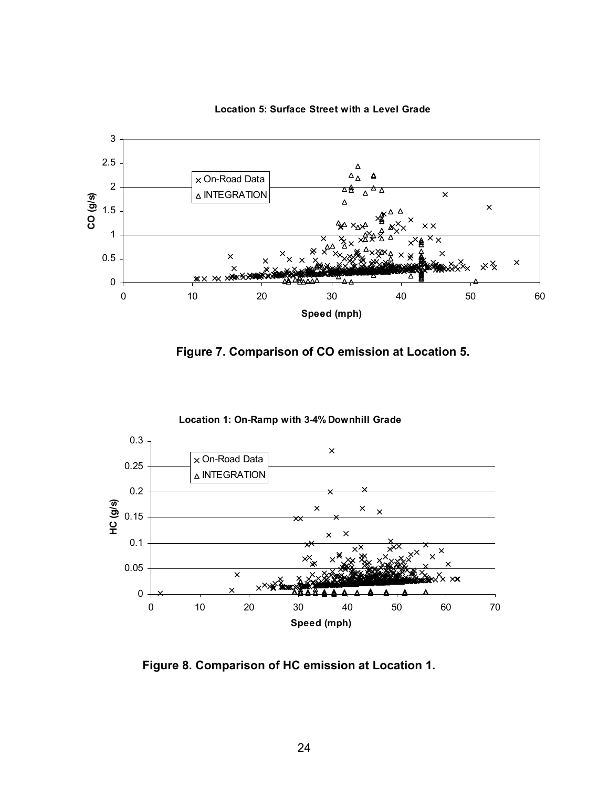

**Location 5: Surface Street with a Level Grade**





**Figure 8. Comparison of HC emission at Location 1.**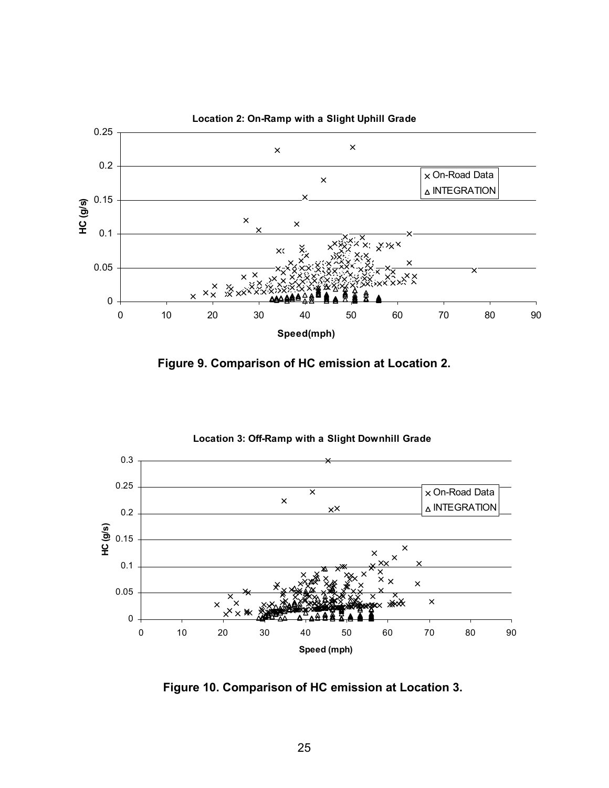





**Figure 10. Comparison of HC emission at Location 3.**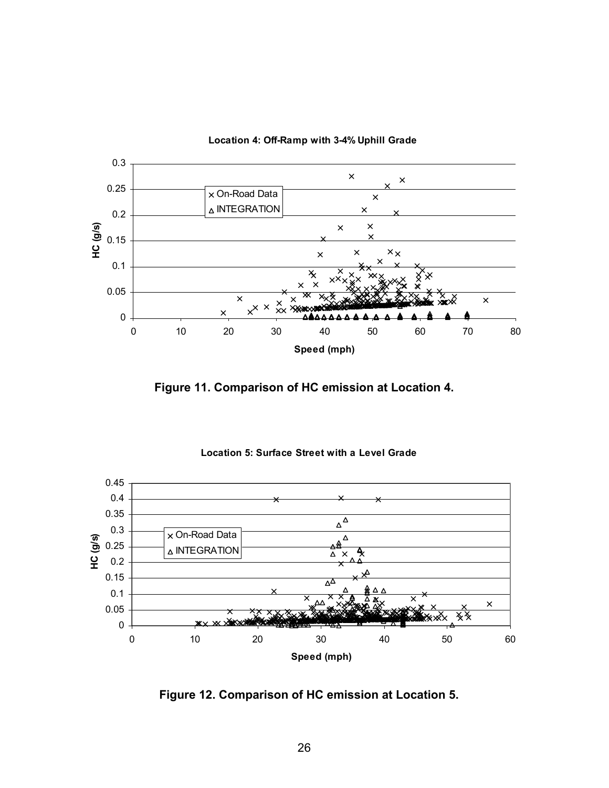

**Location 4: Off-Ramp with 3-4% Uphill Grade**

**Figure 11. Comparison of HC emission at Location 4.** 



**Location 5: Surface Street with a Level Grade**

**Figure 12. Comparison of HC emission at Location 5.**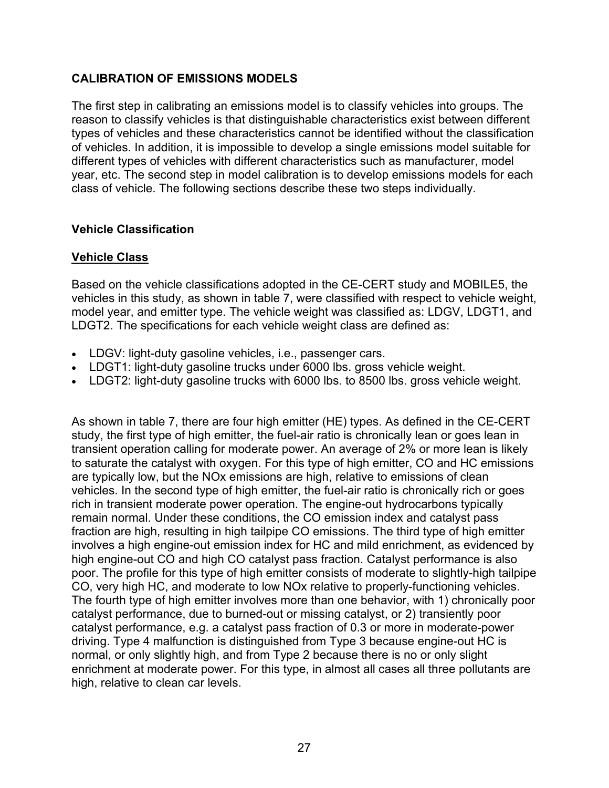### **CALIBRATION OF EMISSIONS MODELS**

The first step in calibrating an emissions model is to classify vehicles into groups. The reason to classify vehicles is that distinguishable characteristics exist between different types of vehicles and these characteristics cannot be identified without the classification of vehicles. In addition, it is impossible to develop a single emissions model suitable for different types of vehicles with different characteristics such as manufacturer, model year, etc. The second step in model calibration is to develop emissions models for each class of vehicle. The following sections describe these two steps individually.

#### **Vehicle Classification**

### **Vehicle Class**

Based on the vehicle classifications adopted in the CE-CERT study and MOBILE5, the vehicles in this study, as shown in table 7, were classified with respect to vehicle weight, model year, and emitter type. The vehicle weight was classified as: LDGV, LDGT1, and LDGT2. The specifications for each vehicle weight class are defined as:

- LDGV: light-duty gasoline vehicles, i.e., passenger cars.
- LDGT1: light-duty gasoline trucks under 6000 lbs. gross vehicle weight.
- LDGT2: light-duty gasoline trucks with 6000 lbs. to 8500 lbs. gross vehicle weight.

As shown in table 7, there are four high emitter (HE) types. As defined in the CE-CERT study, the first type of high emitter, the fuel-air ratio is chronically lean or goes lean in transient operation calling for moderate power. An average of 2% or more lean is likely to saturate the catalyst with oxygen. For this type of high emitter, CO and HC emissions are typically low, but the NOx emissions are high, relative to emissions of clean vehicles. In the second type of high emitter, the fuel-air ratio is chronically rich or goes rich in transient moderate power operation. The engine-out hydrocarbons typically remain normal. Under these conditions, the CO emission index and catalyst pass fraction are high, resulting in high tailpipe CO emissions. The third type of high emitter involves a high engine-out emission index for HC and mild enrichment, as evidenced by high engine-out CO and high CO catalyst pass fraction. Catalyst performance is also poor. The profile for this type of high emitter consists of moderate to slightly-high tailpipe CO, very high HC, and moderate to low NOx relative to properly-functioning vehicles. The fourth type of high emitter involves more than one behavior, with 1) chronically poor catalyst performance, due to burned-out or missing catalyst, or 2) transiently poor catalyst performance, e.g. a catalyst pass fraction of 0.3 or more in moderate-power driving. Type 4 malfunction is distinguished from Type 3 because engine-out HC is normal, or only slightly high, and from Type 2 because there is no or only slight enrichment at moderate power. For this type, in almost all cases all three pollutants are high, relative to clean car levels.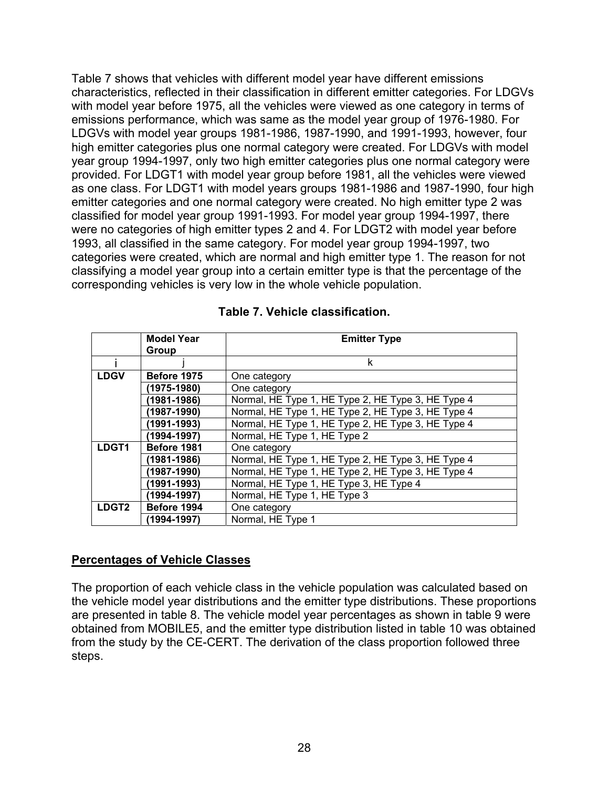Table 7 shows that vehicles with different model year have different emissions characteristics, reflected in their classification in different emitter categories. For LDGVs with model year before 1975, all the vehicles were viewed as one category in terms of emissions performance, which was same as the model year group of 1976-1980. For LDGVs with model year groups 1981-1986, 1987-1990, and 1991-1993, however, four high emitter categories plus one normal category were created. For LDGVs with model year group 1994-1997, only two high emitter categories plus one normal category were provided. For LDGT1 with model year group before 1981, all the vehicles were viewed as one class. For LDGT1 with model years groups 1981-1986 and 1987-1990, four high emitter categories and one normal category were created. No high emitter type 2 was classified for model year group 1991-1993. For model year group 1994-1997, there were no categories of high emitter types 2 and 4. For LDGT2 with model year before 1993, all classified in the same category. For model year group 1994-1997, two categories were created, which are normal and high emitter type 1. The reason for not classifying a model year group into a certain emitter type is that the percentage of the corresponding vehicles is very low in the whole vehicle population.

|             | <b>Model Year</b> | <b>Emitter Type</b>                                |
|-------------|-------------------|----------------------------------------------------|
|             | Group             |                                                    |
|             |                   | k                                                  |
| <b>LDGV</b> | Before 1975       | One category                                       |
|             | (1975-1980)       | One category                                       |
|             | (1981-1986)       | Normal, HE Type 1, HE Type 2, HE Type 3, HE Type 4 |
|             | (1987-1990)       | Normal, HE Type 1, HE Type 2, HE Type 3, HE Type 4 |
|             | (1991-1993)       | Normal, HE Type 1, HE Type 2, HE Type 3, HE Type 4 |
|             | (1994-1997)       | Normal, HE Type 1, HE Type 2                       |
| LDGT1       | Before 1981       | One category                                       |
|             | $(1981 - 1986)$   | Normal, HE Type 1, HE Type 2, HE Type 3, HE Type 4 |
|             | (1987-1990)       | Normal, HE Type 1, HE Type 2, HE Type 3, HE Type 4 |
|             | (1991-1993)       | Normal, HE Type 1, HE Type 3, HE Type 4            |
|             | (1994-1997)       | Normal, HE Type 1, HE Type 3                       |
| LDGT2       | Before 1994       | One category                                       |
|             | (1994-1997)       | Normal, HE Type 1                                  |

#### **Table 7. Vehicle classification.**

#### **Percentages of Vehicle Classes**

The proportion of each vehicle class in the vehicle population was calculated based on the vehicle model year distributions and the emitter type distributions. These proportions are presented in table 8. The vehicle model year percentages as shown in table 9 were obtained from MOBILE5, and the emitter type distribution listed in table 10 was obtained from the study by the CE-CERT. The derivation of the class proportion followed three steps.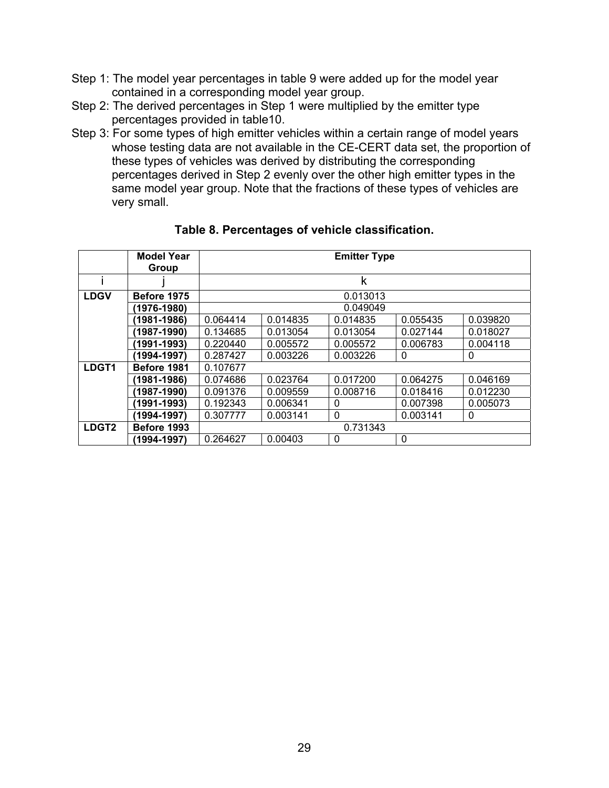- Step 1: The model year percentages in table 9 were added up for the model year contained in a corresponding model year group.
- Step 2: The derived percentages in Step 1 were multiplied by the emitter type percentages provided in table10.
- Step 3: For some types of high emitter vehicles within a certain range of model years whose testing data are not available in the CE-CERT data set, the proportion of these types of vehicles was derived by distributing the corresponding percentages derived in Step 2 evenly over the other high emitter types in the same model year group. Note that the fractions of these types of vehicles are very small.

|                   | <b>Model Year</b> | <b>Emitter Type</b> |          |             |              |          |  |  |  |  |
|-------------------|-------------------|---------------------|----------|-------------|--------------|----------|--|--|--|--|
|                   | Group             |                     |          |             |              |          |  |  |  |  |
|                   |                   |                     |          | k           |              |          |  |  |  |  |
| <b>LDGV</b>       | Before 1975       | 0.013013            |          |             |              |          |  |  |  |  |
|                   | (1976-1980)       |                     |          | 0.049049    |              |          |  |  |  |  |
|                   | (1981-1986)       | 0.064414            | 0.014835 | 0.014835    | 0.055435     | 0.039820 |  |  |  |  |
|                   | (1987-1990)       | 0.134685            | 0.013054 | 0.013054    | 0.027144     | 0.018027 |  |  |  |  |
|                   | (1991-1993)       | 0.220440            | 0.005572 | 0.005572    | 0.006783     | 0.004118 |  |  |  |  |
|                   | (1994-1997)       | 0.287427            | 0.003226 | 0.003226    | $\Omega$     | $\Omega$ |  |  |  |  |
| LDGT1             | Before 1981       | 0.107677            |          |             |              |          |  |  |  |  |
|                   | (1981-1986)       | 0.074686            | 0.023764 | 0.017200    | 0.064275     | 0.046169 |  |  |  |  |
|                   | (1987-1990)       | 0.091376            | 0.009559 | 0.008716    | 0.018416     | 0.012230 |  |  |  |  |
|                   | (1991-1993)       | 0.192343            | 0.006341 | $\Omega$    | 0.007398     | 0.005073 |  |  |  |  |
|                   | (1994-1997)       | 0.307777            | 0.003141 | $\mathbf 0$ | 0.003141     | 0        |  |  |  |  |
| LDGT <sub>2</sub> | Before 1993       | 0.731343            |          |             |              |          |  |  |  |  |
|                   | (1994-1997)       | 0.264627            | 0.00403  | $\mathbf 0$ | $\mathbf{0}$ |          |  |  |  |  |

#### **Table 8. Percentages of vehicle classification.**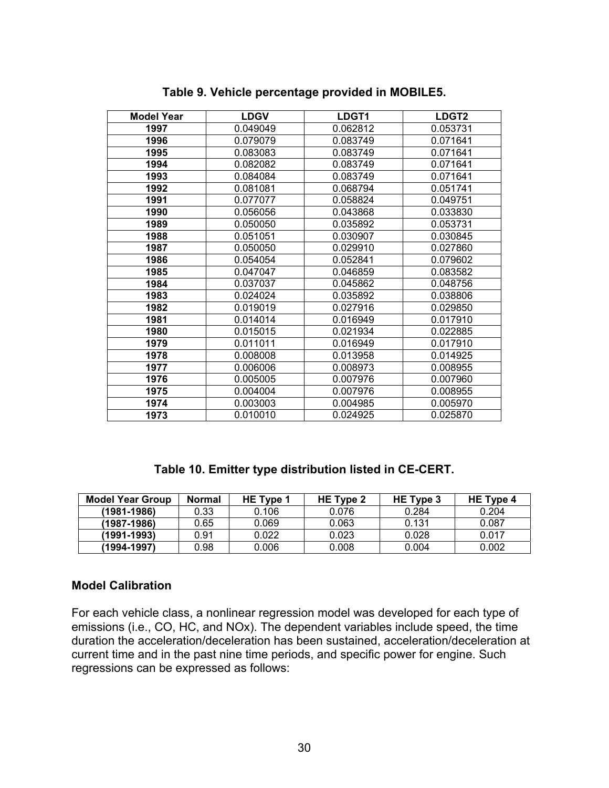| <b>Model Year</b> | <b>LDGV</b> | LDGT1    | LDGT <sub>2</sub> |  |  |
|-------------------|-------------|----------|-------------------|--|--|
| 1997              | 0.049049    | 0.062812 | 0.053731          |  |  |
| 1996              | 0.079079    | 0.083749 | 0.071641          |  |  |
| 1995              | 0.083083    | 0.083749 | 0.071641          |  |  |
| 1994              | 0.082082    | 0.083749 | 0.071641          |  |  |
| 1993              | 0.084084    | 0.083749 | 0.071641          |  |  |
| 1992              | 0.081081    | 0.068794 | 0.051741          |  |  |
| 1991              | 0.077077    | 0.058824 | 0.049751          |  |  |
| 1990              | 0.056056    | 0.043868 | 0.033830          |  |  |
| 1989              | 0.050050    | 0.035892 | 0.053731          |  |  |
| 1988              | 0.051051    | 0.030907 | 0.030845          |  |  |
| 1987              | 0.050050    | 0.029910 | 0.027860          |  |  |
| 1986              | 0.054054    | 0.052841 | 0.079602          |  |  |
| 1985              | 0.047047    | 0.046859 | 0.083582          |  |  |
| 1984              | 0.037037    | 0.045862 | 0.048756          |  |  |
| 1983              | 0.024024    | 0.035892 | 0.038806          |  |  |
| 1982              | 0.019019    | 0.027916 | 0.029850          |  |  |
| 1981              | 0.014014    | 0.016949 | 0.017910          |  |  |
| 1980              | 0.015015    | 0.021934 | 0.022885          |  |  |
| 1979              | 0.011011    | 0.016949 | 0.017910          |  |  |
| 1978              | 0.008008    | 0.013958 | 0.014925          |  |  |
| 1977              | 0.006006    | 0.008973 | 0.008955          |  |  |
| 1976              | 0.005005    | 0.007976 | 0.007960          |  |  |
| 1975              | 0.004004    | 0.007976 | 0.008955          |  |  |
| 1974              | 0.003003    | 0.004985 | 0.005970          |  |  |
| 1973              | 0.010010    | 0.024925 | 0.025870          |  |  |

**Table 9. Vehicle percentage provided in MOBILE5.** 

### **Table 10. Emitter type distribution listed in CE-CERT.**

| <b>Model Year Group</b> | Normal | HE Type 1 | HE Type 2 | HE Type 3 | HE Type 4 |
|-------------------------|--------|-----------|-----------|-----------|-----------|
| $(1981 - 1986)$         | 0.33   | 0.106     | 0.076     | 0.284     | 0.204     |
| (1987-1986)             | 0.65   | 0.069     | 0.063     | 0.131     | 0.087     |
| (1991-1993)             | 0.91   | 0.022     | 0.023     | 0.028     | 0.017     |
| (1994-1997)             | 0.98   | 0.006     | 0.008     | 0.004     | 0.002     |

### **Model Calibration**

For each vehicle class, a nonlinear regression model was developed for each type of emissions (i.e., CO, HC, and NOx). The dependent variables include speed, the time duration the acceleration/deceleration has been sustained, acceleration/deceleration at current time and in the past nine time periods, and specific power for engine. Such regressions can be expressed as follows: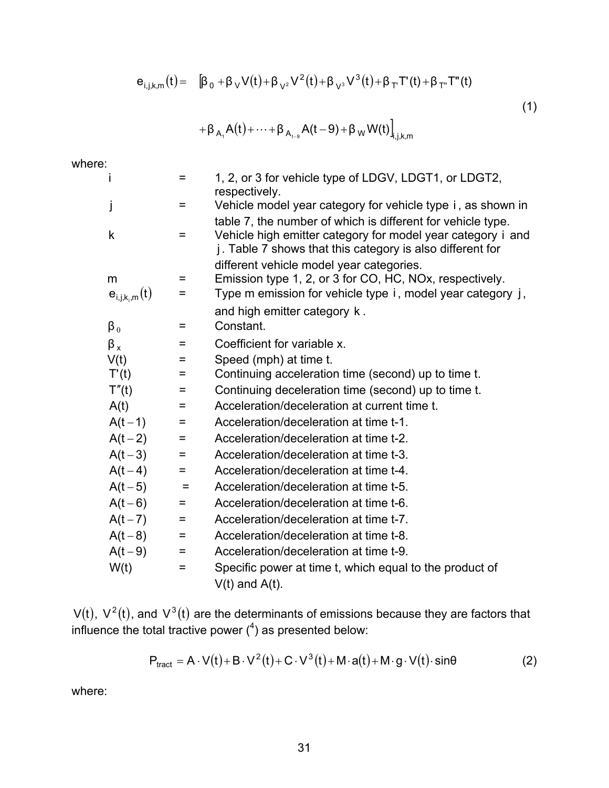$$
e_{i,j,k,m}(t) = \quad \left[\beta_0 + \beta_V V(t) + \beta_{V^2} V^2(t) + \beta_{V^3} V^3(t) + \beta_T T'(t) + \beta_{T''} T''(t)\right]
$$

(1)

$$
+\beta_{A_1}A(t)+\cdots+\beta_{A_{t-s}}A(t-9)+\beta_WW(t)\Big]_{i,j,k,m}
$$

where:

| İ                  | =   | 1, 2, or 3 for vehicle type of LDGV, LDGT1, or LDGT2,<br>respectively. |
|--------------------|-----|------------------------------------------------------------------------|
| j                  | $=$ | Vehicle model year category for vehicle type i, as shown in            |
|                    |     | table 7, the number of which is different for vehicle type.            |
| $\mathsf{k}$       | =   | Vehicle high emitter category for model year category i and            |
|                    |     | j. Table 7 shows that this category is also different for              |
|                    |     | different vehicle model year categories.                               |
| m                  | =   | Emission type 1, 2, or 3 for CO, HC, NOx, respectively.                |
| $e_{i,j,k_i,m}(t)$ | =   | Type m emission for vehicle type i, model year category j,             |
|                    |     | and high emitter category k.                                           |
| $\beta_0$          | Ξ   | Constant.                                                              |
| $\beta_{x}$        | =   | Coefficient for variable x.                                            |
| V(t)               | =   | Speed (mph) at time t.                                                 |
| T'(t)              | =   | Continuing acceleration time (second) up to time t.                    |
| T''(t)             | =   | Continuing deceleration time (second) up to time t.                    |
| A(t)               | =   | Acceleration/deceleration at current time t.                           |
| $A(t-1)$           | $=$ | Acceleration/deceleration at time t-1.                                 |
| $A(t-2)$           | =   | Acceleration/deceleration at time t-2.                                 |
| $A(t-3)$           | $=$ | Acceleration/deceleration at time t-3.                                 |
| $A(t-4)$           | $=$ | Acceleration/deceleration at time t-4.                                 |
| $A(t-5)$           | $=$ | Acceleration/deceleration at time t-5.                                 |
| $A(t-6)$           | =   | Acceleration/deceleration at time t-6.                                 |
| $A(t-7)$           | $=$ | Acceleration/deceleration at time t-7.                                 |
| $A(t-8)$           | =   | Acceleration/deceleration at time t-8.                                 |
| $A(t-9)$           | =   | Acceleration/deceleration at time t-9.                                 |
| W(t)               | $=$ | Specific power at time t, which equal to the product of                |
|                    |     | $V(t)$ and $A(t)$ .                                                    |

V(t),  $V^2(t)$ , and  $V^3(t)$  are the determinants of emissions because they are factors that influence the total tractive power  $(^4)$  as presented below:

$$
P_{\text{tract}} = A \cdot V(t) + B \cdot V^2(t) + C \cdot V^3(t) + M \cdot a(t) + M \cdot g \cdot V(t) \cdot \sin\theta \tag{2}
$$

where: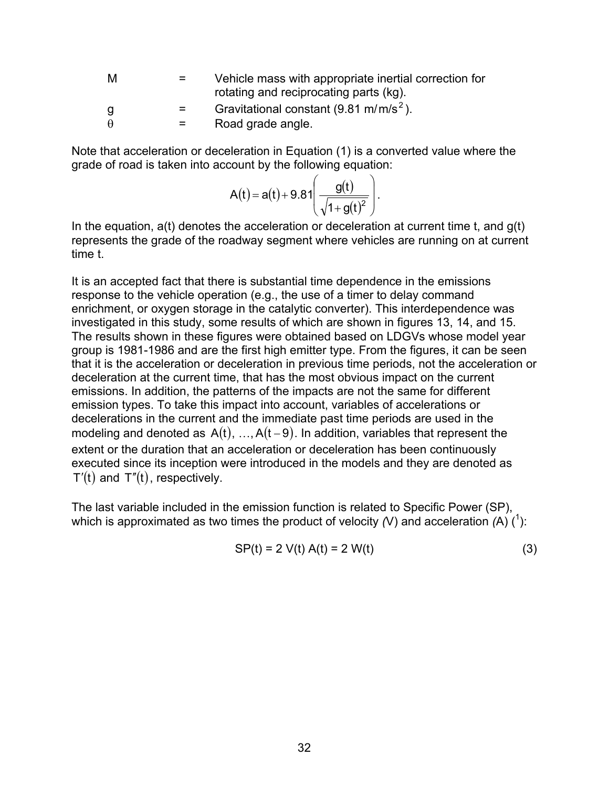| M        | $=$     | Vehicle mass with appropriate inertial correction for<br>rotating and reciprocating parts (kg). |
|----------|---------|-------------------------------------------------------------------------------------------------|
| g        | $=$     | Gravitational constant $(9.81 \text{ m/m/s}^2)$ .                                               |
| $\theta$ | $=$ $-$ | Road grade angle.                                                                               |

Note that acceleration or deceleration in Equation (1) is a converted value where the grade of road is taken into account by the following equation:

$$
A(t) = a(t) + 9.81 \left( \frac{g(t)}{\sqrt{1 + g(t)^2}} \right).
$$

In the equation,  $a(t)$  denotes the acceleration or deceleration at current time t, and  $q(t)$ represents the grade of the roadway segment where vehicles are running on at current time t.

It is an accepted fact that there is substantial time dependence in the emissions response to the vehicle operation (e.g., the use of a timer to delay command enrichment, or oxygen storage in the catalytic converter). This interdependence was investigated in this study, some results of which are shown in figures 13, 14, and 15. The results shown in these figures were obtained based on LDGVs whose model year group is 1981-1986 and are the first high emitter type. From the figures, it can be seen that it is the acceleration or deceleration in previous time periods, not the acceleration or deceleration at the current time, that has the most obvious impact on the current emissions. In addition, the patterns of the impacts are not the same for different emission types. To take this impact into account, variables of accelerations or decelerations in the current and the immediate past time periods are used in the modeling and denoted as  $A(t)$ , ..., $A(t-9)$ . In addition, variables that represent the extent or the duration that an acceleration or deceleration has been continuously executed since its inception were introduced in the models and they are denoted as  $T'(t)$  and  $T''(t)$ , respectively.

The last variable included in the emission function is related to Specific Power (SP), which is approximated as two times the product of velocity  $(V)$  and acceleration  $(A)$   $(1)$ :

$$
SP(t) = 2 V(t) A(t) = 2 W(t)
$$
 (3)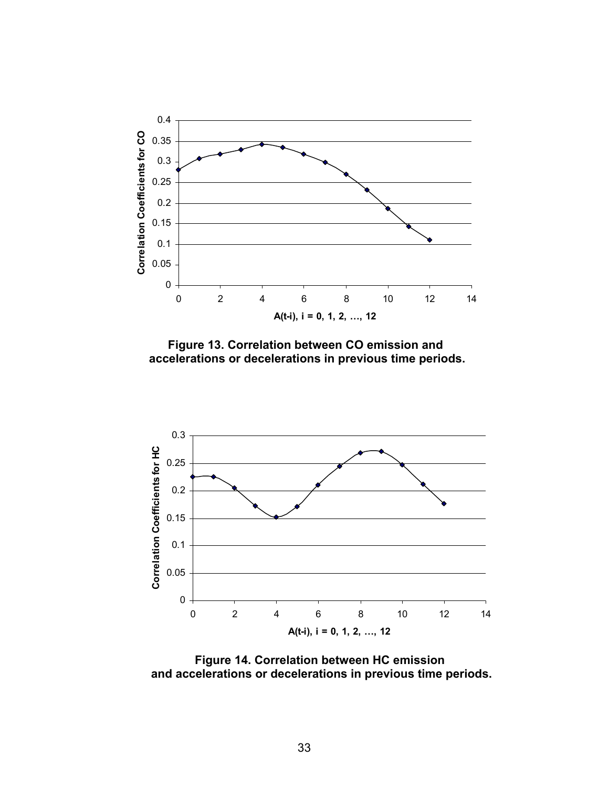

**Figure 13. Correlation between CO emission and accelerations or decelerations in previous time periods.** 



**Figure 14. Correlation between HC emission and accelerations or decelerations in previous time periods.**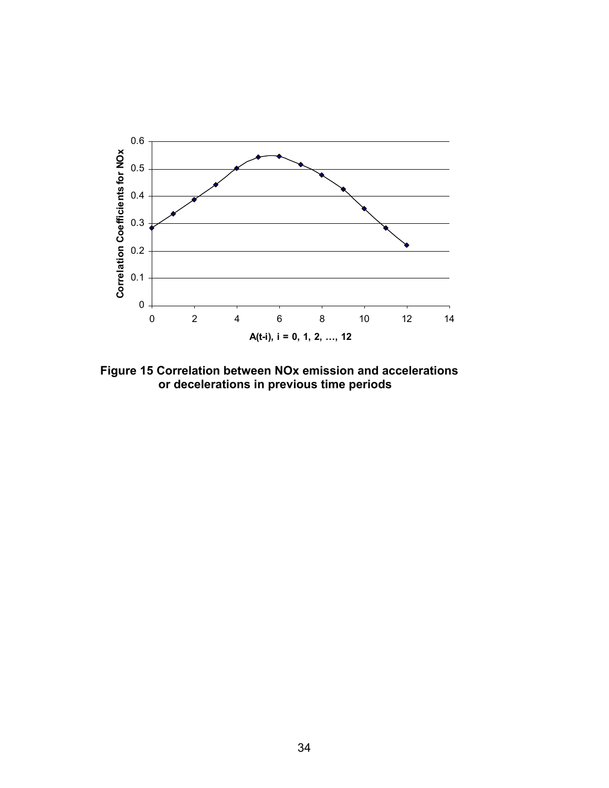

**Figure 15 Correlation between NOx emission and accelerations or decelerations in previous time periods**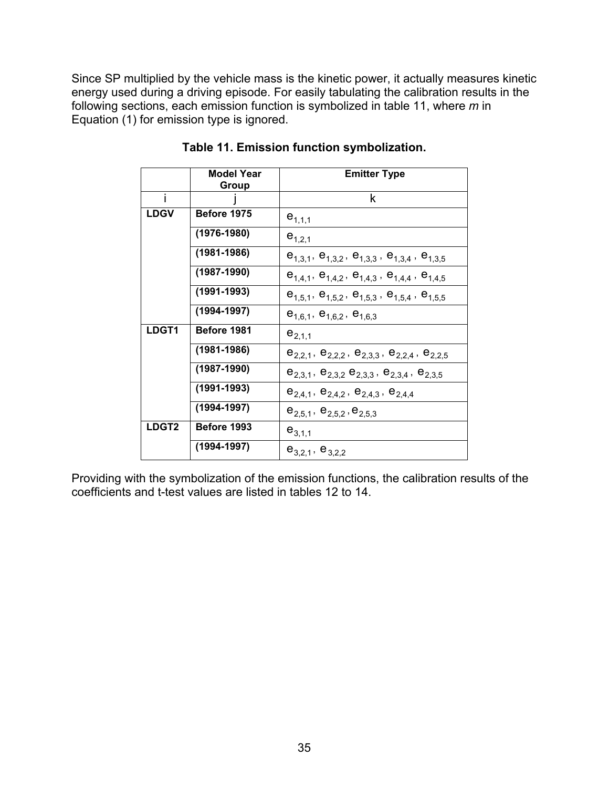Since SP multiplied by the vehicle mass is the kinetic power, it actually measures kinetic energy used during a driving episode. For easily tabulating the calibration results in the following sections, each emission function is symbolized in table 11, where *m* in Equation (1) for emission type is ignored.

|             | <b>Model Year</b><br>Group | <b>Emitter Type</b>                                                 |
|-------------|----------------------------|---------------------------------------------------------------------|
| i           |                            | k                                                                   |
| <b>LDGV</b> | Before 1975                | $e_{1,1,1}$                                                         |
|             | $(1976 - 1980)$            | $e_{1,2,1}$                                                         |
|             | $(1981 - 1986)$            | $e_{1,3,1}$ , $e_{1,3,2}$ , $e_{1,3,3}$ , $e_{1,3,4}$ , $e_{1,3,5}$ |
|             | $(1987 - 1990)$            | $e_{1,4,1}$ , $e_{1,4,2}$ , $e_{1,4,3}$ , $e_{1,4,4}$ , $e_{1,4,5}$ |
|             | $(1991 - 1993)$            | $e_{1,5,1}$ , $e_{1,5,2}$ , $e_{1,5,3}$ , $e_{1,5,4}$ , $e_{1,5,5}$ |
|             | $(1994 - 1997)$            | $e_{1,6,1}$ , $e_{1,6,2}$ , $e_{1,6,3}$                             |
| LDGT1       | Before 1981                | $e_{2,1,1}$                                                         |
|             | $(1981 - 1986)$            | $e_{2,2,1}$ , $e_{2,2,2}$ , $e_{2,3,3}$ , $e_{2,2,4}$ , $e_{2,2,5}$ |
|             | $(1987 - 1990)$            | $e_{2,3,1}$ , $e_{2,3,2}$ , $e_{2,3,3}$ , $e_{2,3,4}$ , $e_{2,3,5}$ |
|             | $(1991 - 1993)$            | $e_{2,4,1}$ , $e_{2,4,2}$ , $e_{2,4,3}$ , $e_{2,4,4}$               |
|             | $(1994 - 1997)$            | $e_{2,5,1}$ , $e_{2,5,2}$ , $e_{2,5,3}$                             |
| LDGT2       | Before 1993                | $e_{3,1,1}$                                                         |
|             | $(1994 - 1997)$            | $e_{3,2,1}$ , $e_{3,2,2}$                                           |

### **Table 11. Emission function symbolization.**

Providing with the symbolization of the emission functions, the calibration results of the coefficients and t-test values are listed in tables 12 to 14.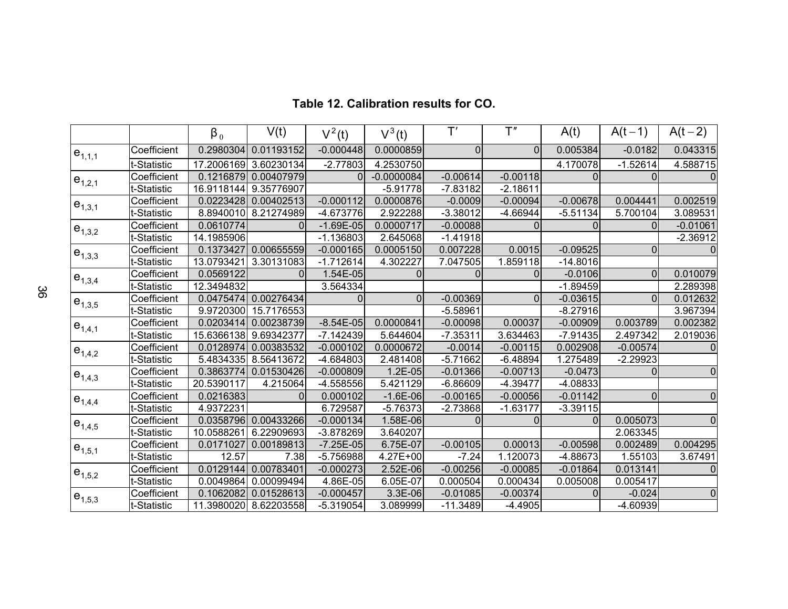|               |             | $\beta_0$  | V(t)       | $V^2(t)$    | $V^3(t)$     | $\mathsf{T}'$  | T''        | A(t)           | $A(t-1)$   | $A(t-2)$   |
|---------------|-------------|------------|------------|-------------|--------------|----------------|------------|----------------|------------|------------|
| $e_{1,1,1}$   | Coefficient | 0.2980304  | 0.01193152 | $-0.000448$ | 0.0000859    | $\overline{0}$ | $\Omega$   | 0.005384       | $-0.0182$  | 0.043315   |
|               | t-Statistic | 17.2006169 | 3.60230134 | $-2.77803$  | 4.2530750    |                |            | 4.170078       | $-1.52614$ | 4.588715   |
| $e_{1,2,1}$   | Coefficient | 0.1216879  | 0.00407979 | 0           | $-0.0000084$ | $-0.00614$     | $-0.00118$ | 0              | 0          |            |
|               | t-Statistic | 16.9118144 | 9.35776907 |             | $-5.91778$   | $-7.83182$     | $-2.18611$ |                |            |            |
| $ e_{1,3,1} $ | Coefficient | 0.0223428  | 0.00402513 | $-0.000112$ | 0.0000876    | $-0.0009$      | $-0.00094$ | $-0.00678$     | 0.004441   | 0.002519   |
|               | t-Statistic | 8.8940010  | 8.21274989 | -4.673776   | 2.922288     | $-3.38012$     | $-4.66944$ | $-5.51134$     | 5.700104   | 3.089531   |
| $e_{1,3,2}$   | Coefficient | 0.0610774  | 0          | $-1.69E-05$ | 0.0000717    | $-0.00088$     |            | 0              | 0          | $-0.01061$ |
|               | t-Statistic | 14.1985906 |            | $-1.136803$ | 2.645068     | $-1.41918$     |            |                |            | $-2.36912$ |
| $e_{1,3,3}$   | Coefficient | 0.1373427  | 0.00655559 | $-0.000165$ | 0.0005150    | 0.007228       | 0.0015     | $-0.09525$     | 0          |            |
|               | t-Statistic | 13.0793421 | 3.30131083 | $-1.712614$ | 4.302227     | 7.047505       | 1.859118   | $-14.8016$     |            |            |
| $e_{1,3,4}$   | Coefficient | 0.0569122  | 0          | 1.54E-05    | 0            |                |            | $-0.0106$      | $\Omega$   | 0.010079   |
|               | t-Statistic | 12.3494832 |            | 3.564334    |              |                |            | $-1.89459$     |            | 2.289398   |
|               | Coefficient | 0.0475474  | 0.00276434 | 0           | $\Omega$     | $-0.00369$     | 0          | $-0.03615$     | $\Omega$   | 0.012632   |
| $e_{1,3,5}$   | t-Statistic | 9.9720300  | 15.7176553 |             |              | $-5.58961$     |            | $-8.27916$     |            | 3.967394   |
| $e_{1,4,1}$   | Coefficient | 0.0203414  | 0.00238739 | $-8.54E-05$ | 0.0000841    | $-0.00098$     | 0.00037    | $-0.00909$     | 0.003789   | 0.002382   |
|               | t-Statistic | 15.6366138 | 9.69342377 | $-7.142439$ | 5.644604     | $-7.35311$     | 3.634463   | $-7.91435$     | 2.497342   | 2.019036   |
| $e_{1,4,2}$   | Coefficient | 0.0128974  | 0.00383532 | $-0.000102$ | 0.0000672    | $-0.0014$      | $-0.00115$ | 0.002908       | $-0.00574$ |            |
|               | t-Statistic | 5.4834335  | 8.56413672 | -4.684803   | 2.481408     | $-5.71662$     | $-6.48894$ | 1.275489       | $-2.29923$ |            |
| $e_{1,4,3}$   | Coefficient | 0.3863774  | 0.01530426 | $-0.000809$ | $1.2E-05$    | $-0.01366$     | $-0.00713$ | $-0.0473$      | $\Omega$   | 0          |
|               | t-Statistic | 20.5390117 | 4.215064   | $-4.558556$ | 5.421129     | $-6.86609$     | $-4.39477$ | $-4.08833$     |            |            |
| $e_{1,4,4}$   | Coefficient | 0.0216383  | 0          | 0.000102    | $-1.6E-06$   | $-0.00165$     | $-0.00056$ | $-0.01142$     | $\Omega$   | 0          |
|               | t-Statistic | 4.9372231  |            | 6.729587    | $-5.76373$   | $-2.73868$     | $-1.63177$ | $-3.39115$     |            |            |
| $e_{1,4,5}$   | Coefficient | 0.0358796  | 0.00433266 | $-0.000134$ | 1.58E-06     |                |            | $\overline{0}$ | 0.005073   |            |
|               | t-Statistic | 10.0588261 | 6.22909693 | $-3.878269$ | 3.640207     |                |            |                | 2.063345   |            |
| $e_{1,5,1}$   | Coefficient | 0.0171027  | 0.00189813 | $-7.25E-05$ | 6.75E-07     | $-0.00105$     | 0.00013    | $-0.00598$     | 0.002489   | 0.004295   |
|               | t-Statistic | 12.57      | 7.38       | $-5.756988$ | 4.27E+00     | $-7.24$        | 1.120073   | $-4.88673$     | 1.55103    | 3.67491    |
|               | Coefficient | 0.0129144  | 0.00783401 | $-0.000273$ | 2.52E-06     | $-0.00256$     | $-0.00085$ | $-0.01864$     | 0.013141   | 0          |
| $e_{1,5,2}$   | t-Statistic | 0.0049864  | 0.00099494 | 4.86E-05    | 6.05E-07     | 0.000504       | 0.000434   | 0.005008       | 0.005417   |            |
|               | Coefficient | 0.1062082  | 0.01528613 | $-0.000457$ | 3.3E-06      | $-0.01085$     | $-0.00374$ | 0              | $-0.024$   | 0          |
| $e_{1,5,3}$   | t-Statistic | 11.3980020 | 8.62203558 | $-5.319054$ | 3.089999     | $-11.3489$     | $-4.4905$  |                | $-4.60939$ |            |

#### **Table 12. Calibration results for CO.**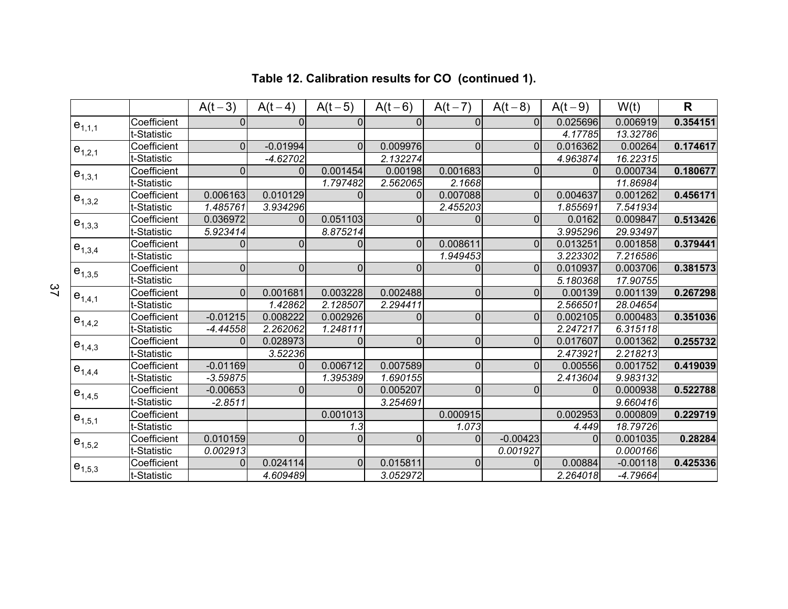|                            |             | $A(t-3)$       | $A(t-4)$       | $A(t-5)$       | $A(t-6)$       | $A(t-7)$       | $A(t-8)$       | $A(t-9)$ | W(t)       | R        |
|----------------------------|-------------|----------------|----------------|----------------|----------------|----------------|----------------|----------|------------|----------|
| $e_{1,1,1}$                | Coefficient | $\Omega$       | $\Omega$       | $\Omega$       | 0              | $\Omega$       | $\Omega$       | 0.025696 | 0.006919   | 0.354151 |
|                            | t-Statistic |                |                |                |                |                |                | 4.17785  | 13.32786   |          |
| $e_{1,2,1}$                | Coefficient | $\overline{0}$ | $-0.01994$     | $\overline{0}$ | 0.009976       | $\overline{0}$ | 0              | 0.016362 | 0.00264    | 0.174617 |
|                            | t-Statistic |                | $-4.62702$     |                | 2.132274       |                |                | 4.963874 | 16.22315   |          |
| $e_{1,3,1}$                | Coefficient | $\mathbf 0$    | 0              | 0.001454       | 0.00198        | 0.001683       | 0              | 0        | 0.000734   | 0.180677 |
|                            | t-Statistic |                |                | 1.797482       | 2.562065       | 2.1668         |                |          | 11.86984   |          |
| $e_{1,3,2}$                | Coefficient | 0.006163       | 0.010129       | $\Omega$       | $\Omega$       | 0.007088       | $\overline{0}$ | 0.004637 | 0.001262   | 0.456171 |
|                            | t-Statistic | 1.485761       | 3.934296       |                |                | 2.455203       |                | 1.855691 | 7.541934   |          |
| $e_{1,3,3}$                | Coefficient | 0.036972       | $\Omega$       | 0.051103       | $\overline{0}$ | $\Omega$       | $\overline{0}$ | 0.0162   | 0.009847   | 0.513426 |
|                            | t-Statistic | 5.923414       |                | 8.875214       |                |                |                | 3.995296 | 29.93497   |          |
| $e_{1,3,4}$                | Coefficient | $\Omega$       | $\Omega$       | $\Omega$       | $\Omega$       | 0.008611       | $\Omega$       | 0.013251 | 0.001858   | 0.379441 |
|                            | t-Statistic |                |                |                |                | 1.949453       |                | 3.223302 | 7.216586   |          |
|                            | Coefficient | $\overline{0}$ | $\Omega$       | $\Omega$       | $\mathbf 0$    | $\Omega$       | 0              | 0.010937 | 0.003706   | 0.381573 |
| $e_{1,3,5}$<br>$e_{1,4,1}$ | t-Statistic |                |                |                |                |                |                | 5.180368 | 17.90755   |          |
|                            | Coefficient | $\overline{0}$ | 0.001681       | 0.003228       | 0.002488       | $\overline{0}$ | 0              | 0.00139  | 0.001139   | 0.267298 |
|                            | t-Statistic |                | 1.42862        | 2.128507       | 2.294411       |                |                | 2.566501 | 28.04654   |          |
| $e_{1,4,2}$                | Coefficient | $-0.01215$     | 0.008222       | 0.002926       | $\Omega$       | $\overline{0}$ | $\Omega$       | 0.002105 | 0.000483   | 0.351036 |
|                            | t-Statistic | $-4.44558$     | 2.262062       | 1.248111       |                |                |                | 2.247217 | 6.315118   |          |
| $e_{1,4,3}$                | Coefficient | $\Omega$       | 0.028973       | $\Omega$       | $\overline{0}$ | $\overline{0}$ | 0              | 0.017607 | 0.001362   | 0.255732 |
|                            | t-Statistic |                | 3.52236        |                |                |                |                | 2.473921 | 2.218213   |          |
| $e_{1,4,4}$                | Coefficient | $-0.01169$     | 0              | 0.006712       | 0.007589       | $\overline{0}$ | 0              | 0.00556  | 0.001752   | 0.419039 |
|                            | t-Statistic | $-3.59875$     |                | 1.395389       | 1.690155       |                |                | 2.413604 | 9.983132   |          |
| $e_{1,4,5}$                | Coefficient | $-0.00653$     | $\overline{0}$ | $\Omega$       | 0.005207       | $\overline{0}$ | $\overline{0}$ |          | 0.000938   | 0.522788 |
|                            | t-Statistic | $-2.8511$      |                |                | 3.254691       |                |                |          | 9.660416   |          |
| $e_{1,5,1}$                | Coefficient |                |                | 0.001013       |                | 0.000915       |                | 0.002953 | 0.000809   | 0.229719 |
|                            | t-Statistic |                |                | 1.3            |                | 1.073          |                | 4.449    | 18.79726   |          |
| $e_{1,5,2}$                | Coefficient | 0.010159       | $\Omega$       | $\Omega$       | $\Omega$       | $\Omega$       | $-0.00423$     | $\Omega$ | 0.001035   | 0.28284  |
|                            | t-Statistic | 0.002913       |                |                |                |                | 0.001927       |          | 0.000166   |          |
| $e_{1,5,3}$                | Coefficient | $\Omega$       | 0.024114       | $\Omega$       | 0.015811       | $\overline{0}$ | 0              | 0.00884  | $-0.00118$ | 0.425336 |
|                            | t-Statistic |                | 4.609489       |                | 3.052972       |                |                | 2.264018 | -4.79664   |          |

# **Table 12. Calibration results for CO (continued 1).**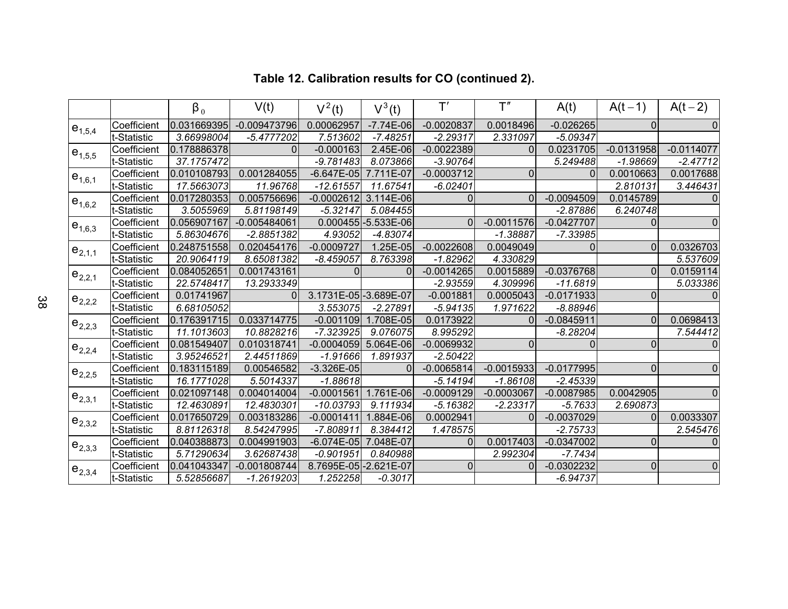|             |             | $\beta_0$   | V(t)           | $V^2(t)$               | $V^3(t)$              | T'             | T''          | A(t)         | $A(t-1)$     | $A(t-2)$     |
|-------------|-------------|-------------|----------------|------------------------|-----------------------|----------------|--------------|--------------|--------------|--------------|
| $e_{1,5,4}$ | Coefficient | 0.031669395 | $-0.009473796$ | 0.00062957             | $-7.74E-06$           | $-0.0020837$   | 0.0018496    | $-0.026265$  | $\Omega$     | 0            |
|             | t-Statistic | 3.66998004  | $-5.4777202$   | 7.513602               | $-7.48251$            | $-2.29317$     | 2.331097     | $-5.09347$   |              |              |
| $e_{1,5,5}$ | Coefficient | 0.178886378 | 0              | $-0.000163$            | 2.45E-06              | $-0.0022389$   | 0            | 0.0231705    | $-0.0131958$ | $-0.0114077$ |
|             | t-Statistic | 37.1757472  |                | $-9.781483$            | 8.073866              | $-3.90764$     |              | 5.249488     | $-1.98669$   | $-2.47712$   |
| $e_{1,6,1}$ | Coefficient | 0.010108793 | 0.001284055    | $-6.647E-05$           | 7.711E-07             | $-0.0003712$   | $\Omega$     | $\Omega$     | 0.0010663    | 0.0017688    |
|             | t-Statistic | 17.5663073  | 11.96768       | $-12.61557$            | 11.67541              | $-6.02401$     |              |              | 2.810131     | 3.446431     |
| $e_{1,6,2}$ | Coefficient | 0.017280353 | 0.005756696    | $-0.0002612$           | 3.114E-06             | $\Omega$       | $\Omega$     | $-0.0094509$ | 0.0145789    | $\Omega$     |
|             | t-Statistic | 3.5055969   | 5.81198149     | $-5.32147$             | 5.084455              |                |              | $-2.87886$   | 6.240748     |              |
| $e_{1,6,3}$ | Coefficient | 0.056907167 | $-0.005484061$ |                        | $0.000455$ -5.533E-06 | $\Omega$       | $-0.0011576$ | $-0.0427707$ | 0            | $\mathbf 0$  |
|             | t-Statistic | 5.86304676  | $-2.8851382$   | 4.93052                | -4.83074              |                | $-1.38887$   | $-7.33985$   |              |              |
| $e_{2,1,1}$ | Coefficient | 0.248751558 | 0.020454176    | $-0.0009727$           | 1.25E-05              | $-0.0022608$   | 0.0049049    | $\Omega$     | $\Omega$     | 0.0326703    |
|             | t-Statistic | 20.9064119  | 8.65081382     | $-8.459057$            | 8.763398              | $-1.82962$     | 4.330829     |              |              | 5.537609     |
| $e_{2,2,1}$ | Coefficient | 0.084052651 | 0.001743161    | $\Omega$               | $\Omega$              | $-0.0014265$   | 0.0015889    | $-0.0376768$ | $\Omega$     | 0.0159114    |
|             | t-Statistic | 22.5748417  | 13.2933349     |                        |                       | $-2.93559$     | 4.309996     | $-11.6819$   |              | 5.033386     |
|             | Coefficient | 0.01741967  | 0              | 3.1731E-05 - 3.689E-07 |                       | $-0.001881$    | 0.0005043    | $-0.0171933$ | $\Omega$     | $\Omega$     |
| $e_{2,2,2}$ | t-Statistic | 6.68105052  |                | 3.553075               | $-2.27891$            | $-5.94135$     | 1.971622     | $-8.88946$   |              |              |
| $e_{2,2,3}$ | Coefficient | 0.176391715 | 0.033714775    | $-0.001109$            | 1.708E-05             | 0.0173922      | 0            | $-0.0845911$ | $\Omega$     | 0.0698413    |
|             | t-Statistic | 11.1013603  | 10.8828216     | $-7.323925$            | 9.076075              | 8.995292       |              | $-8.28204$   |              | 7.544412     |
| $e_{2,2,4}$ | Coefficient | 0.081549407 | 0.010318741    | $-0.0004059$           | 5.064E-06             | $-0.0069932$   | $\Omega$     | $\Omega$     | $\Omega$     | $\mathbf 0$  |
|             | t-Statistic | 3.95246521  | 2.44511869     | $-1.91666$             | 1.891937              | $-2.50422$     |              |              |              |              |
| $e_{2,2,5}$ | Coefficient | 0.183115189 | 0.00546582     | $-3.326E-05$           | $\Omega$              | $-0.0065814$   | $-0.0015933$ | $-0.0177995$ | $\Omega$     | $\mathbf 0$  |
|             | t-Statistic | 16.1771028  | 5.5014337      | $-1.88618$             |                       | $-5.14194$     | $-1.86108$   | $-2.45339$   |              |              |
| $e_{2,3,1}$ | Coefficient | 0.021097148 | 0.004014004    | $-0.0001561$           | 1.761E-06             | $-0.0009129$   | $-0.0003067$ | $-0.0087985$ | 0.0042905    | $\mathbf 0$  |
|             | t-Statistic | 12.4630891  | 12.4830301     | $-10.03793$            | 9.111934              | $-5.16382$     | $-2.23317$   | $-5.7633$    | 2.690873     |              |
| $e_{2,3,2}$ | Coefficient | 0.017650729 | 0.003183286    | $-0.0001411$           | 1.884E-06             | 0.0002941      | 0            | $-0.0037029$ | $\Omega$     | 0.0033307    |
|             | t-Statistic | 8.81126318  | 8.54247995     | $-7.808911$            | 8.384412              | 1.478575       |              | $-2.75733$   |              | 2.545476     |
| $e_{2,3,3}$ | Coefficient | 0.040388873 | 0.004991903    | $-6.074E-05$           | 7.048E-07             | $\Omega$       | 0.0017403    | $-0.0347002$ | $\Omega$     | $\mathbf{0}$ |
|             | t-Statistic | 5.71290634  | 3.62687438     | $-0.901951$            | 0.840988              |                | 2.992304     | $-7.7434$    |              |              |
| $e_{2,3,4}$ | Coefficient | 0.041043347 | $-0.001808744$ | 8.7695E-05 - 2.621E-07 |                       | $\overline{0}$ | 0            | $-0.0302232$ | $\mathbf{0}$ | $\mathbf 0$  |
|             | t-Statistic | 5.52856687  | $-1.2619203$   | 1.252258               | $-0.3017$             |                |              | $-6.94737$   |              |              |

# **Table 12. Calibration results for CO (continued 2).**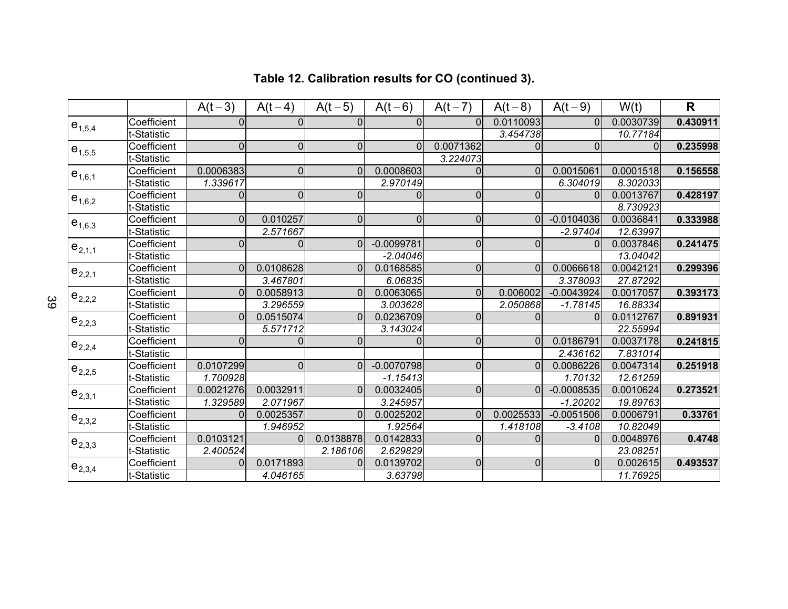|                                                                                        |             | $A(t-3)$       | $A(t-4)$       | $A(t-5)$       | $A(t-6)$       | $A(t-7)$       | $A(t-8)$       | $A(t-9)$     | W(t)      | $\mathbf R$ |
|----------------------------------------------------------------------------------------|-------------|----------------|----------------|----------------|----------------|----------------|----------------|--------------|-----------|-------------|
| $e_{1,5,4}$                                                                            | Coefficient | $\Omega$       | $\Omega$       | $\Omega$       | $\Omega$       | $\Omega$       | 0.0110093      | $\Omega$     | 0.0030739 | 0.430911    |
|                                                                                        | t-Statistic |                |                |                |                |                | 3.454738       |              | 10.77184  |             |
| $e_{1,5,5}$                                                                            | Coefficient | $\overline{0}$ | $\overline{0}$ | $\mathbf 0$    | $\overline{0}$ | 0.0071362      | 0              | $\Omega$     | $\Omega$  | 0.235998    |
|                                                                                        | t-Statistic |                |                |                |                | 3.224073       |                |              |           |             |
| $e_{1,6,1}$                                                                            | Coefficient | 0.0006383      | $\overline{0}$ | $\Omega$       | 0.0008603      | 0              | 0              | 0.0015061    | 0.0001518 | 0.156558    |
|                                                                                        | t-Statistic | 1.339617       |                |                | 2.970149       |                |                | 6.304019     | 8.302033  |             |
| $e_{1,6,2}$                                                                            | Coefficient | 0              | $\Omega$       | $\Omega$       | $\Omega$       | $\Omega$       | $\Omega$       | $\Omega$     | 0.0013767 | 0.428197    |
|                                                                                        | t-Statistic |                |                |                |                |                |                |              | 8.730923  |             |
|                                                                                        | Coefficient | $\Omega$       | 0.010257       | $\overline{0}$ | $\overline{0}$ | $\Omega$       | 0              | $-0.0104036$ | 0.0036841 | 0.333988    |
|                                                                                        | t-Statistic |                | 2.571667       |                |                |                |                | $-2.97404$   | 12.63997  |             |
|                                                                                        | Coefficient | $\mathbf 0$    | 0              | $\Omega$       | $-0.0099781$   | $\overline{0}$ | $\overline{0}$ | ſ            | 0.0037846 | 0.241475    |
|                                                                                        | t-Statistic |                |                |                | $-2.04046$     |                |                |              | 13.04042  |             |
|                                                                                        | Coefficient | $\Omega$       | 0.0108628      | $\Omega$       | 0.0168585      | $\Omega$       | 0              | 0.0066618    | 0.0042121 | 0.299396    |
| $e_{1,6,3}$<br>$e_{2,1,1}$<br>$e_{2,2,1}$<br>$e_{2,2,2}$<br>$e_{2,2,3}$<br>$e_{2,2,4}$ | t-Statistic |                | 3.467801       |                | 6.06835        |                |                | 3.378093     | 27.87292  |             |
|                                                                                        | Coefficient | $\Omega$       | 0.0058913      | $\overline{0}$ | 0.0063065      | $\Omega$       | 0.006002       | $-0.0043924$ | 0.0017057 | 0.393173    |
|                                                                                        | t-Statistic |                | 3.296559       |                | 3.003628       |                | 2.050868       | $-1.78145$   | 16.88334  |             |
|                                                                                        | Coefficient | $\Omega$       | 0.0515074      | $\Omega$       | 0.0236709      | $\Omega$       |                | ſ            | 0.0112767 | 0.891931    |
|                                                                                        | t-Statistic |                | 5.571712       |                | 3.143024       |                |                |              | 22.55994  |             |
|                                                                                        | Coefficient | $\Omega$       | 0              | $\Omega$       | $\Omega$       | $\overline{0}$ | $\Omega$       | 0.0186791    | 0.0037178 | 0.241815    |
|                                                                                        | t-Statistic |                |                |                |                |                |                | 2.436162     | 7.831014  |             |
| $e_{2,2,5}$                                                                            | Coefficient | 0.0107299      | $\overline{0}$ | $\overline{0}$ | $-0.0070798$   | $\Omega$       | $\Omega$       | 0.0086226    | 0.0047314 | 0.251918    |
|                                                                                        | t-Statistic | 1.700928       |                |                | $-1.15413$     |                |                | 1.70132      | 12.61259  |             |
| $e_{2,3,1}$                                                                            | Coefficient | 0.0021276      | 0.0032911      | $\overline{0}$ | 0.0032405      | $\overline{0}$ | $\overline{0}$ | $-0.0008535$ | 0.0010624 | 0.273521    |
|                                                                                        | t-Statistic | 1.329589       | 2.071967       |                | 3.245957       |                |                | $-1.20202$   | 19.89763  |             |
| $e_{2,3,2}$                                                                            | Coefficient | $\Omega$       | 0.0025357      | $\Omega$       | 0.0025202      | $\Omega$       | 0.0025533      | $-0.0051506$ | 0.0006791 | 0.33761     |
|                                                                                        | t-Statistic |                | 1.946952       |                | 1.92564        |                | 1.418108       | $-3.4108$    | 10.82049  |             |
| $e_{2,3,3}$                                                                            | Coefficient | 0.0103121      | $\Omega$       | 0.0138878      | 0.0142833      | $\Omega$       | 0              | $\Omega$     | 0.0048976 | 0.4748      |
|                                                                                        | t-Statistic | 2.400524       |                | 2.186106       | 2.629829       |                |                |              | 23.08251  |             |
| $e_{2,3,4}$                                                                            | Coefficient | $\Omega$       | 0.0171893      | $\Omega$       | 0.0139702      | $\Omega$       | $\overline{0}$ | $\Omega$     | 0.002615  | 0.493537    |
|                                                                                        | t-Statistic |                | 4.046165       |                | 3.63798        |                |                |              | 11.76925  |             |

# **Table 12. Calibration results for CO (continued 3).**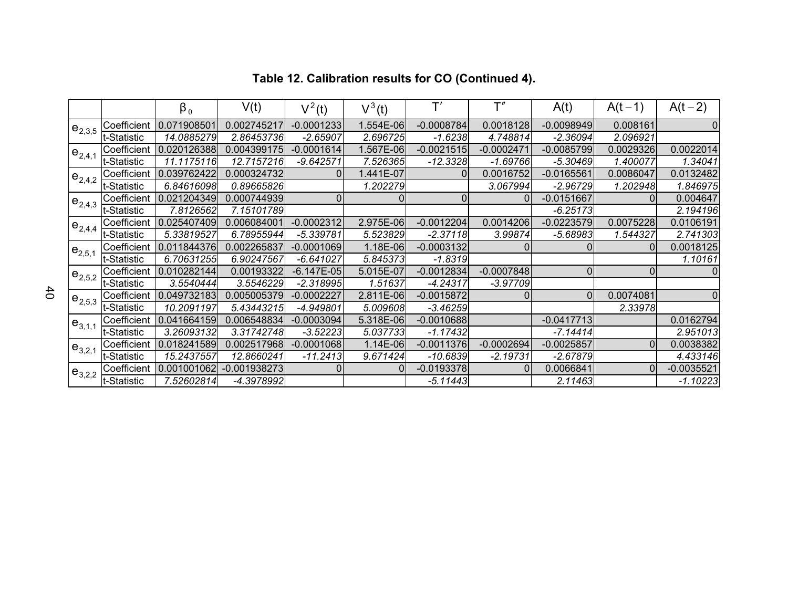|               |             | $\beta_0$   | V(t)           | $V^2(t)$       | $V^3(t)$  | $\mathsf{T}'$  | $\mathsf{T}''$ | A(t)           | $A(t-1)$       | $A(t-2)$     |
|---------------|-------------|-------------|----------------|----------------|-----------|----------------|----------------|----------------|----------------|--------------|
| $e_{2,3,5}$   | Coefficient | 0.071908501 | 0.002745217    | $-0.0001233$   | 1.554E-06 | $-0.0008784$   | 0.0018128      | $-0.0098949$   | 0.008161       | $\Omega$     |
|               | t-Statistic | 14.0885279  | 2.86453736     | $-2.65907$     | 2.696725  | $-1.6238$      | 4.748814       | $-2.36094$     | 2.096921       |              |
| $e_{2,4,1}$   | Coefficient | 0.020126388 | 0.004399175    | $-0.0001614$   | 1.567E-06 | $-0.0021515$   | $-0.0002471$   | $-0.0085799$   | 0.0029326      | 0.0022014    |
|               | t-Statistic | 11.1175116  | 12.7157216     | $-9.642571$    | 7.526365  | $-12.3328$     | $-1.69766$     | $-5.30469$     | 1.400077       | 1.34041      |
| $e_{2,4,2}$   | Coefficient | 0.039762422 | 0.000324732    | $\overline{0}$ | 1.441E-07 | 0              | 0.0016752      | $-0.0165561$   | 0.0086047      | 0.0132482    |
|               | t-Statistic | 6.84616098  | 0.89665826     |                | 1.202279  |                | 3.067994       | $-2.96729$     | 1.202948       | 1.846975     |
| $e_{2,4,3}$   | Coefficient | 0.021204349 | 0.000744939    | 0              | 0         | $\overline{0}$ | $\Omega$       | $-0.0151667$   | $\overline{0}$ | 0.004647     |
|               | t-Statistic | 7.8126562   | 7.15101789     |                |           |                |                | $-6.25173$     |                | 2.194196     |
| $e_{2,4,4}$   | Coefficient | 0.025407409 | 0.006084001    | $-0.0002312$   | 2.975E-06 | $-0.0012204$   | 0.0014206      | $-0.0223579$   | 0.0075228      | 0.0106191    |
|               | t-Statistic | 5.33819527  | 6.78955944     | $-5.339781$    | 5.523829  | $-2.37118$     | 3.99874        | $-5.68983$     | 1.544327       | 2.741303     |
| $ e_{2,5,1} $ | Coefficient | 0.011844376 | 0.002265837    | $-0.0001069$   | 1.18E-06  | $-0.0003132$   |                |                | $\Omega$       | 0.0018125    |
|               | t-Statistic | 6.70631255  | 6.90247567     | $-6.641027$    | 5.845373  | $-1.8319$      |                |                |                | 1.10161      |
| $ e_{2,5,2} $ | Coefficient | 0.010282144 | 0.00193322     | $-6.147E-05$   | 5.015E-07 | $-0.0012834$   | $-0.0007848$   | $\overline{0}$ | 0              | $\mathbf 0$  |
|               | t-Statistic | 3.5540444   | 3.5546229      | $-2.318995$    | 1.51637   | $-4.24317$     | $-3.97709$     |                |                |              |
| $e_{2,5,3}$   | Coefficient | 0.049732183 | 0.005005379    | $-0.0002227$   | 2.811E-06 | $-0.0015872$   |                | $\overline{0}$ | 0.0074081      | $\Omega$     |
|               | t-Statistic | 10.2091197  | 5.43443215     | -4.949801      | 5.009608  | $-3.46259$     |                |                | 2.33978        |              |
| $e_{3,1,1}$   | Coefficient | 0.041664159 | 0.006548834    | $-0.0003094$   | 5.318E-06 | $-0.0010688$   |                | $-0.0417713$   |                | 0.0162794    |
|               | t-Statistic | 3.26093132  | 3.31742748     | $-3.52223$     | 5.037733  | $-1.17432$     |                | $-7.14414$     |                | 2.951013     |
| $e_{3,2,1}$   | Coefficient | 0.018241589 | 0.002517968    | $-0.0001068$   | 1.14E-06  | $-0.0011376$   | $-0.0002694$   | $-0.0025857$   | $\Omega$       | 0.0038382    |
|               | t-Statistic | 15.2437557  | 12.8660241     | -11.2413       | 9.671424  | $-10.6839$     | $-2.19731$     | $-2.67879$     |                | 4.433146     |
| $e_{3,2,2}$   | Coefficient | 0.001001062 | $-0.001938273$ | 0              | $\Omega$  | $-0.0193378$   | $\Omega$       | 0.0066841      | 0              | $-0.0035521$ |
|               | t-Statistic | 7.52602814  | -4.3978992     |                |           | $-5.11443$     |                | 2.11463        |                | $-1.10223$   |

# **Table 12. Calibration results for CO (Continued 4).**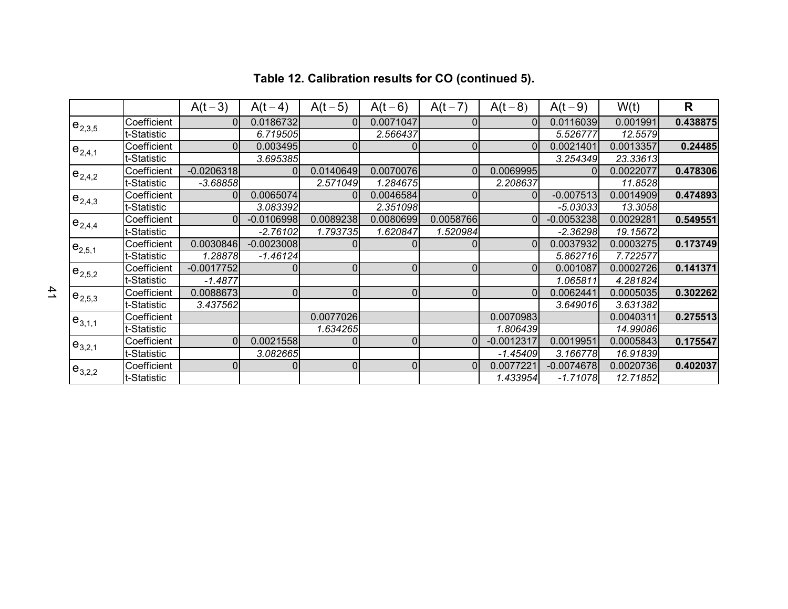|             |             | $A(t-3)$       | $A(t-4)$       | $A(t-5)$  | $A(t-6)$       | $A(t-7)$       | $A(t-8)$     | $A(t-9)$     | W(t)      | $\mathsf{R}$ |
|-------------|-------------|----------------|----------------|-----------|----------------|----------------|--------------|--------------|-----------|--------------|
| $e_{2,3,5}$ | Coefficient | $\Omega$       | 0.0186732      | 0         | 0.0071047      |                | 0            | 0.0116039    | 0.001991  | 0.438875     |
|             | t-Statistic |                | 6.719505       |           | 2.566437       |                |              | 5.526777     | 12.5579   |              |
| $e_{2,4,1}$ | Coefficient | $\Omega$       | 0.003495       | 0         | 0              | $\Omega$       | $\Omega$     | 0.0021401    | 0.0013357 | 0.24485      |
|             | t-Statistic |                | 3.695385       |           |                |                |              | 3.254349     | 23.33613  |              |
| $e_{2,4,2}$ | Coefficient | $-0.0206318$   | $\Omega$       | 0.0140649 | 0.0070076      | $\Omega$       | 0.0069995    | $\Omega$     | 0.0022077 | 0.478306     |
|             | t-Statistic | $-3.68858$     |                | 2.571049  | 1.284675       |                | 2.208637     |              | 11.8528   |              |
| $e_{2,4,3}$ | Coefficient | $\overline{0}$ | 0.0065074      |           | 0.0046584      |                | 0            | $-0.007513$  | 0.0014909 | 0.474893     |
|             | t-Statistic |                | 3.083392       |           | 2.351098       |                |              | $-5.03033$   | 13.3058   |              |
| $e_{2,4,4}$ | Coefficient | $\Omega$       | $-0.0106998$   | 0.0089238 | 0.0080699      | 0.0058766      | 0            | $-0.0053238$ | 0.0029281 | 0.549551     |
|             | t-Statistic |                | $-2.76102$     | 1.793735  | 1.620847       | 1.520984       |              | $-2.36298$   | 19.15672  |              |
| $e_{2,5,1}$ | Coefficient | 0.0030846      | $-0.0023008$   |           |                |                | $\Omega$     | 0.0037932    | 0.0003275 | 0.173749     |
|             | t-Statistic | 1.28878        | $-1.46124$     |           |                |                |              | 5.862716     | 7.722577  |              |
| $e_{2,5,2}$ | Coefficient | $-0.0017752$   | $\Omega$       | 0         | $\Omega$       | $\Omega$       | $\Omega$     | 0.001087     | 0.0002726 | 0.141371     |
|             | t-Statistic | $-1.4877$      |                |           |                |                |              | 1.065811     | 4.281824  |              |
| $e_{2,5,3}$ | Coefficient | 0.0088673      | $\overline{0}$ | 0         | $\Omega$       | $\overline{0}$ | $\Omega$     | 0.0062441    | 0.0005035 | 0.302262     |
|             | t-Statistic | 3.437562       |                |           |                |                |              | 3.649016     | 3.631382  |              |
| $e_{3,1,1}$ | Coefficient |                |                | 0.0077026 |                |                | 0.0070983    |              | 0.0040311 | 0.275513     |
|             | -Statistic  |                |                | 1.634265  |                |                | 1.806439     |              | 14.99086  |              |
| $e_{3,2,1}$ | Coefficient | $\Omega$       | 0.0021558      |           | $\overline{0}$ | $\Omega$       | $-0.0012317$ | 0.0019951    | 0.0005843 | 0.175547     |
|             | t-Statistic |                | 3.082665       |           |                |                | $-1.45409$   | 3.166778     | 16.91839  |              |
| $e_{3,2,2}$ | Coefficient | $\overline{0}$ | 0              | 0         | $\overline{0}$ | $\Omega$       | 0.0077221    | $-0.0074678$ | 0.0020736 | 0.402037     |
|             | t-Statistic |                |                |           |                |                | 1.433954     | $-1.71078$   | 12.71852  |              |

# **Table 12. Calibration results for CO (continued 5).**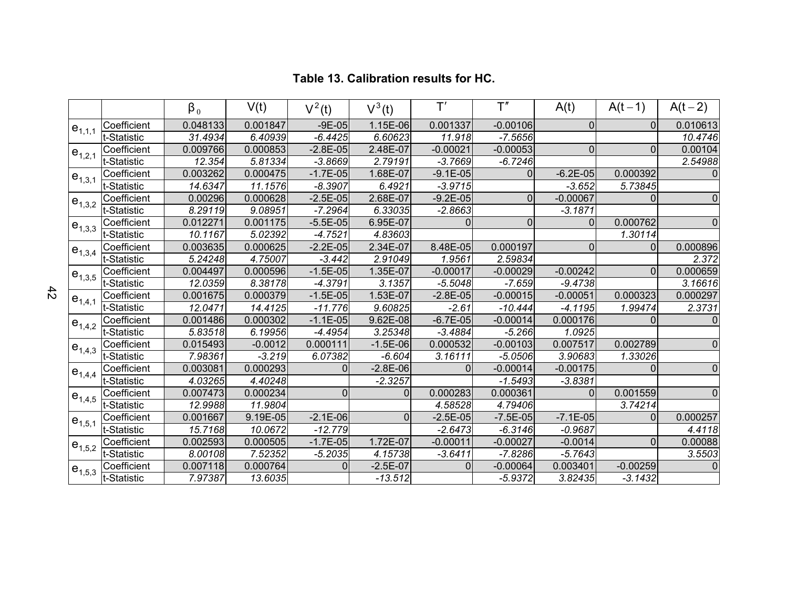|              |             | $\beta_0$            | V(t)      | $V^2(t)$     | $V^3(t)$   | T'           | T''        | A(t)           | $A(t-1)$   | $A(t-2)$       |
|--------------|-------------|----------------------|-----------|--------------|------------|--------------|------------|----------------|------------|----------------|
| $e_{1,1,1}$  | Coefficient | 0.048133             | 0.001847  | $-9E-05$     | 1.15E-06   | 0.001337     | $-0.00106$ | $\overline{0}$ | $\Omega$   | 0.010613       |
|              | t-Statistic | 31.4934              | 6.40939   | $-6.4425$    | 6.60623    | 11.918       | $-7.5656$  |                |            | 10.4746        |
| $e_{1,2,1}$  | Coefficient | 0.009766             | 0.000853  | $-2.8E-05$   | 2.48E-07   | $-0.00021$   | $-0.00053$ | 0              | $\Omega$   | 0.00104        |
|              | t-Statistic | 12.354               | 5.81334   | $-3.8669$    | 2.79191    | $-3.7669$    | $-6.7246$  |                |            | 2.54988        |
| $e_{1,3,1}$  | Coefficient | 0.003262             | 0.000475  | $-1.7E-05$   | 1.68E-07   | $-9.1E - 05$ | $\Omega$   | $-6.2E-05$     | 0.000392   | $\mathbf 0$    |
|              | t-Statistic | $\overline{14.6347}$ | 11.1576   | $-8.3907$    | 6.4921     | $-3.9715$    |            | $-3.652$       | 5.73845    |                |
| $e_{1,3,2}$  | Coefficient | 0.00296              | 0.000628  | $-2.5E-05$   | 2.68E-07   | $-9.2E - 05$ | $\Omega$   | $-0.00067$     | $\Omega$   | 0              |
|              | t-Statistic | 8.29119              | 9.08951   | $-7.2964$    | 6.33035    | $-2.8663$    |            | $-3.1871$      |            |                |
| $e_{1,3,3}$  | Coefficient | 0.012271             | 0.001175  | $-5.5E-05$   | 6.95E-07   | 0            | 0          | $\overline{0}$ | 0.000762   | $\mathbf 0$    |
|              | t-Statistic | 10.1167              | 5.02392   | $-4.7521$    | 4.83603    |              |            |                | 1.30114    |                |
| $e_{1,3,4}$  | Coefficient | 0.003635             | 0.000625  | $-2.2E - 05$ | 2.34E-07   | 8.48E-05     | 0.000197   | 0              | $\Omega$   | 0.000896       |
|              | t-Statistic | 5.24248              | 4.75007   | $-3.442$     | 2.91049    | 1.9561       | 2.59834    |                |            | 2.372          |
| $e_{1,3,5}$  | Coefficient | 0.004497             | 0.000596  | $-1.5E-05$   | 1.35E-07   | $-0.00017$   | $-0.00029$ | $-0.00242$     | $\Omega$   | 0.000659       |
|              | t-Statistic | 12.0359              | 8.38178   | $-4.3791$    | 3.1357     | $-5.5048$    | $-7.659$   | $-9.4738$      |            | 3.16616        |
| $e_{1,4,1}$  | Coefficient | 0.001675             | 0.000379  | $-1.5E-05$   | 1.53E-07   | $-2.8E-05$   | $-0.00015$ | $-0.00051$     | 0.000323   | 0.000297       |
|              | t-Statistic | 12.0471              | 14.4125   | $-11.776$    | 9.60825    | $-2.61$      | $-10.444$  | $-4.1195$      | 1.99474    | 2.3731         |
| $e_{1,4,2}$  | Coefficient | 0.001486             | 0.000302  | $-1.1E-05$   | 9.62E-08   | $-6.7E-05$   | $-0.00014$ | 0.000176       | $\Omega$   | $\Omega$       |
|              | t-Statistic | 5.83518              | 6.19956   | $-4.4954$    | 3.25348    | $-3.4884$    | $-5.266$   | 1.0925         |            |                |
| $e_{1,4,3}$  | Coefficient | 0.015493             | $-0.0012$ | 0.000111     | $-1.5E-06$ | 0.000532     | $-0.00103$ | 0.007517       | 0.002789   | $\overline{0}$ |
|              | t-Statistic | 7.98361              | $-3.219$  | 6.07382      | $-6.604$   | 3.16111      | $-5.0506$  | 3.90683        | 1.33026    |                |
| $e_{1,4,4}$  | Coefficient | 0.003081             | 0.000293  | <sup>0</sup> | $-2.8E-06$ | $\Omega$     | $-0.00014$ | $-0.00175$     | $\Omega$   | $\mathbf 0$    |
|              | t-Statistic | 4.03265              | 4.40248   |              | $-2.3257$  |              | $-1.5493$  | $-3.8381$      |            |                |
| $e_{1,4,5}$  | Coefficient | 0.007473             | 0.000234  | $\Omega$     | 0          | 0.000283     | 0.000361   | $\Omega$       | 0.001559   | $\mathbf 0$    |
|              | t-Statistic | 12.9988              | 11.9804   |              |            | 4.58528      | 4.79406    |                | 3.74214    |                |
| $e_{1,5,1}$  | Coefficient | 0.001667             | 9.19E-05  | $-2.1E-06$   | 0          | $-2.5E-05$   | $-7.5E-05$ | $-7.1E-05$     | $\Omega$   | 0.000257       |
|              | t-Statistic | 15.7168              | 10.0672   | $-12.779$    |            | $-2.6473$    | $-6.3146$  | $-0.9687$      |            | 4.4118         |
| $1e_{1,5,2}$ | Coefficient | 0.002593             | 0.000505  | $-1.7E-05$   | 1.72E-07   | $-0.00011$   | $-0.00027$ | $-0.0014$      | $\Omega$   | 0.00088        |
|              | t-Statistic | 8.00108              | 7.52352   | $-5.2035$    | 4.15738    | $-3.6411$    | $-7.8286$  | $-5.7643$      |            | 3.5503         |
| $1e_{1,5,3}$ | Coefficient | 0.007118             | 0.000764  |              | $-2.5E-07$ | U            | $-0.00064$ | 0.003401       | $-0.00259$ | $\mathbf 0$    |
|              | t-Statistic | 7.97387              | 13.6035   |              | $-13.512$  |              | $-5.9372$  | 3.82435        | $-3.1432$  |                |

#### **Table 13. Calibration results for HC.**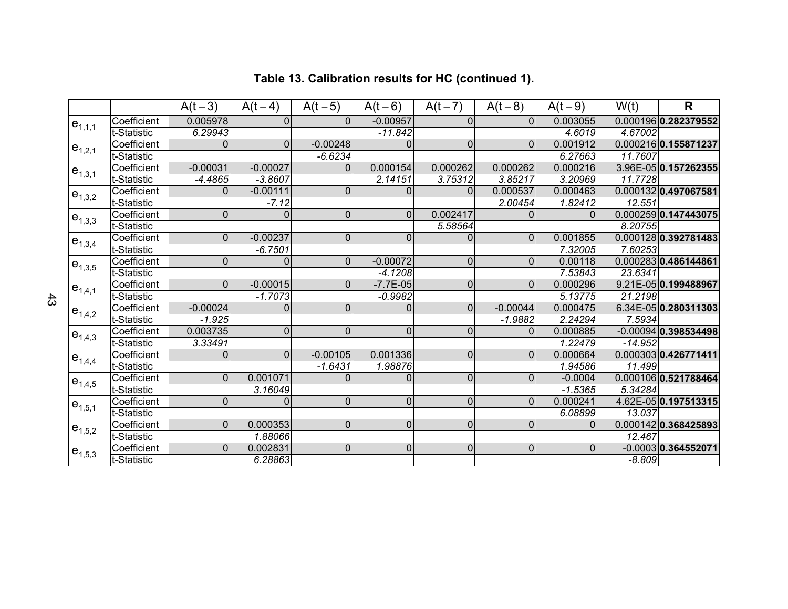|             |             | $A(t-3)$       | $A(t-4)$       | $A(t-5)$       | $A(t-6)$       | $A(t-7)$       | $A(t-8)$     | $A(t-9)$     | W(t)      | $\mathsf{R}$           |
|-------------|-------------|----------------|----------------|----------------|----------------|----------------|--------------|--------------|-----------|------------------------|
| $e_{1,1,1}$ | Coefficient | 0.005978       | $\overline{0}$ | $\Omega$       | $-0.00957$     | $\overline{0}$ | $\Omega$     | 0.003055     |           | 0.000196 0.282379552   |
|             | t-Statistic | 6.29943        |                |                | $-11.842$      |                |              | 4.6019       | 4.67002   |                        |
| $e_{1,2,1}$ | Coefficient | $\Omega$       | $\Omega$       | $-0.00248$     | $\Omega$       | $\pmb{0}$      | $\Omega$     | 0.001912     |           | 0.000216 0.155871237   |
|             | t-Statistic |                |                | $-6.6234$      |                |                |              | 6.27663      | 11.7607   |                        |
| $e_{1,3,1}$ | Coefficient | $-0.00031$     | $-0.00027$     | $\overline{0}$ | 0.000154       | 0.000262       | 0.000262     | 0.000216     |           | 3.96E-05 0.157262355   |
|             | t-Statistic | $-4.4865$      | $-3.8607$      |                | 2.14151        | 3.75312        | 3.85217      | 3.20969      | 11.7728   |                        |
| $e_{1,3,2}$ | Coefficient | $\Omega$       | $-0.00111$     | $\pmb{0}$      | $\overline{0}$ | $\Omega$       | 0.000537     | 0.000463     |           | 0.000132 0.497067581   |
|             | t-Statistic |                | $-7.12$        |                |                |                | 2.00454      | 1.82412      | 12.551    |                        |
| $e_{1,3,3}$ | Coefficient | $\pmb{0}$      | $\mathbf 0$    | $\pmb{0}$      | $\Omega$       | 0.002417       | $\Omega$     | $\Omega$     |           | 0.000259 0.147443075   |
|             | t-Statistic |                |                |                |                | 5.58564        |              |              | 8.20755   |                        |
| $e_{1,3,4}$ | Coefficient | $\Omega$       | $-0.00237$     | $\overline{0}$ | 0              | $\overline{0}$ | $\Omega$     | 0.001855     |           | 0.000128 0.392781483   |
|             | t-Statistic |                | $-6.7501$      |                |                |                |              | 7.32005      | 7.60253   |                        |
| $e_{1,3,5}$ | Coefficient | $\mathbf 0$    | 0              | $\overline{0}$ | $-0.00072$     | $\pmb{0}$      | $\Omega$     | 0.00118      |           | 0.000283 0.486144861   |
|             | t-Statistic |                |                |                | $-4.1208$      |                |              | 7.53843      | 23.6341   |                        |
| $e_{1,4,1}$ | Coefficient | $\overline{0}$ | $-0.00015$     | $\overline{0}$ | $-7.7E-05$     | $\pmb{0}$      | $\mathbf{0}$ | 0.000296     |           | 9.21E-05 0.199488967   |
|             | t-Statistic |                | $-1.7073$      |                | $-0.9982$      |                |              | 5.13775      | 21.2198   |                        |
| $e_{1,4,2}$ | Coefficient | $-0.00024$     | $\Omega$       | $\overline{0}$ | $\overline{0}$ | $\overline{0}$ | $-0.00044$   | 0.000475     |           | 6.34E-05 0.280311303   |
|             | t-Statistic | $-1.925$       |                |                |                |                | $-1.9882$    | 2.24294      | 7.5934    |                        |
| $e_{1,4,3}$ | Coefficient | 0.003735       | 0              | $\mathbf 0$    | $\mathbf 0$    | $\overline{0}$ | $\Omega$     | 0.000885     |           | $-0.00094$ 0.398534498 |
|             | t-Statistic | 3.33491        |                |                |                |                |              | 1.22479      | $-14.952$ |                        |
| $e_{1,4,4}$ | Coefficient | $\mathbf 0$    | $\overline{0}$ | $-0.00105$     | 0.001336       | $\pmb{0}$      | $\mathbf{0}$ | 0.000664     |           | 0.0003030.426771411    |
|             | t-Statistic |                |                | $-1.6431$      | 1.98876        |                |              | 1.94586      | 11.499    |                        |
| $e_{1,4,5}$ | Coefficient | $\overline{0}$ | 0.001071       | 0              | $\overline{0}$ | $\mathbf 0$    | $\mathbf{0}$ | $-0.0004$    |           | 0.000106 0.521788464   |
|             | t-Statistic |                | 3.16049        |                |                |                |              | $-1.5365$    | 5.34284   |                        |
| $e_{1,5,1}$ | Coefficient | $\overline{0}$ | $\mathbf 0$    | $\pmb{0}$      | $\overline{0}$ | $\pmb{0}$      | $\mathbf 0$  | 0.000241     |           | 4.62E-05 0.197513315   |
|             | t-Statistic |                |                |                |                |                |              | 6.08899      | 13.037    |                        |
| $e_{1,5,2}$ | Coefficient | $\overline{0}$ | 0.000353       | $\overline{0}$ | 0              | 0              | $\Omega$     | $\Omega$     |           | 0.000142 0.368425893   |
|             | t-Statistic |                | 1.88066        |                |                |                |              |              | 12.467    |                        |
| $e_{1,5,3}$ | Coefficient | $\Omega$       | 0.002831       | $\mathbf 0$    | $\overline{0}$ | $\pmb{0}$      | $\mathbf 0$  | $\mathbf{0}$ |           | $-0.0003$ 0.364552071  |
|             | t-Statistic |                | 6.28863        |                |                |                |              |              | $-8.809$  |                        |

# **Table 13. Calibration results for HC (continued 1).**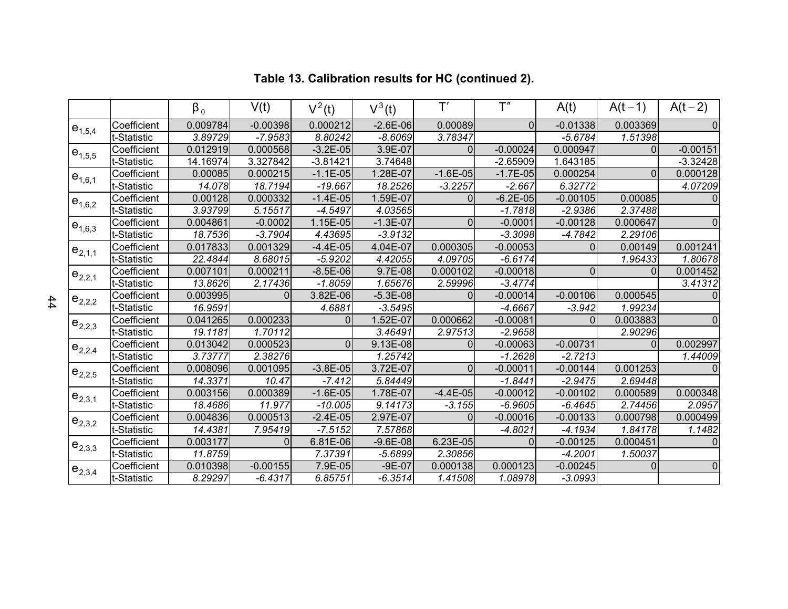|             |             | $\beta_0$ | V(t)       | $V^2(t)$     | $V^3(t)$   | $\mathsf{T}'$  | $\mathsf{T}''$ | A(t)       | $A(t-1)$ | $A(t-2)$     |
|-------------|-------------|-----------|------------|--------------|------------|----------------|----------------|------------|----------|--------------|
| $e_{1,5,4}$ | Coefficient | 0.009784  | $-0.00398$ | 0.000212     | $-2.6E-06$ | 0.00089        | $\Omega$       | $-0.01338$ | 0.003369 | $\Omega$     |
|             | t-Statistic | 3.89729   | $-7.9583$  | 8.80242      | $-8.6069$  | 3.78347        |                | $-5.6784$  | 1.51398  |              |
| $e_{1,5,5}$ | Coefficient | 0.012919  | 0.000568   | $-3.2E - 05$ | 3.9E-07    | $\overline{0}$ | $-0.00024$     | 0.000947   | 0        | $-0.00151$   |
|             | t-Statistic | 14.16974  | 3.327842   | $-3.81421$   | 3.74648    |                | $-2.65909$     | 1.643185   |          | $-3.32428$   |
| $e_{1,6,1}$ | Coefficient | 0.00085   | 0.000215   | $-1.1E-05$   | 1.28E-07   | $-1.6E-05$     | $-1.7E-05$     | 0.000254   | $\Omega$ | 0.000128     |
|             | t-Statistic | 14.078    | 18.7194    | $-19.667$    | 18.2526    | $-3.2257$      | $-2.667$       | 6.32772    |          | 4.07209      |
| $e_{1,6,2}$ | Coefficient | 0.00128   | 0.000332   | $-1.4E-05$   | 1.59E-07   | $\Omega$       | $-6.2E-05$     | $-0.00105$ | 0.00085  | $\Omega$     |
|             | t-Statistic | 3.93799   | 5.15517    | $-4.5497$    | 4.03565    |                | $-1.7818$      | $-2.9386$  | 2.37488  |              |
| $e_{1,6,3}$ | Coefficient | 0.004861  | $-0.0002$  | 1.15E-05     | $-1.3E-07$ | 0              | $-0.0001$      | $-0.00128$ | 0.000647 | 0            |
|             | t-Statistic | 18.7536   | $-3.7904$  | 4.43695      | $-3.9132$  |                | $-3.3098$      | $-4.7842$  | 2.29106  |              |
| $e_{2,1,1}$ | Coefficient | 0.017833  | 0.001329   | $-4.4E-05$   | 4.04E-07   | 0.000305       | $-0.00053$     | $\Omega$   | 0.00149  | 0.001241     |
|             | t-Statistic | 22.4844   | 8.68015    | $-5.9202$    | 4.42055    | 4.09705        | $-6.6174$      |            | 1.96433  | 1.80678      |
| $e_{2,2,1}$ | Coefficient | 0.007101  | 0.000211   | $-8.5E-06$   | 9.7E-08    | 0.000102       | $-0.00018$     | $\Omega$   | 0        | 0.001452     |
|             | t-Statistic | 13.8626   | 2.17436    | $-1.8059$    | 1.65676    | 2.59996        | $-3.4774$      |            |          | 3.41312      |
| $e_{2,2,2}$ | Coefficient | 0.003995  | 0          | 3.82E-06     | $-5.3E-08$ | $\Omega$       | $-0.00014$     | $-0.00106$ | 0.000545 | $\Omega$     |
|             | t-Statistic | 16.9591   |            | 4.6881       | $-3.5495$  |                | $-4.6667$      | $-3.942$   | 1.99234  |              |
| $e_{2,2,3}$ | Coefficient | 0.041265  | 0.000233   | $\mathbf{0}$ | 1.52E-07   | 0.000662       | $-0.00081$     |            | 0.003883 | $\Omega$     |
|             | t-Statistic | 19.1181   | 1.70112    |              | 3.46491    | 2.97513        | $-2.9658$      |            | 2.90296  |              |
| $e_{2,2,4}$ | Coefficient | 0.013042  | 0.000523   | 0            | 9.13E-08   | $\Omega$       | $-0.00063$     | $-0.00731$ | $\Omega$ | 0.002997     |
|             | t-Statistic | 3.73777   | 2.38276    |              | 1.25742    |                | $-1.2628$      | $-2.7213$  |          | 1.44009      |
| $e_{2,2,5}$ | Coefficient | 0.008096  | 0.001095   | $-3.8E-05$   | 3.72E-07   | $\Omega$       | $-0.00011$     | $-0.00144$ | 0.001253 | <sup>0</sup> |
|             | t-Statistic | 14.3371   | 10.47      | $-7.412$     | 5.84449    |                | $-1.8441$      | $-2.9475$  | 2.69448  |              |
| $e_{2,3,1}$ | Coefficient | 0.003156  | 0.000389   | $-1.6E-05$   | 1.78E-07   | $-4.4E-05$     | $-0.00012$     | $-0.00102$ | 0.000589 | 0.000348     |
|             | t-Statistic | 18.4686   | 11.977     | $-10.005$    | 9.14173    | $-3.155$       | $-6.9605$      | $-6.4645$  | 2.74456  | 2.0957       |
| $e_{2,3,2}$ | Coefficient | 0.004836  | 0.000513   | $-2.4E-05$   | 2.97E-07   | 0              | $-0.00016$     | $-0.00133$ | 0.000798 | 0.000499     |
|             | t-Statistic | 14.4381   | 7.95419    | $-7.5152$    | 7.57868    |                | $-4.8021$      | $-4.1934$  | 1.84178  | 1.1482       |
| $e_{2,3,3}$ | Coefficient | 0.003177  | $\Omega$   | 6.81E-06     | $-9.6E-08$ | 6.23E-05       | $\Omega$       | $-0.00125$ | 0.000451 | $\Omega$     |
|             | t-Statistic | 11.8759   |            | 7.37391      | $-5.6899$  | 2.30856        |                | $-4.2001$  | 1.50037  |              |
| $e_{2,3,4}$ | Coefficient | 0.010398  | $-0.00155$ | 7.9E-05      | $-9E-07$   | 0.000138       | 0.000123       | $-0.00245$ | 0        | $\mathbf 0$  |
|             | t-Statistic | 8.29297   | $-6.4317$  | 6.85751      | $-6.3514$  | 1.41508        | 1.08978        | $-3.0993$  |          |              |

# **Table 13. Calibration results for HC (continued 2).**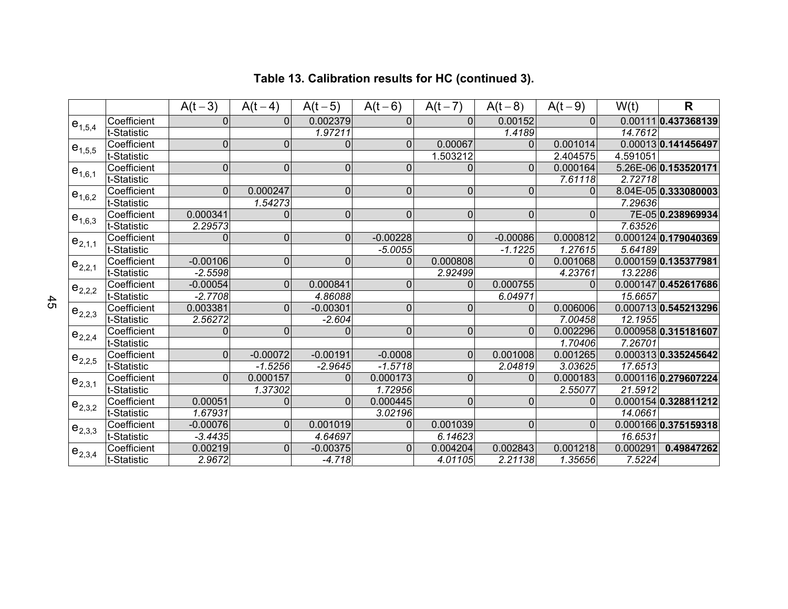|             |             | $A(t-3)$       | $A(t-4)$       | $A(t-5)$       | $A(t-6)$       | $A(t-7)$       | $A(t-8)$       | $A(t-9)$       | W(t)     | $\mathsf{R}$         |
|-------------|-------------|----------------|----------------|----------------|----------------|----------------|----------------|----------------|----------|----------------------|
| $e_{1,5,4}$ | Coefficient | $\mathbf 0$    | $\Omega$       | 0.002379       | $\overline{0}$ | $\Omega$       | 0.00152        | $\Omega$       |          | 0.00111 0.437368139  |
|             | t-Statistic |                |                | 1.97211        |                |                | 1.4189         |                | 14.7612  |                      |
|             | Coefficient | $\pmb{0}$      | $\mathbf 0$    | $\pmb{0}$      | $\overline{0}$ | 0.00067        | $\Omega$       | 0.001014       |          | 0.00013 0.141456497  |
| $e_{1,5,5}$ | t-Statistic |                |                |                |                | 1.503212       |                | 2.404575       | 4.591051 |                      |
| $e_{1,6,1}$ | Coefficient | $\pmb{0}$      | $\overline{0}$ | $\mathbf 0$    | $\overline{0}$ | $\mathbf 0$    | $\Omega$       | 0.000164       |          | 5.26E-06 0.153520171 |
|             | t-Statistic |                |                |                |                |                |                | 7.61118        | 2.72718  |                      |
| $e_{1,6,2}$ | Coefficient | $\overline{0}$ | 0.000247       | $\pmb{0}$      | $\overline{0}$ | $\pmb{0}$      | $\overline{0}$ | $\Omega$       |          | 8.04E-05 0.333080003 |
|             | t-Statistic |                | 1.54273        |                |                |                |                |                | 7.29636  |                      |
| $e_{1,6,3}$ | Coefficient | 0.000341       | $\overline{0}$ | $\pmb{0}$      | $\overline{0}$ | $\pmb{0}$      | $\overline{0}$ | $\overline{0}$ |          | 7E-05 0.238969934    |
|             | t-Statistic | 2.29573        |                |                |                |                |                |                | 7.63526  |                      |
| $e_{2,1,1}$ | Coefficient | $\mathbf 0$    | $\overline{0}$ | $\overline{0}$ | $-0.00228$     | $\overline{0}$ | $-0.00086$     | 0.000812       |          | 0.000124 0.179040369 |
|             | t-Statistic |                |                |                | $-5.0055$      |                | $-1.1225$      | 1.27615        | 5.64189  |                      |
| $e_{2,2,1}$ | Coefficient | $-0.00106$     | $\overline{0}$ | $\mathbf 0$    | $\Omega$       | 0.000808       | $\Omega$       | 0.001068       |          | 0.0001590.135377981  |
|             | t-Statistic | $-2.5598$      |                |                |                | 2.92499        |                | 4.23761        | 13.2286  |                      |
| $e_{2,2,2}$ | Coefficient | $-0.00054$     | $\overline{0}$ | 0.000841       | $\overline{0}$ | $\overline{0}$ | 0.000755       | $\Omega$       |          | 0.000147 0.452617686 |
|             | t-Statistic | $-2.7708$      |                | 4.86088        |                |                | 6.04971        |                | 15.6657  |                      |
| $e_{2,2,3}$ | Coefficient | 0.003381       | $\overline{0}$ | $-0.00301$     | $\overline{0}$ | $\overline{0}$ | $\Omega$       | 0.006006       |          | 0.000713 0.545213296 |
|             | t-Statistic | 2.56272        |                | $-2.604$       |                |                |                | 7.00458        | 12.1955  |                      |
| $e_{2,2,4}$ | Coefficient | $\mathbf 0$    | $\overline{0}$ | 0              | $\overline{0}$ | $\pmb{0}$      | $\overline{0}$ | 0.002296       |          | 0.000958 0.315181607 |
|             | t-Statistic |                |                |                |                |                |                | 1.70406        | 7.26701  |                      |
| $e_{2,2,5}$ | Coefficient | 0              | $-0.00072$     | $-0.00191$     | $-0.0008$      | 0              | 0.001008       | 0.001265       |          | 0.000313 0.335245642 |
|             | t-Statistic |                | $-1.5256$      | $-2.9645$      | $-1.5718$      |                | 2.04819        | 3.03625        | 17.6513  |                      |
| $e_{2,3,1}$ | Coefficient | $\overline{0}$ | 0.000157       | $\overline{0}$ | 0.000173       | $\overline{0}$ | $\Omega$       | 0.000183       |          | 0.0001160.279607224  |
|             | t-Statistic |                | 1.37302        |                | 1.72956        |                |                | 2.55077        | 21.5912  |                      |
| $e_{2,3,2}$ | Coefficient | 0.00051        | $\overline{0}$ | $\overline{0}$ | 0.000445       | $\overline{0}$ | $\Omega$       | $\Omega$       |          | 0.000154 0.328811212 |
|             | t-Statistic | 1.67931        |                |                | 3.02196        |                |                |                | 14.0661  |                      |
| $e_{2,3,3}$ | Coefficient | $-0.00076$     | $\Omega$       | 0.001019       | $\Omega$       | 0.001039       | $\overline{0}$ | $\Omega$       |          | 0.000166 0.375159318 |
|             | t-Statistic | $-3.4435$      |                | 4.64697        |                | 6.14623        |                |                | 16.6531  |                      |
| $e_{2,3,4}$ | Coefficient | 0.00219        | $\Omega$       | $-0.00375$     | $\Omega$       | 0.004204       | 0.002843       | 0.001218       | 0.000291 | 0.49847262           |
|             | t-Statistic | 2.9672         |                | $-4.718$       |                | 4.01105        | 2.21138        | 1.35656        | 7.5224   |                      |

# **Table 13. Calibration results for HC (continued 3).**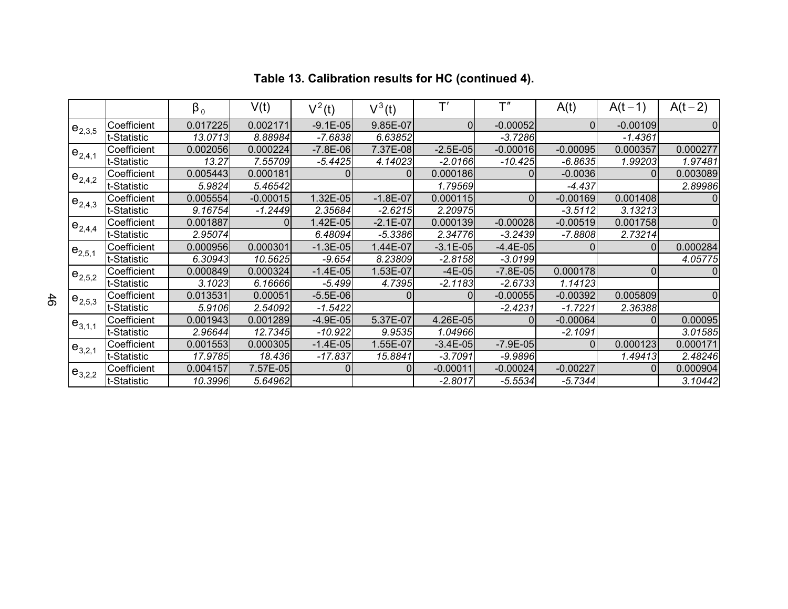|             |             | $\beta_0$ | V(t)       | $V^2(t)$     | $V^3(t)$   | $\mathsf{T}'$  | $\mathsf{T}''$ | A(t)       | $A(t-1)$   | $A(t-2)$ |
|-------------|-------------|-----------|------------|--------------|------------|----------------|----------------|------------|------------|----------|
| $e_{2,3,5}$ | Coefficient | 0.017225  | 0.002171   | $-9.1E - 05$ | 9.85E-07   | $\overline{0}$ | $-0.00052$     | $\Omega$   | $-0.00109$ | 0        |
|             | t-Statistic | 13.0713   | 8.88984    | $-7.6838$    | 6.63852    |                | $-3.7286$      |            | $-1.4361$  |          |
| $e_{2,4,1}$ | Coefficient | 0.002056  | 0.000224   | $-7.8E - 06$ | 7.37E-08   | $-2.5E-05$     | $-0.00016$     | $-0.00095$ | 0.000357   | 0.000277 |
|             | t-Statistic | 13.27     | 7.55709    | $-5.4425$    | 4.14023    | $-2.0166$      | $-10.425$      | $-6.8635$  | 1.99203    | 1.97481  |
| $e_{2,4,2}$ | Coefficient | 0.005443  | 0.000181   |              |            | 0.000186       |                | $-0.0036$  | 01         | 0.003089 |
|             | t-Statistic | 5.9824    | 5.46542    |              |            | 1.79569        |                | -4.437     |            | 2.89986  |
| $e_{2,4,3}$ | Coefficient | 0.005554  | $-0.00015$ | 1.32E-05     | $-1.8E-07$ | 0.000115       | $\Omega$       | $-0.00169$ | 0.001408   |          |
|             | t-Statistic | 9.16754   | $-1.2449$  | 2.35684      | $-2.6215$  | 2.20975        |                | $-3.5112$  | 3.13213    |          |
| $e_{2,4,4}$ | Coefficient | 0.001887  | 0          | 1.42E-05     | $-2.1E-07$ | 0.000139       | $-0.00028$     | $-0.00519$ | 0.001758   | 0        |
|             | t-Statistic | 2.95074   |            | 6.48094      | $-5.3386$  | 2.34776        | $-3.2439$      | $-7.8808$  | 2.73214    |          |
| $e_{2,5,1}$ | Coefficient | 0.000956  | 0.000301   | $-1.3E-05$   | 1.44E-07   | $-3.1E-05$     | $-4.4E-05$     | 0          |            | 0.000284 |
|             | t-Statistic | 6.30943   | 10.5625    | $-9.654$     | 8.23809    | $-2.8158$      | $-3.0199$      |            |            | 4.05775  |
| $e_{2,5,2}$ | Coefficient | 0.000849  | 0.000324   | $-1.4E-05$   | .53E-07    | $-4E-05$       | $-7.8E - 05$   | 0.000178   | 0          |          |
|             | t-Statistic | 3.1023    | 6.16666    | $-5.499$     | 4.7395     | $-2.1183$      | $-2.6733$      | 1.14123    |            |          |
| $e_{2,5,3}$ | Coefficient | 0.013531  | 0.00051    | $-5.5E-06$   |            | $\Omega$       | $-0.00055$     | $-0.00392$ | 0.005809   | 0        |
|             | t-Statistic | 5.9106    | 2.54092    | $-1.5422$    |            |                | $-2.4231$      | $-1.7221$  | 2.36388    |          |
| $e_{3,1,1}$ | Coefficient | 0.001943  | 0.001289   | $-4.9E-05$   | 5.37E-07   | 4.26E-05       | $\Omega$       | $-0.00064$ | 01         | 0.00095  |
|             | t-Statistic | 2.96644   | 12.7345    | $-10.922$    | 9.9535     | 1.04966        |                | $-2.1091$  |            | 3.01585  |
| $e_{3,2,1}$ | Coefficient | 0.001553  | 0.000305   | $-1.4E-05$   | .55E-07    | $-3.4E-05$     | $-7.9E - 05$   | $\Omega$   | 0.000123   | 0.000171 |
|             | t-Statistic | 17.9785   | 18.436     | $-17.837$    | 15.8841    | $-3.7091$      | $-9.9896$      |            | 1.49413    | 2.48246  |
| $e_{3,2,2}$ | Coefficient | 0.004157  | 7.57E-05   | $\mathbf 0$  | 0          | $-0.00011$     | $-0.00024$     | $-0.00227$ | 0          | 0.000904 |
|             | t-Statistic | 10.3996   | 5.64962    |              |            | $-2.8017$      | $-5.5534$      | $-5.7344$  |            | 3.10442  |

# **Table 13. Calibration results for HC (continued 4).**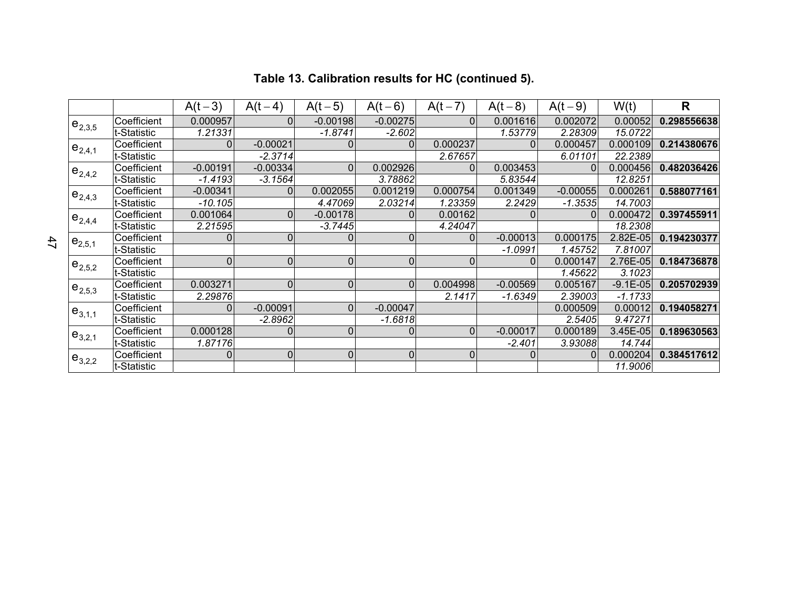|             |              | $A(t-3)$    | $A(t-4)$       | $A(t-5)$       | $A(t-6)$    | $A(t-7)$       | $A(t-8)$   | $A(t-9)$       | W(t)       | R           |
|-------------|--------------|-------------|----------------|----------------|-------------|----------------|------------|----------------|------------|-------------|
| $e_{2,3,5}$ | Coefficient  | 0.000957    | 0              | $-0.00198$     | $-0.00275$  | $\overline{0}$ | 0.001616   | 0.002072       | 0.00052    | 0.298556638 |
|             | ∣t-Statistic | 1.21331     |                | $-1.8741$      | $-2.602$    |                | 1.53779    | 2.28309        | 15.0722    |             |
| $e_{2,4,1}$ | Coefficient  | 0           | $-0.00021$     | 0              | $\Omega$    | 0.000237       | $\Omega$   | 0.000457       | 0.000109   | 0.214380676 |
|             | t-Statistic  |             | $-2.3714$      |                |             | 2.67657        |            | 6.01101        | 22.2389    |             |
| $e_{2,4,2}$ | Coefficient  | $-0.00191$  | $-0.00334$     | $\overline{0}$ | 0.002926    | 0              | 0.003453   | $\Omega$       | 0.000456   | 0.482036426 |
|             | t-Statistic  | $-1.4193$   | $-3.1564$      |                | 3.78862     |                | 5.83544    |                | 12.8251    |             |
| $e_{2,4,3}$ | Coefficient  | $-0.00341$  | 0              | 0.002055       | 0.001219    | 0.000754       | 0.001349   | $-0.00055$     | 0.000261   | 0.588077161 |
|             | t-Statistic  | $-10.105$   |                | 4.47069        | 2.03214     | 1.23359        | 2.2429     | $-1.3535$      | 14.7003    |             |
| $e_{2,4,4}$ | Coefficient  | 0.001064    | $\overline{0}$ | $-0.00178$     | 0           | 0.00162        |            | $\overline{0}$ | 0.000472   | 0.397455911 |
|             | t-Statistic  | 2.21595     |                | $-3.7445$      |             | 4.24047        |            |                | 18.2308    |             |
| $e_{2,5,1}$ | Coefficient  | 0           | $\Omega$       | $\mathbf 0$    | $\mathbf 0$ | 0              | $-0.00013$ | 0.000175       | 2.82E-05   | 0.194230377 |
|             | t-Statistic  |             |                |                |             |                | $-1.0991$  | 1.45752        | 7.81007    |             |
| $e_{2,5,2}$ | Coefficient  | $\mathbf 0$ | $\Omega$       | $\mathbf 0$    | 0           | 0              | 0          | 0.000147       | 2.76E-05   | 0.184736878 |
|             | t-Statistic  |             |                |                |             |                |            | 1.45622        | 3.1023     |             |
| $e_{2,5,3}$ | Coefficient  | 0.003271    | 0              | 0              | $\Omega$    | 0.004998       | $-0.00569$ | 0.005167       | $-9.1E-05$ | 0.205702939 |
|             | t-Statistic  | 2.29876     |                |                |             | 2.1417         | $-1.6349$  | 2.39003        | $-1.1733$  |             |
| $e_{3,1,1}$ | Coefficient  | 0           | $-0.00091$     | $\overline{0}$ | $-0.00047$  |                |            | 0.000509       | 0.00012    | 0.194058271 |
|             | t-Statistic  |             | $-2.8962$      |                | $-1.6818$   |                |            | 2.5405         | 9.47271    |             |
| $e_{3,2,1}$ | Coefficient  | 0.000128    | 0              | $\mathbf 0$    | 0           | $\overline{0}$ | $-0.00017$ | 0.000189       | 3.45E-05   | 0.189630563 |
|             | t-Statistic  | 1.87176     |                |                |             |                | $-2.401$   | 3.93088        | 14.744     |             |
| $e_{3,2,2}$ | Coefficient  | 0           | 0              | $\pmb{0}$      | $\pmb{0}$   | 0              | 0          | $\Omega$       | 0.000204   | 0.384517612 |
|             | t-Statistic  |             |                |                |             |                |            |                | 11.9006    |             |

## **Table 13. Calibration results for HC (continued 5).**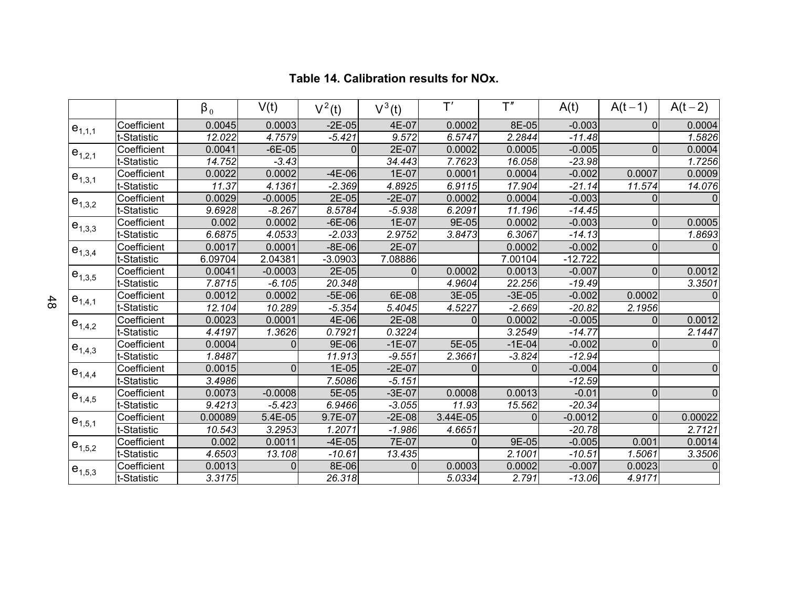|             |             | $\beta_0$ | V(t)      | $\overline{V}^2(t)$ | $V^3(t)$ | $\mathsf{T}'$ | T''      | A(t)      | $A(t-1)$    | $A(t-2)$    |
|-------------|-------------|-----------|-----------|---------------------|----------|---------------|----------|-----------|-------------|-------------|
| $e_{1,1,1}$ | Coefficient | 0.0045    | 0.0003    | $-2E-05$            | 4E-07    | 0.0002        | 8E-05    | $-0.003$  | $\Omega$    | 0.0004      |
|             | t-Statistic | 12.022    | 4.7579    | $-5.421$            | 9.572    | 6.5747        | 2.2844   | $-11.48$  |             | 1.5826      |
| $e_{1,2,1}$ | Coefficient | 0.0041    | $-6E-05$  | 0                   | 2E-07    | 0.0002        | 0.0005   | $-0.005$  | $\mathbf 0$ | 0.0004      |
|             | t-Statistic | 14.752    | $-3.43$   |                     | 34.443   | 7.7623        | 16.058   | $-23.98$  |             | 1.7256      |
| $e_{1,3,1}$ | Coefficient | 0.0022    | 0.0002    | $-4E-06$            | 1E-07    | 0.0001        | 0.0004   | $-0.002$  | 0.0007      | 0.0009      |
|             | t-Statistic | 11.37     | 4.1361    | $-2.369$            | 4.8925   | 6.9115        | 17.904   | $-21.14$  | 11.574      | 14.076      |
| $e_{1,3,2}$ | Coefficient | 0.0029    | $-0.0005$ | 2E-05               | $-2E-07$ | 0.0002        | 0.0004   | $-0.003$  | $\Omega$    | $\Omega$    |
|             | t-Statistic | 9.6928    | $-8.267$  | 8.5784              | $-5.938$ | 6.2091        | 11.196   | $-14.45$  |             |             |
| $e_{1,3,3}$ | Coefficient | 0.002     | 0.0002    | $-6E-06$            | 1E-07    | 9E-05         | 0.0002   | $-0.003$  | 0           | 0.0005      |
|             | t-Statistic | 6.6875    | 4.0533    | $-2.033$            | 2.9752   | 3.8473        | 6.3067   | $-14.13$  |             | 1.8693      |
| $e_{1,3,4}$ | Coefficient | 0.0017    | 0.0001    | $-8E-06$            | 2E-07    |               | 0.0002   | $-0.002$  | $\mathbf 0$ | $\Omega$    |
|             | t-Statistic | 6.09704   | 2.04381   | $-3.0903$           | 7.08886  |               | 7.00104  | $-12.722$ |             |             |
| $e_{1,3,5}$ | Coefficient | 0.0041    | $-0.0003$ | 2E-05               | $\Omega$ | 0.0002        | 0.0013   | $-0.007$  | $\mathbf 0$ | 0.0012      |
|             | t-Statistic | 7.8715    | $-6.105$  | 20.348              |          | 4.9604        | 22.256   | $-19.49$  |             | 3.3501      |
| $e_{1,4,1}$ | Coefficient | 0.0012    | 0.0002    | $-5E-06$            | 6E-08    | 3E-05         | $-3E-05$ | $-0.002$  | 0.0002      | $\Omega$    |
|             | t-Statistic | 12.104    | 10.289    | $-5.354$            | 5.4045   | 4.5227        | $-2.669$ | $-20.82$  | 2.1956      |             |
| $e_{1,4,2}$ | Coefficient | 0.0023    | 0.0001    | 4E-06               | 2E-08    | $\mathbf 0$   | 0.0002   | $-0.005$  | $\Omega$    | 0.0012      |
|             | t-Statistic | 4.4197    | 1.3626    | 0.7921              | 0.3224   |               | 3.2549   | $-14.77$  |             | 2.1447      |
| $e_{1,4,3}$ | Coefficient | 0.0004    | $\Omega$  | 9E-06               | $-1E-07$ | 5E-05         | $-1E-04$ | $-0.002$  | $\Omega$    | $\mathbf 0$ |
|             | t-Statistic | 1.8487    |           | 11.913              | $-9.551$ | 2.3661        | $-3.824$ | $-12.94$  |             |             |
| $e_{1,4,4}$ | Coefficient | 0.0015    | $\Omega$  | 1E-05               | $-2E-07$ | O             | $\Omega$ | $-0.004$  | $\Omega$    | $\Omega$    |
|             | t-Statistic | 3.4986    |           | 7.5086              | $-5.151$ |               |          | $-12.59$  |             |             |
| $e_{1,4,5}$ | Coefficient | 0.0073    | $-0.0008$ | 5E-05               | $-3E-07$ | 0.0008        | 0.0013   | $-0.01$   | 0           | 0           |
|             | t-Statistic | 9.4213    | $-5.423$  | 6.9466              | $-3.055$ | 11.93         | 15.562   | $-20.34$  |             |             |
| $e_{1,5,1}$ | Coefficient | 0.00089   | 5.4E-05   | 9.7E-07             | $-2E-08$ | 3.44E-05      | 0        | $-0.0012$ | $\Omega$    | 0.00022     |
|             | t-Statistic | 10.543    | 3.2953    | 1.2071              | $-1.986$ | 4.6651        |          | $-20.78$  |             | 2.7121      |
| $e_{1,5,2}$ | Coefficient | 0.002     | 0.0011    | $-4E-05$            | 7E-07    | 0             | 9E-05    | $-0.005$  | 0.001       | 0.0014      |
|             | t-Statistic | 4.6503    | 13.108    | $-10.61$            | 13.435   |               | 2.1001   | $-10.51$  | 1.5061      | 3.3506      |
|             | Coefficient | 0.0013    | $\Omega$  | 8E-06               | $\Omega$ | 0.0003        | 0.0002   | $-0.007$  | 0.0023      | 0           |
| $e_{1,5,3}$ | t-Statistic | 3.3175    |           | 26.318              |          | 5.0334        | 2.791    | $-13.06$  | 4.9171      |             |

#### **Table 14. Calibration results for NOx.**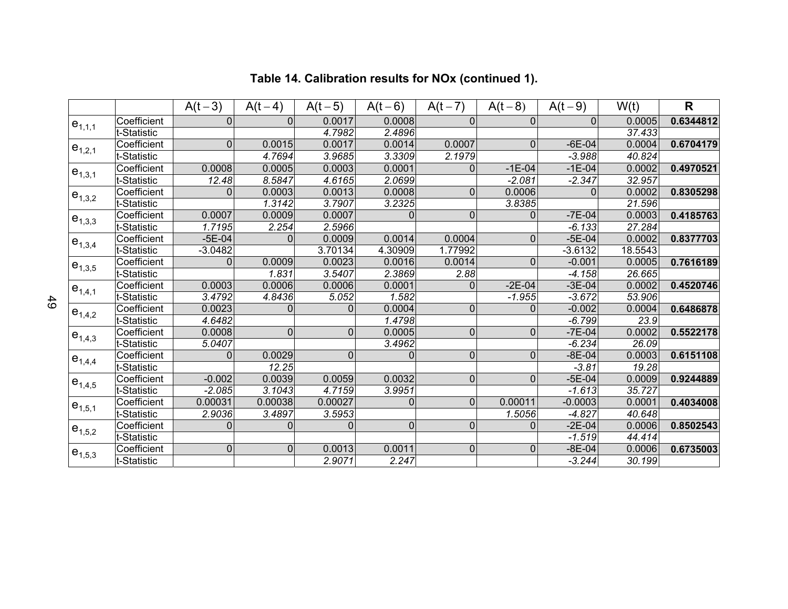|             |              | $A(t-3)$           | $A(t-4)$       | $A(t-5)$    | $A(t-6)$ | $A(t-7)$    | $A(t-8)$       | $A(t-9)$  | W(t)    | R         |
|-------------|--------------|--------------------|----------------|-------------|----------|-------------|----------------|-----------|---------|-----------|
| $e_{1,1,1}$ | Coefficient  | $\Omega$           | $\Omega$       | 0.0017      | 0.0008   | $\Omega$    | $\Omega$       | $\Omega$  | 0.0005  | 0.6344812 |
|             | t-Statistic  |                    |                | 4.7982      | 2.4896   |             |                |           | 37.433  |           |
| $e_{1,2,1}$ | Coefficient  | $\mathbf 0$        | 0.0015         | 0.0017      | 0.0014   | 0.0007      | $\mathbf 0$    | $-6E-04$  | 0.0004  | 0.6704179 |
|             | t-Statistic  |                    | 4.7694         | 3.9685      | 3.3309   | 2.1979      |                | $-3.988$  | 40.824  |           |
|             | Coefficient  | 0.0008             | 0.0005         | 0.0003      | 0.0001   | $\mathbf 0$ | $-1E-04$       | $-1E-04$  | 0.0002  | 0.4970521 |
| $e_{1,3,1}$ | t-Statistic  | $\overline{12.48}$ | 8.5847         | 4.6165      | 2.0699   |             | $-2.081$       | $-2.347$  | 32.957  |           |
|             | Coefficient  | $\Omega$           | 0.0003         | 0.0013      | 0.0008   | $\mathbf 0$ | 0.0006         | 0         | 0.0002  | 0.8305298 |
| $e_{1,3,2}$ | It-Statistic |                    | 1.3142         | 3.7907      | 3.2325   |             | 3.8385         |           | 21.596  |           |
| $e_{1,3,3}$ | Coefficient  | 0.0007             | 0.0009         | 0.0007      |          | 0           | 0              | $-7E-04$  | 0.0003  | 0.4185763 |
|             | t-Statistic  | 1.7195             | 2.254          | 2.5966      |          |             |                | $-6.133$  | 27.284  |           |
| $e_{1,3,4}$ | Coefficient  | $-5E-04$           | $\Omega$       | 0.0009      | 0.0014   | 0.0004      | $\mathbf{0}$   | $-5E-04$  | 0.0002  | 0.8377703 |
|             | t-Statistic  | $-3.0482$          |                | 3.70134     | 4.30909  | 1.77992     |                | $-3.6132$ | 18.5543 |           |
| $e_{1,3,5}$ | Coefficient  | $\Omega$           | 0.0009         | 0.0023      | 0.0016   | 0.0014      | $\mathbf 0$    | $-0.001$  | 0.0005  | 0.7616189 |
|             | t-Statistic  |                    | 1.831          | 3.5407      | 2.3869   | 2.88        |                | $-4.158$  | 26.665  |           |
| $e_{1,4,1}$ | Coefficient  | 0.0003             | 0.0006         | 0.0006      | 0.0001   | 0           | $-2E-04$       | $-3E-04$  | 0.0002  | 0.4520746 |
|             | t-Statistic  | 3.4792             | 4.8436         | 5.052       | 1.582    |             | $-1.955$       | $-3.672$  | 53.906  |           |
| $e_{1,4,2}$ | Coefficient  | 0.0023             | $\Omega$       | 0           | 0.0004   | $\mathbf 0$ | $\Omega$       | $-0.002$  | 0.0004  | 0.6486878 |
|             | t-Statistic  | 4.6482             |                |             | 1.4798   |             |                | $-6.799$  | 23.9    |           |
| $e_{1,4,3}$ | Coefficient  | 0.0008             | $\mathbf 0$    | $\mathbf 0$ | 0.0005   | $\pmb{0}$   | $\mathbf 0$    | $-7E-04$  | 0.0002  | 0.5522178 |
|             | t-Statistic  | 5.0407             |                |             | 3.4962   |             |                | $-6.234$  | 26.09   |           |
| $e_{1,4,4}$ | Coefficient  | $\mathbf 0$        | 0.0029         | 0           | 0        | $\mathbf 0$ | $\mathbf 0$    | $-8E-04$  | 0.0003  | 0.6151108 |
|             | t-Statistic  |                    | 12.25          |             |          |             |                | $-3.81$   | 19.28   |           |
| $e_{1,4,5}$ | Coefficient  | $-0.002$           | 0.0039         | 0.0059      | 0.0032   | $\mathbf 0$ | $\overline{0}$ | $-5E-04$  | 0.0009  | 0.9244889 |
|             | t-Statistic  | $-2.085$           | 3.1043         | 4.7159      | 3.9951   |             |                | $-1.613$  | 35.727  |           |
| $e_{1,5,1}$ | Coefficient  | 0.00031            | 0.00038        | 0.00027     | 0        | $\Omega$    | 0.00011        | $-0.0003$ | 0.0001  | 0.4034008 |
|             | t-Statistic  | 2.9036             | 3.4897         | 3.5953      |          |             | 1.5056         | $-4.827$  | 40.648  |           |
| $e_{1,5,2}$ | Coefficient  | $\Omega$           | $\Omega$       | 0           | 0        | $\mathbf 0$ | $\Omega$       | $-2E-04$  | 0.0006  | 0.8502543 |
|             | t-Statistic  |                    |                |             |          |             |                | $-1.519$  | 44.414  |           |
| $e_{1,5,3}$ | Coefficient  | $\pmb{0}$          | $\overline{0}$ | 0.0013      | 0.0011   | $\pmb{0}$   | 0              | $-8E-04$  | 0.0006  | 0.6735003 |
|             | t-Statistic  |                    |                | 2.9071      | 2.247    |             |                | $-3.244$  | 30.199  |           |

# **Table 14. Calibration results for NOx (continued 1).**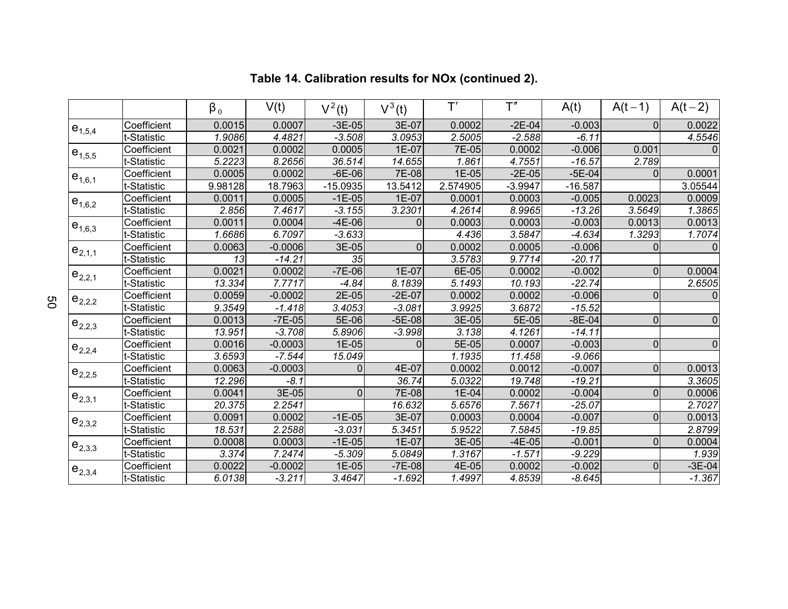|             |             | $\beta_0$ | V(t)      | $\overline{V}^2(t)$ | $V^3(t)$       | $\mathsf{T}'$ | T''       | A(t)      | $A(t-1)$       | $A(t-2)$            |
|-------------|-------------|-----------|-----------|---------------------|----------------|---------------|-----------|-----------|----------------|---------------------|
| $e_{1,5,4}$ | Coefficient | 0.0015    | 0.0007    | $-3E-05$            | 3E-07          | 0.0002        | $-2E-04$  | $-0.003$  | $\Omega$       | 0.0022              |
|             | t-Statistic | 1.9086    | 4.4821    | $-3.508$            | 3.0953         | 2.5005        | $-2.588$  | $-6.11$   |                | 4.5546              |
| $e_{1,5,5}$ | Coefficient | 0.0021    | 0.0002    | 0.0005              | 1E-07          | 7E-05         | 0.0002    | $-0.006$  | 0.001          | $\Omega$            |
|             | t-Statistic | 5.2223    | 8.2656    | 36.514              | 14.655         | 1.861         | 4.7551    | $-16.57$  | 2.789          |                     |
| $e_{1,6,1}$ | Coefficient | 0.0005    | 0.0002    | $-6E-06$            | 7E-08          | $1E-05$       | $-2E-05$  | $-5E-04$  | $\Omega$       | 0.0001              |
|             | t-Statistic | 9.98128   | 18.7963   | $-15.0935$          | 13.5412        | 2.574905      | $-3.9947$ | $-16.587$ |                | 3.05544             |
| $e_{1,6,2}$ | Coefficient | 0.0011    | 0.0005    | $-1E-05$            | 1E-07          | 0.0001        | 0.0003    | $-0.005$  | 0.0023         | 0.0009              |
|             | t-Statistic | 2.856     | 7.4617    | $-3.155$            | 3.2301         | 4.2614        | 8.9965    | $-13.26$  | 3.5649         | 1.3865              |
| $e_{1,6,3}$ | Coefficient | 0.0011    | 0.0004    | $-4E-06$            | $\mathbf{0}$   | 0.0003        | 0.0003    | $-0.003$  | 0.0013         | 0.0013              |
|             | t-Statistic | 1.6686    | 6.7097    | $-3.633$            |                | 4.436         | 3.5847    | $-4.634$  | 1.3293         | 1.7074              |
| $e_{2,1,1}$ | Coefficient | 0.0063    | $-0.0006$ | 3E-05               | $\overline{0}$ | 0.0002        | 0.0005    | $-0.006$  | $\Omega$       | $\Omega$            |
|             | t-Statistic | 13        | $-14.21$  | 35                  |                | 3.5783        | 9.7714    | $-20.17$  |                |                     |
| $e_{2,2,1}$ | Coefficient | 0.0021    | 0.0002    | $-7E-06$            | 1E-07          | 6E-05         | 0.0002    | $-0.002$  | $\overline{0}$ | 0.0004              |
|             | t-Statistic | 13.334    | 7.7717    | $-4.84$             | 8.1839         | 5.1493        | 10.193    | $-22.74$  |                | 2.6505              |
| $e_{2,2,2}$ | Coefficient | 0.0059    | $-0.0002$ | 2E-05               | $-2E-07$       | 0.0002        | 0.0002    | $-0.006$  | $\overline{0}$ | $\Omega$            |
|             | t-Statistic | 9.3549    | $-1.418$  | 3.4053              | $-3.081$       | 3.9925        | 3.6872    | $-15.52$  |                |                     |
| $e_{2,2,3}$ | Coefficient | 0.0013    | $-7E-05$  | 5E-06               | $-5E-08$       | 3E-05         | 5E-05     | $-8E-04$  | $\overline{0}$ | $\mathsf{O}\xspace$ |
|             | t-Statistic | 13.951    | $-3.708$  | 5.8906              | $-3.998$       | 3.138         | 4.1261    | $-14.11$  |                |                     |
| $e_{2,2,4}$ | Coefficient | 0.0016    | $-0.0003$ | 1E-05               | $\overline{0}$ | 5E-05         | 0.0007    | $-0.003$  | $\overline{0}$ | $\overline{0}$      |
|             | t-Statistic | 3.6593    | $-7.544$  | 15.049              |                | 1.1935        | 11.458    | $-9.066$  |                |                     |
| $e_{2,2,5}$ | Coefficient | 0.0063    | $-0.0003$ | $\Omega$            | 4E-07          | 0.0002        | 0.0012    | $-0.007$  | $\overline{0}$ | 0.0013              |
|             | t-Statistic | 12.296    | $-8.1$    |                     | 36.74          | 5.0322        | 19.748    | $-19.21$  |                | 3.3605              |
| $e_{2,3,1}$ | Coefficient | 0.0041    | 3E-05     | 0                   | 7E-08          | 1E-04         | 0.0002    | $-0.004$  | $\Omega$       | 0.0006              |
|             | t-Statistic | 20.375    | 2.2541    |                     | 16.632         | 5.6576        | 7.5671    | $-25.07$  |                | 2.7027              |
| $e_{2,3,2}$ | Coefficient | 0.0091    | 0.0002    | $-1E-05$            | 3E-07          | 0.0003        | 0.0004    | $-0.007$  | $\overline{0}$ | 0.0013              |
|             | t-Statistic | 18.531    | 2.2588    | $-3.031$            | 5.3451         | 5.9522        | 7.5845    | $-19.85$  |                | 2.8799              |
| $e_{2,3,3}$ | Coefficient | 0.0008    | 0.0003    | $-1E-05$            | 1E-07          | 3E-05         | $-4E-05$  | $-0.001$  | $\Omega$       | 0.0004              |
|             | t-Statistic | 3.374     | 7.2474    | $-5.309$            | 5.0849         | 1.3167        | $-1.571$  | $-9.229$  |                | 1.939               |
| $e_{2,3,4}$ | Coefficient | 0.0022    | $-0.0002$ | 1E-05               | $-7E-08$       | 4E-05         | 0.0002    | $-0.002$  | $\overline{0}$ | $-3E-04$            |
|             | t-Statistic | 6.0138    | $-3.211$  | 3.4647              | $-1.692$       | 1.4997        | 4.8539    | $-8.645$  |                | $-1.367$            |

# **Table 14. Calibration results for NOx (continued 2).**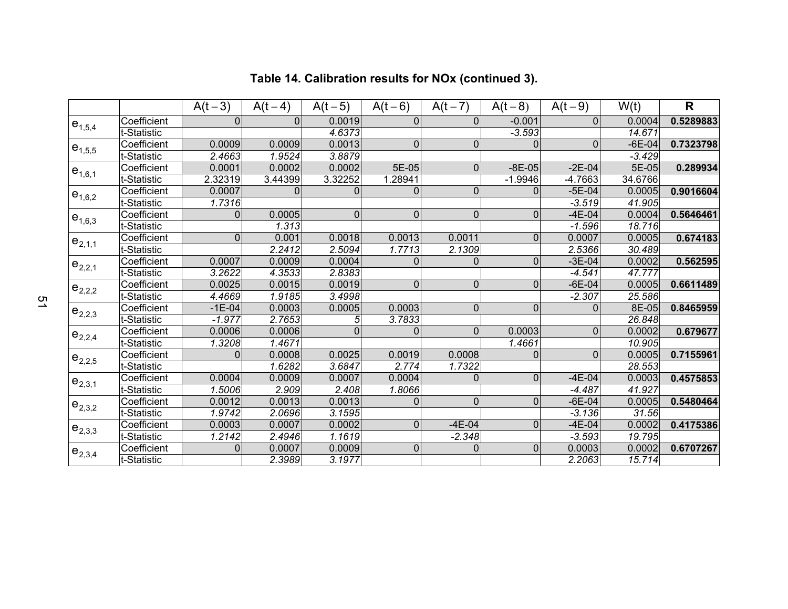|             |             | $A(t-3)$     | $A(t-4)$ | $A(t-5)$    | $A(t-6)$       | $A(t-7)$       | $A(t-8)$       | $A(t-9)$     | W(t)     | $\mathsf{R}$ |
|-------------|-------------|--------------|----------|-------------|----------------|----------------|----------------|--------------|----------|--------------|
| $e_{1,5,4}$ | Coefficient | 0            | $\Omega$ | 0.0019      | 0              | $\Omega$       | $-0.001$       | $\mathbf{0}$ | 0.0004   | 0.5289883    |
|             | t-Statistic |              |          | 4.6373      |                |                | $-3.593$       |              | 14.671   |              |
| $e_{1,5,5}$ | Coefficient | 0.0009       | 0.0009   | 0.0013      | $\overline{0}$ | $\Omega$       | $\Omega$       | $\mathbf{0}$ | $-6E-04$ | 0.7323798    |
|             | t-Statistic | 2.4663       | 1.9524   | 3.8879      |                |                |                |              | $-3.429$ |              |
| $e_{1,6,1}$ | Coefficient | 0.0001       | 0.0002   | 0.0002      | 5E-05          | $\mathbf{0}$   | $-8E-05$       | $-2E-04$     | 5E-05    | 0.289934     |
|             | t-Statistic | 2.32319      | 3.44399  | 3.32252     | 1.28941        |                | $-1.9946$      | $-4.7663$    | 34.6766  |              |
| $e_{1,6,2}$ | Coefficient | 0.0007       | 0        | $\Omega$    | $\overline{0}$ | $\mathbf 0$    | $\Omega$       | $-5E-04$     | 0.0005   | 0.9016604    |
|             | t-Statistic | 1.7316       |          |             |                |                |                | $-3.519$     | 41.905   |              |
| $e_{1,6,3}$ | Coefficient | 0            | 0.0005   | $\mathbf 0$ | $\overline{0}$ | 0              | 0              | $-4E-04$     | 0.0004   | 0.5646461    |
|             | t-Statistic |              | 1.313    |             |                |                |                | $-1.596$     | 18.716   |              |
| $e_{2,1,1}$ | Coefficient | $\Omega$     | 0.001    | 0.0018      | 0.0013         | 0.0011         | $\Omega$       | 0.0007       | 0.0005   | 0.674183     |
|             | t-Statistic |              | 2.2412   | 2.5094      | 1.7713         | 2.1309         |                | 2.5366       | 30.489   |              |
| $e_{2,2,1}$ | Coefficient | 0.0007       | 0.0009   | 0.0004      | $\Omega$       | $\Omega$       | $\Omega$       | $-3E-04$     | 0.0002   | 0.562595     |
|             | t-Statistic | 3.2622       | 4.3533   | 2.8383      |                |                |                | $-4.541$     | 47.777   |              |
| $e_{2,2,2}$ | Coefficient | 0.0025       | 0.0015   | 0.0019      | $\overline{0}$ | $\mathbf 0$    | 0              | $-6E-04$     | 0.0005   | 0.6611489    |
|             | t-Statistic | 4.4669       | 1.9185   | 3.4998      |                |                |                | $-2.307$     | 25.586   |              |
| $e_{2,2,3}$ | Coefficient | $-1E-04$     | 0.0003   | 0.0005      | 0.0003         | $\overline{0}$ | $\mathbf 0$    | $\Omega$     | 8E-05    | 0.8465959    |
|             | t-Statistic | $-1.977$     | 2.7653   | 5           | 3.7833         |                |                |              | 26.848   |              |
| $e_{2,2,4}$ | Coefficient | 0.0006       | 0.0006   | $\Omega$    | 0              | $\mathbf 0$    | 0.0003         | 0            | 0.0002   | 0.679677     |
|             | t-Statistic | 1.3208       | 1.4671   |             |                |                | 1.4661         |              | 10.905   |              |
| $e_{2,2,5}$ | Coefficient | $\mathbf{0}$ | 0.0008   | 0.0025      | 0.0019         | 0.0008         | $\Omega$       | $\mathbf 0$  | 0.0005   | 0.7155961    |
|             | t-Statistic |              | 1.6282   | 3.6847      | 2.774          | 1.7322         |                |              | 28.553   |              |
| $e_{2,3,1}$ | Coefficient | 0.0004       | 0.0009   | 0.0007      | 0.0004         | $\Omega$       | $\overline{0}$ | $-4E-04$     | 0.0003   | 0.4575853    |
|             | t-Statistic | 1.5006       | 2.909    | 2.408       | 1.8066         |                |                | $-4.487$     | 41.927   |              |
| $e_{2,3,2}$ | Coefficient | 0.0012       | 0.0013   | 0.0013      | 0              | $\mathbf 0$    | $\mathbf 0$    | $-6E-04$     | 0.0005   | 0.5480464    |
|             | t-Statistic | 1.9742       | 2.0696   | 3.1595      |                |                |                | $-3.136$     | 31.56    |              |
| $e_{2,3,3}$ | Coefficient | 0.0003       | 0.0007   | 0.0002      | $\overline{0}$ | $-4E-04$       | $\Omega$       | $-4E-04$     | 0.0002   | 0.4175386    |
|             | t-Statistic | 1.2142       | 2.4946   | 1.1619      |                | $-2.348$       |                | $-3.593$     | 19.795   |              |
| $e_{2,3,4}$ | Coefficient | 0            | 0.0007   | 0.0009      | $\overline{0}$ | $\mathbf 0$    | $\Omega$       | 0.0003       | 0.0002   | 0.6707267    |
|             | t-Statistic |              | 2.3989   | 3.1977      |                |                |                | 2.2063       | 15.714   |              |

## **Table 14. Calibration results for NOx (continued 3).**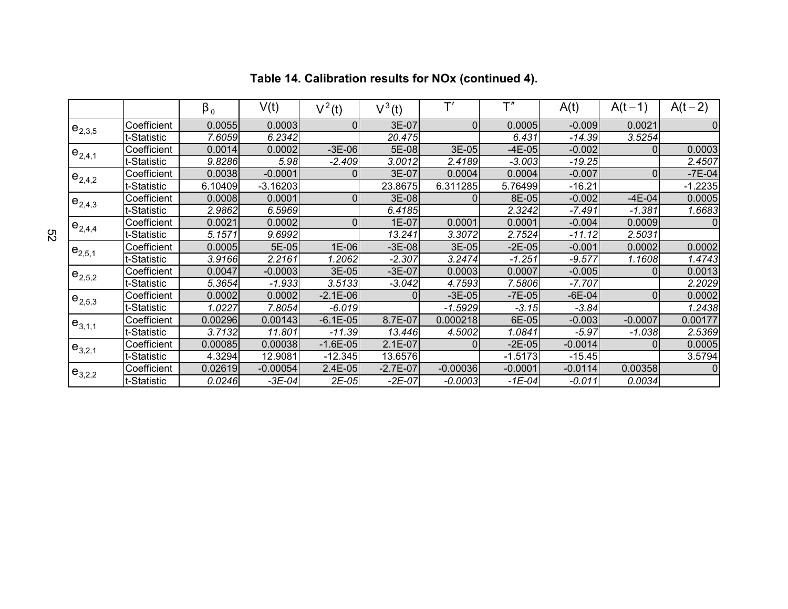|             |             | $\beta_0$ | V(t)       | $V^2(t)$       | $V^3(t)$   | T'         | T''       | A(t)      | $A(t-1)$  | $A(t-2)$       |
|-------------|-------------|-----------|------------|----------------|------------|------------|-----------|-----------|-----------|----------------|
| $e_{2,3,5}$ | Coefficient | 0.0055    | 0.0003     | $\Omega$       | 3E-07      | $\Omega$   | 0.0005    | $-0.009$  | 0.0021    | 0              |
|             | -Statistic  | 7.6059    | 6.2342     |                | 20.475     |            | 6.431     | $-14.39$  | 3.5254    |                |
| $e_{2,4,1}$ | Coefficient | 0.0014    | 0.0002     | $-3E-06$       | 5E-08      | 3E-05      | $-4E-05$  | $-0.002$  | 0         | 0.0003         |
|             | -Statistic  | 9.8286    | 5.98       | $-2.409$       | 3.0012     | 2.4189     | $-3.003$  | $-19.25$  |           | 2.4507         |
| $e_{2,4,2}$ | Coefficient | 0.0038    | $-0.0001$  |                | 3E-07      | 0.0004     | 0.0004    | $-0.007$  | $\Omega$  | $-7E-04$       |
|             | -Statistic  | 6.10409   | $-3.16203$ |                | 23.8675    | 6.311285   | 5.76499   | $-16.21$  |           | $-1.2235$      |
| $e_{2,4,3}$ | Coefficient | 0.0008    | 0.0001     | 0              | 3E-08      | $\Omega$   | 8E-05     | $-0.002$  | $-4E-04$  | 0.0005         |
|             | -Statistic  | 2.9862    | 6.5969     |                | 6.4185     |            | 2.3242    | $-7.491$  | $-1.381$  | 1.6683         |
| $e_{2,4,4}$ | Coefficient | 0.0021    | 0.0002     | $\overline{0}$ | 1E-07      | 0.0001     | 0.0001    | $-0.004$  | 0.0009    | $\overline{0}$ |
|             | -Statistic  | 5.1571    | 9.6992     |                | 13.241     | 3.3072     | 2.7524    | $-11.12$  | 2.5031    |                |
| $e_{2,5,1}$ | Coefficient | 0.0005    | 5E-05      | 1E-06          | $-3E-08$   | 3E-05      | $-2E-05$  | $-0.001$  | 0.0002    | 0.0002         |
|             | -Statistic  | 3.9166    | 2.2161     | 1.2062         | $-2.307$   | 3.2474     | $-1.251$  | $-9.577$  | 1.1608    | 1.4743         |
| $e_{2,5,2}$ | Coefficient | 0.0047    | $-0.0003$  | 3E-05          | $-3E-07$   | 0.0003     | 0.0007    | $-0.005$  | $\Omega$  | 0.0013         |
|             | -Statistic  | 5.3654    | $-1.933$   | 3.5133         | $-3.042$   | 4.7593     | 7.5806    | $-7.707$  |           | 2.2029         |
| $e_{2,5,3}$ | Coefficient | 0.0002    | 0.0002     | $-2.1E-06$     |            | $-3E-05$   | $-7E-05$  | $-6E-04$  | 0         | 0.0002         |
|             | -Statistic  | 1.0227    | 7.8054     | $-6.019$       |            | $-1.5929$  | $-3.15$   | $-3.84$   |           | 1.2438         |
| $e_{3,1,1}$ | Coefficient | 0.00296   | 0.00143    | $-6.1E-05$     | 8.7E-07    | 0.000218   | 6E-05     | $-0.003$  | $-0.0007$ | 0.00177        |
|             | -Statistic  | 3.7132    | 11.801     | $-11.39$       | 13.446     | 4.5002     | 1.0841    | $-5.97$   | $-1.038$  | 2.5369         |
| $e_{3,2,1}$ | Coefficient | 0.00085   | 0.00038    | $-1.6E-05$     | $2.1E-07$  | $\Omega$   | $-2E-05$  | $-0.0014$ | 0         | 0.0005         |
|             | -Statistic  | 4.3294    | 12.9081    | $-12.345$      | 13.6576    |            | $-1.5173$ | $-15.45$  |           | 3.5794         |
| $e_{3,2,2}$ | Coefficient | 0.02619   | $-0.00054$ | $2.4E-05$      | $-2.7E-07$ | $-0.00036$ | $-0.0001$ | $-0.0114$ | 0.00358   | $\overline{0}$ |
|             | -Statistic  | 0.0246    | $-3E-04$   | $2E-05$        | $-2E-07$   | $-0.0003$  | $-1E-04$  | $-0.011$  | 0.0034    |                |

# **Table 14. Calibration results for NOx (continued 4).**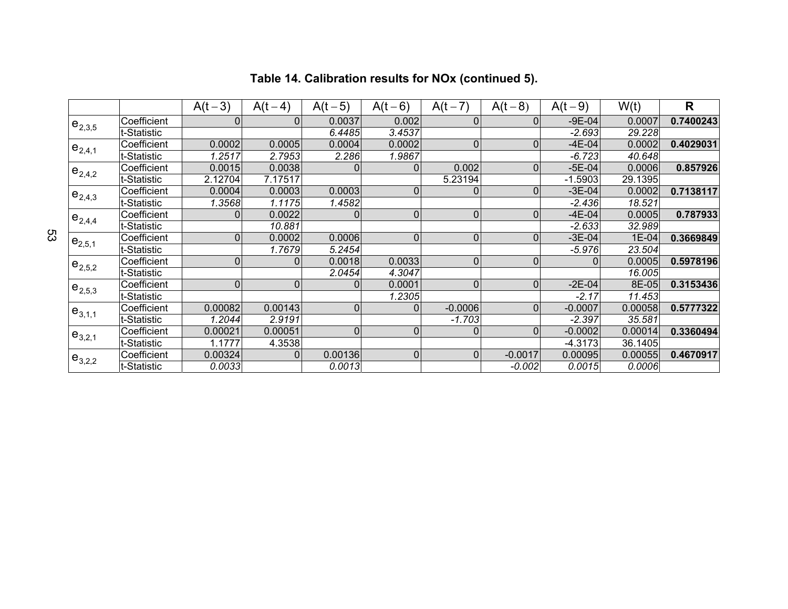|             |             | $A(t-3)$     | $A(t-4)$       | $A(t-5)$       | $A(t-6)$       | $A(t-7)$  | $A(t-8)$       | $A(t-9)$     | W(t)    | $\overline{\mathsf{R}}$ |
|-------------|-------------|--------------|----------------|----------------|----------------|-----------|----------------|--------------|---------|-------------------------|
| $e_{2,3,5}$ | Coefficient | 0            | $\Omega$       | 0.0037         | 0.002          | 0         | $\mathbf 0$    | $-9E-04$     | 0.0007  | 0.7400243               |
|             | t-Statistic |              |                | 6.4485         | 3.4537         |           |                | $-2.693$     | 29.228  |                         |
| $e_{2,4,1}$ | Coefficient | 0.0002       | 0.0005         | 0.0004         | 0.0002         | $\Omega$  | $\mathbf 0$    | $-4E-04$     | 0.0002  | 0.4029031               |
|             | t-Statistic | 1.2517       | 2.7953         | 2.286          | 1.9867         |           |                | $-6.723$     | 40.648  |                         |
| $e_{2,4,2}$ | Coefficient | 0.0015       | 0.0038         | 0              | 0              | 0.002     | $\mathbf{0}$   | $-5E-04$     | 0.0006  | 0.857926                |
|             | t-Statistic | 2.12704      | 7.17517        |                |                | 5.23194   |                | $-1.5903$    | 29.1395 |                         |
| $e_{2,4,3}$ | Coefficient | 0.0004       | 0.0003         | 0.0003         | 0              |           | $\mathbf 0$    | $-3E-04$     | 0.0002  | 0.7138117               |
|             | t-Statistic | 1.3568       | 1.1175         | 1.4582         |                |           |                | $-2.436$     | 18.521  |                         |
| $e_{2,4,4}$ | Coefficient | 0            | 0.0022         | $\mathbf{0}$   | $\overline{0}$ | 0         | $\mathbf 0$    | $-4E-04$     | 0.0005  | 0.787933                |
|             | t-Statistic |              | 10.881         |                |                |           |                | $-2.633$     | 32.989  |                         |
| $e_{2,5,1}$ | Coefficient | $\mathbf{0}$ | 0.0002         | 0.0006         | 0              | $\Omega$  | $\mathbf{0}$   | $-3E-04$     | 1E-04   | 0.3669849               |
|             | t-Statistic |              | 1.7679         | 5.2454         |                |           |                | $-5.976$     | 23.504  |                         |
| $e_{2,5,2}$ | Coefficient | $\mathbf{0}$ | 0              | 0.0018         | 0.0033         | $\Omega$  | $\mathbf{0}$   | $\mathbf{0}$ | 0.0005  | 0.5978196               |
|             | t-Statistic |              |                | 2.0454         | 4.3047         |           |                |              | 16.005  |                         |
| $e_{2,5,3}$ | Coefficient | 0            | $\mathbf 0$    | 0              | 0.0001         | $\Omega$  | $\Omega$       | $-2E-04$     | 8E-05   | 0.3153436               |
|             | t-Statistic |              |                |                | 1.2305         |           |                | $-2.17$      | 11.453  |                         |
| $e_{3,1,1}$ | Coefficient | 0.00082      | 0.00143        | $\overline{0}$ | 0              | $-0.0006$ | $\overline{0}$ | $-0.0007$    | 0.00058 | 0.5777322               |
|             | t-Statistic | 1.2044       | 2.9191         |                |                | $-1.703$  |                | $-2.397$     | 35.581  |                         |
| $e_{3,2,1}$ | Coefficient | 0.00021      | 0.00051        | $\overline{0}$ | 0              | 0         | $\mathbf 0$    | $-0.0002$    | 0.00014 | 0.3360494               |
|             | t-Statistic | 1.1777       | 4.3538         |                |                |           |                | $-4.3173$    | 36.1405 |                         |
| $e_{3,2,2}$ | Coefficient | 0.00324      | $\overline{0}$ | 0.00136        | $\overline{0}$ | $\Omega$  | $-0.0017$      | 0.00095      | 0.00055 | 0.4670917               |
|             | t-Statistic | 0.0033       |                | 0.0013         |                |           | $-0.002$       | 0.0015       | 0.0006  |                         |

## **Table 14. Calibration results for NOx (continued 5).**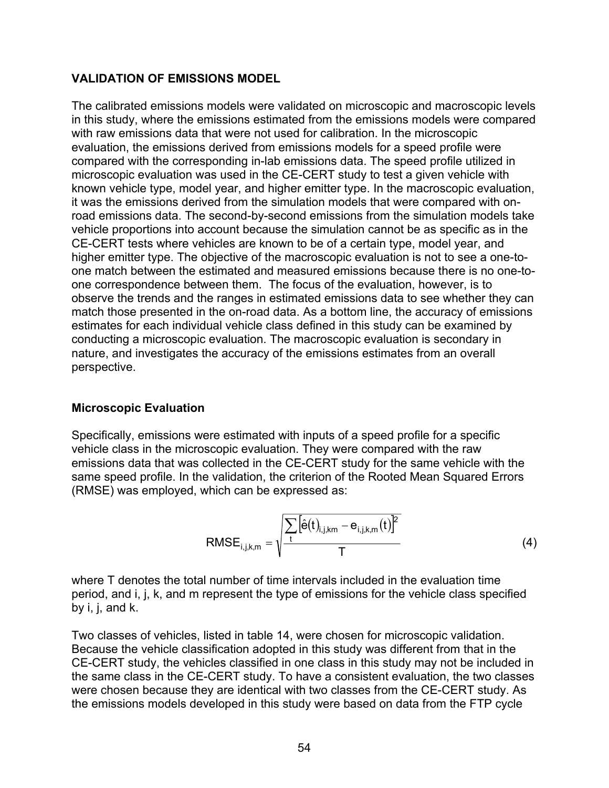### **VALIDATION OF EMISSIONS MODEL**

The calibrated emissions models were validated on microscopic and macroscopic levels in this study, where the emissions estimated from the emissions models were compared with raw emissions data that were not used for calibration. In the microscopic evaluation, the emissions derived from emissions models for a speed profile were compared with the corresponding in-lab emissions data. The speed profile utilized in microscopic evaluation was used in the CE-CERT study to test a given vehicle with known vehicle type, model year, and higher emitter type. In the macroscopic evaluation, it was the emissions derived from the simulation models that were compared with onroad emissions data. The second-by-second emissions from the simulation models take vehicle proportions into account because the simulation cannot be as specific as in the CE-CERT tests where vehicles are known to be of a certain type, model year, and higher emitter type. The objective of the macroscopic evaluation is not to see a one-toone match between the estimated and measured emissions because there is no one-toone correspondence between them. The focus of the evaluation, however, is to observe the trends and the ranges in estimated emissions data to see whether they can match those presented in the on-road data. As a bottom line, the accuracy of emissions estimates for each individual vehicle class defined in this study can be examined by conducting a microscopic evaluation. The macroscopic evaluation is secondary in nature, and investigates the accuracy of the emissions estimates from an overall perspective.

### **Microscopic Evaluation**

Specifically, emissions were estimated with inputs of a speed profile for a specific vehicle class in the microscopic evaluation. They were compared with the raw emissions data that was collected in the CE-CERT study for the same vehicle with the same speed profile. In the validation, the criterion of the Rooted Mean Squared Errors (RMSE) was employed, which can be expressed as:

RMSE<sub>i,j,k,m</sub> = 
$$
\sqrt{\frac{\sum_{t} [\hat{e}(t)_{i,j,km} - e_{i,j,k,m}(t)]^2}{T}}
$$
 (4)

where T denotes the total number of time intervals included in the evaluation time period, and i, j, k, and m represent the type of emissions for the vehicle class specified by i, j, and k.

Two classes of vehicles, listed in table 14, were chosen for microscopic validation. Because the vehicle classification adopted in this study was different from that in the CE-CERT study, the vehicles classified in one class in this study may not be included in the same class in the CE-CERT study. To have a consistent evaluation, the two classes were chosen because they are identical with two classes from the CE-CERT study. As the emissions models developed in this study were based on data from the FTP cycle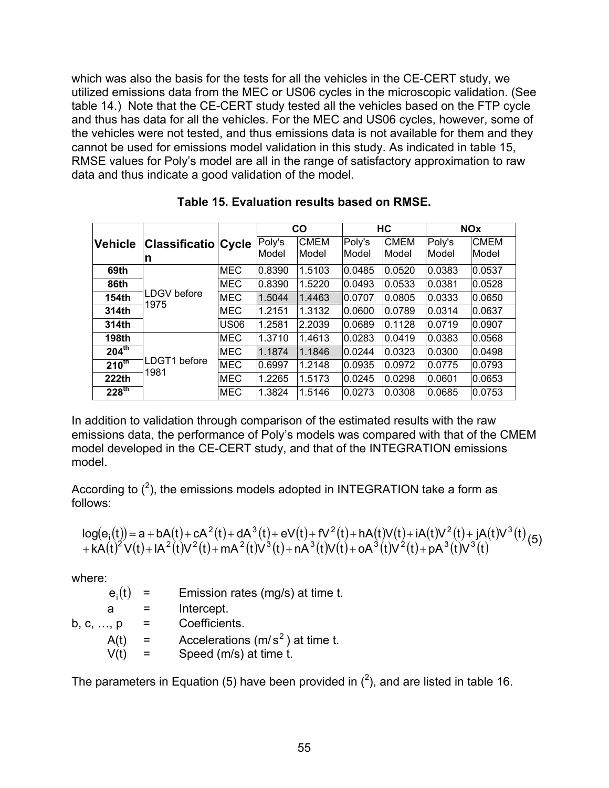which was also the basis for the tests for all the vehicles in the CE-CERT study, we utilized emissions data from the MEC or US06 cycles in the microscopic validation. (See table 14.) Note that the CE-CERT study tested all the vehicles based on the FTP cycle and thus has data for all the vehicles. For the MEC and US06 cycles, however, some of the vehicles were not tested, and thus emissions data is not available for them and they cannot be used for emissions model validation in this study. As indicated in table 15, RMSE values for Poly's model are all in the range of satisfactory approximation to raw data and thus indicate a good validation of the model.

|                   |                                  |             |                 | <b>CO</b>            |                 | HC                   |                 | <b>NOx</b>                  |
|-------------------|----------------------------------|-------------|-----------------|----------------------|-----------------|----------------------|-----------------|-----------------------------|
| <b>Vehicle</b>    | <b>Classificatio Cycle</b><br>In |             | Poly's<br>Model | <b>CMEM</b><br>Model | Poly's<br>Model | <b>CMEM</b><br>Model | Poly's<br>Model | <b>CMEM</b><br><b>Model</b> |
| 69th              |                                  | <b>MEC</b>  | 0.8390          | 1.5103               | 0.0485          | 0.0520               | 0.0383          | 0.0537                      |
| 86th              | LDGV before                      | <b>MEC</b>  | 0.8390          | 1.5220               | 0.0493          | 0.0533               | 0.0381          | 0.0528                      |
| 154th             | 1975                             | <b>MEC</b>  | 1.5044          | 1.4463               | 0.0707          | 0.0805               | 0.0333          | 0.0650                      |
| 314th             |                                  | <b>MEC</b>  | 1.2151          | 1.3132               | 0.0600          | 0.0789               | 0.0314          | 0.0637                      |
| 314th             |                                  | <b>US06</b> | 1.2581          | 2.2039               | 0.0689          | 0.1128               | 0.0719          | 0.0907                      |
| <b>198th</b>      |                                  | <b>MEC</b>  | 1.3710          | 1.4613               | 0.0283          | 0.0419               | 0.0383          | 0.0568                      |
| $204^{\text{th}}$ |                                  | <b>MEC</b>  | 1.1874          | 1.1846               | 0.0244          | 0.0323               | 0.0300          | 0.0498                      |
| $210^{th}$        | LDGT1 before                     | <b>MEC</b>  | 0.6997          | 1.2148               | 0.0935          | 0.0972               | 0.0775          | 0.0793                      |
| 222th             | 1981                             | <b>MEC</b>  | 1.2265          | 1.5173               | 0.0245          | 0.0298               | 0.0601          | 0.0653                      |
| 228 <sup>th</sup> |                                  | <b>MEC</b>  | 1.3824          | 1.5146               | 0.0273          | 0.0308               | 0.0685          | 0.0753                      |

**Table 15. Evaluation results based on RMSE.** 

In addition to validation through comparison of the estimated results with the raw emissions data, the performance of Poly's models was compared with that of the CMEM model developed in the CE-CERT study, and that of the INTEGRATION emissions model.

According to  $(^2)$ , the emissions models adopted in INTEGRATION take a form as follows:

$$
log(e_i(t)) = a + bA(t) + cA^2(t) + dA^3(t) + eV(t) + fV^2(t) + hA(t)V(t) + iA(t)V^2(t) + jA(t)V^3(t) + kA(t)^2V(t) + iA^2(t)V^2(t) + mA^2(t)V^3(t) + nA^3(t)V(t) + oA^3(t)V^2(t) + pA^3(t)V^3(t)
$$

where:

| $e_i(t)$  | $\equiv$ | Emission rates (mg/s) at time t.   |
|-----------|----------|------------------------------------|
| a         |          | Intercept.                         |
| b, c, , p | $=$      | Coefficients.                      |
| A(t)      | $=$      | Accelerations $(m/s^2)$ at time t. |
| V(t)      |          | Speed (m/s) at time t.             |

The parameters in Equation (5) have been provided in  $(^2)$ , and are listed in table 16.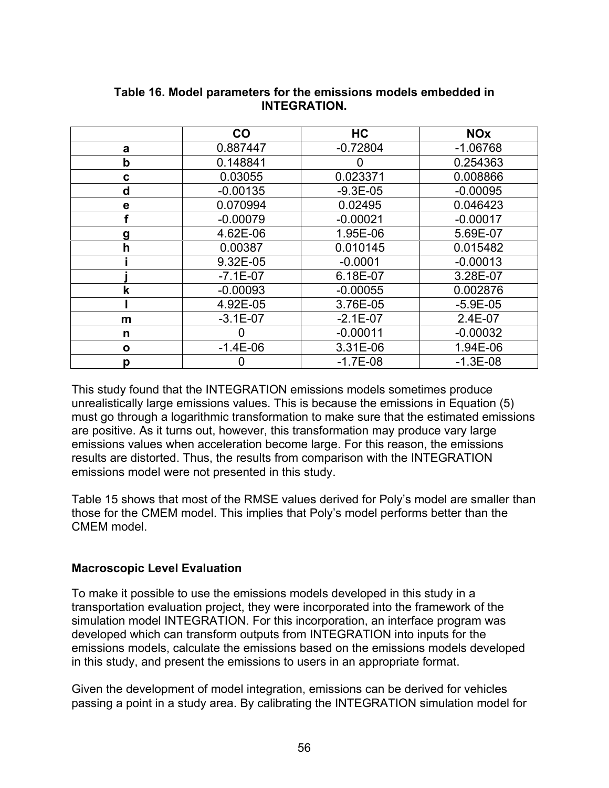|              | CO           | <b>HC</b>    | <b>NOx</b>   |
|--------------|--------------|--------------|--------------|
| a            | 0.887447     | $-0.72804$   | $-1.06768$   |
| $\mathbf b$  | 0.148841     | O            | 0.254363     |
| C            | 0.03055      | 0.023371     | 0.008866     |
| d            | $-0.00135$   | $-9.3E - 05$ | $-0.00095$   |
| e            | 0.070994     | 0.02495      | 0.046423     |
|              | $-0.00079$   | $-0.00021$   | $-0.00017$   |
| g            | 4.62E-06     | 1.95E-06     | 5.69E-07     |
| h            | 0.00387      | 0.010145     | 0.015482     |
|              | 9.32E-05     | $-0.0001$    | $-0.00013$   |
|              | $-7.1E - 07$ | 6.18E-07     | 3.28E-07     |
| $\mathbf k$  | $-0.00093$   | $-0.00055$   | 0.002876     |
|              | 4.92E-05     | 3.76E-05     | $-5.9E - 05$ |
| m            | $-3.1E-07$   | $-2.1E-07$   | 2.4E-07      |
| n            |              | $-0.00011$   | $-0.00032$   |
| $\mathbf{o}$ | $-1.4E-06$   | 3.31E-06     | 1.94E-06     |
| p            |              | $-1.7E-08$   | $-1.3E-08$   |

### **Table 16. Model parameters for the emissions models embedded in INTEGRATION.**

This study found that the INTEGRATION emissions models sometimes produce unrealistically large emissions values. This is because the emissions in Equation (5) must go through a logarithmic transformation to make sure that the estimated emissions are positive. As it turns out, however, this transformation may produce vary large emissions values when acceleration become large. For this reason, the emissions results are distorted. Thus, the results from comparison with the INTEGRATION emissions model were not presented in this study.

Table 15 shows that most of the RMSE values derived for Poly's model are smaller than those for the CMEM model. This implies that Poly's model performs better than the CMEM model.

### **Macroscopic Level Evaluation**

To make it possible to use the emissions models developed in this study in a transportation evaluation project, they were incorporated into the framework of the simulation model INTEGRATION. For this incorporation, an interface program was developed which can transform outputs from INTEGRATION into inputs for the emissions models, calculate the emissions based on the emissions models developed in this study, and present the emissions to users in an appropriate format.

Given the development of model integration, emissions can be derived for vehicles passing a point in a study area. By calibrating the INTEGRATION simulation model for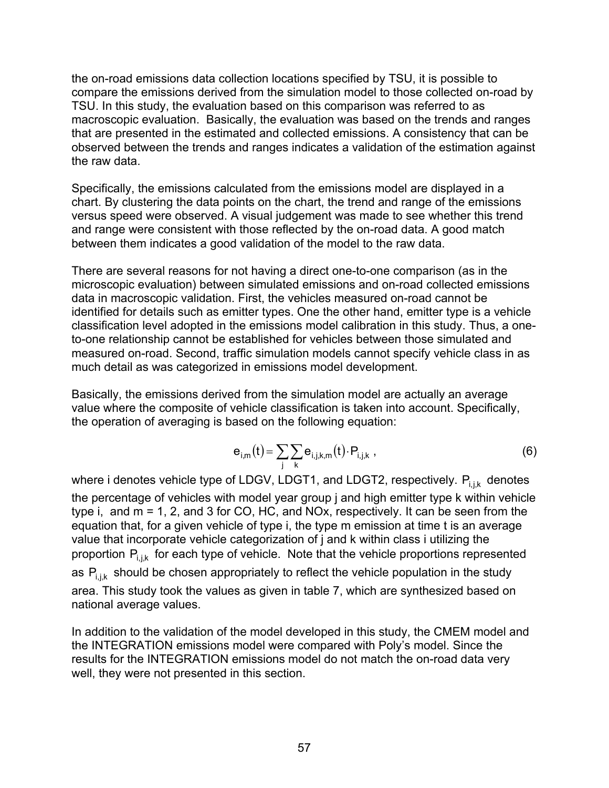the on-road emissions data collection locations specified by TSU, it is possible to compare the emissions derived from the simulation model to those collected on-road by TSU. In this study, the evaluation based on this comparison was referred to as macroscopic evaluation. Basically, the evaluation was based on the trends and ranges that are presented in the estimated and collected emissions. A consistency that can be observed between the trends and ranges indicates a validation of the estimation against the raw data.

Specifically, the emissions calculated from the emissions model are displayed in a chart. By clustering the data points on the chart, the trend and range of the emissions versus speed were observed. A visual judgement was made to see whether this trend and range were consistent with those reflected by the on-road data. A good match between them indicates a good validation of the model to the raw data.

There are several reasons for not having a direct one-to-one comparison (as in the microscopic evaluation) between simulated emissions and on-road collected emissions data in macroscopic validation. First, the vehicles measured on-road cannot be identified for details such as emitter types. One the other hand, emitter type is a vehicle classification level adopted in the emissions model calibration in this study. Thus, a oneto-one relationship cannot be established for vehicles between those simulated and measured on-road. Second, traffic simulation models cannot specify vehicle class in as much detail as was categorized in emissions model development.

Basically, the emissions derived from the simulation model are actually an average value where the composite of vehicle classification is taken into account. Specifically, the operation of averaging is based on the following equation:

$$
\mathbf{e}_{i,m}(t) = \sum_{j} \sum_{k} \mathbf{e}_{i,j,k,m}(t) \cdot \mathbf{P}_{i,j,k} \tag{6}
$$

where i denotes vehicle type of LDGV, LDGT1, and LDGT2, respectively.  $P_{i,j,k}$  denotes the percentage of vehicles with model year group j and high emitter type k within vehicle type i, and m = 1, 2, and 3 for CO, HC, and NOx, respectively. It can be seen from the equation that, for a given vehicle of type i, the type m emission at time t is an average value that incorporate vehicle categorization of j and k within class i utilizing the proportion  $P_{ijk}$  for each type of vehicle. Note that the vehicle proportions represented as  $P_{i,j,k}$  should be chosen appropriately to reflect the vehicle population in the study area. This study took the values as given in table 7, which are synthesized based on national average values.

In addition to the validation of the model developed in this study, the CMEM model and the INTEGRATION emissions model were compared with Poly's model. Since the results for the INTEGRATION emissions model do not match the on-road data very well, they were not presented in this section.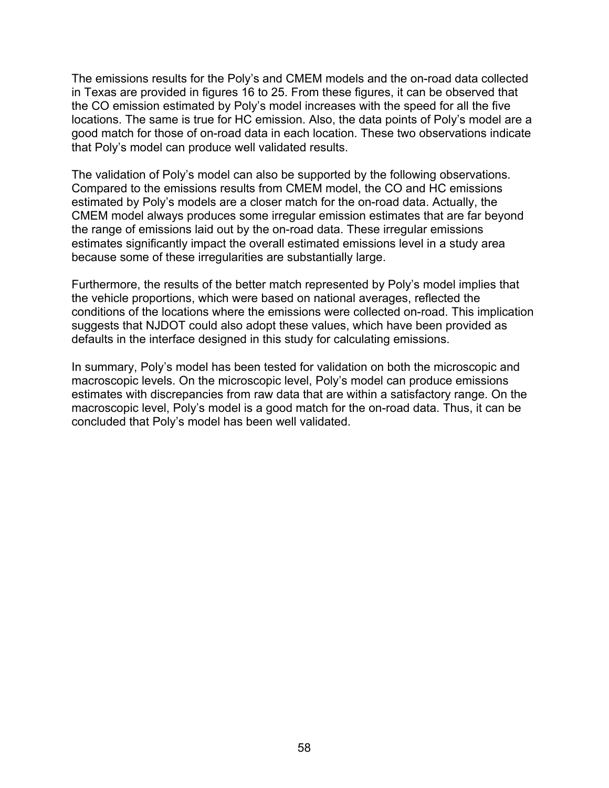The emissions results for the Poly's and CMEM models and the on-road data collected in Texas are provided in figures 16 to 25. From these figures, it can be observed that the CO emission estimated by Poly's model increases with the speed for all the five locations. The same is true for HC emission. Also, the data points of Poly's model are a good match for those of on-road data in each location. These two observations indicate that Poly's model can produce well validated results.

The validation of Poly's model can also be supported by the following observations. Compared to the emissions results from CMEM model, the CO and HC emissions estimated by Poly's models are a closer match for the on-road data. Actually, the CMEM model always produces some irregular emission estimates that are far beyond the range of emissions laid out by the on-road data. These irregular emissions estimates significantly impact the overall estimated emissions level in a study area because some of these irregularities are substantially large.

Furthermore, the results of the better match represented by Poly's model implies that the vehicle proportions, which were based on national averages, reflected the conditions of the locations where the emissions were collected on-road. This implication suggests that NJDOT could also adopt these values, which have been provided as defaults in the interface designed in this study for calculating emissions.

In summary, Poly's model has been tested for validation on both the microscopic and macroscopic levels. On the microscopic level, Poly's model can produce emissions estimates with discrepancies from raw data that are within a satisfactory range. On the macroscopic level, Poly's model is a good match for the on-road data. Thus, it can be concluded that Poly's model has been well validated.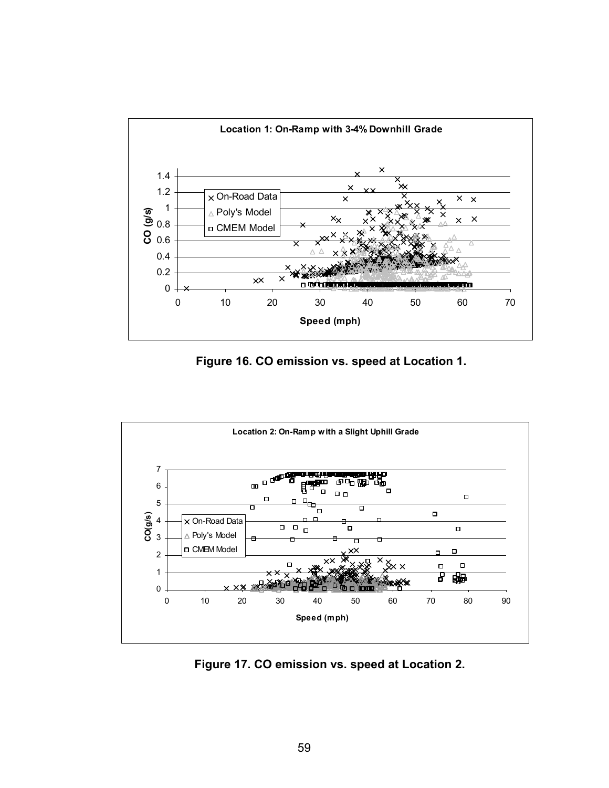

**Figure 16. CO emission vs. speed at Location 1.** 



**Figure 17. CO emission vs. speed at Location 2.**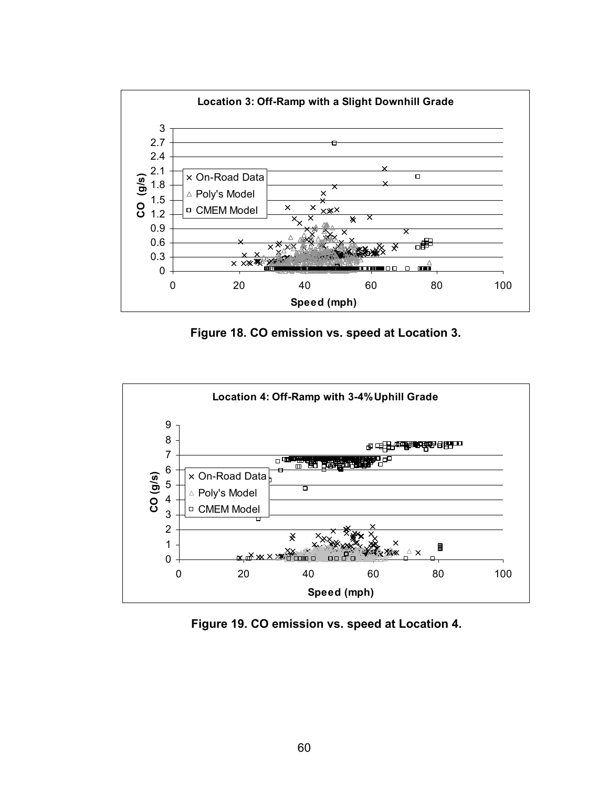

**Figure 18. CO emission vs. speed at Location 3.** 



**Figure 19. CO emission vs. speed at Location 4.**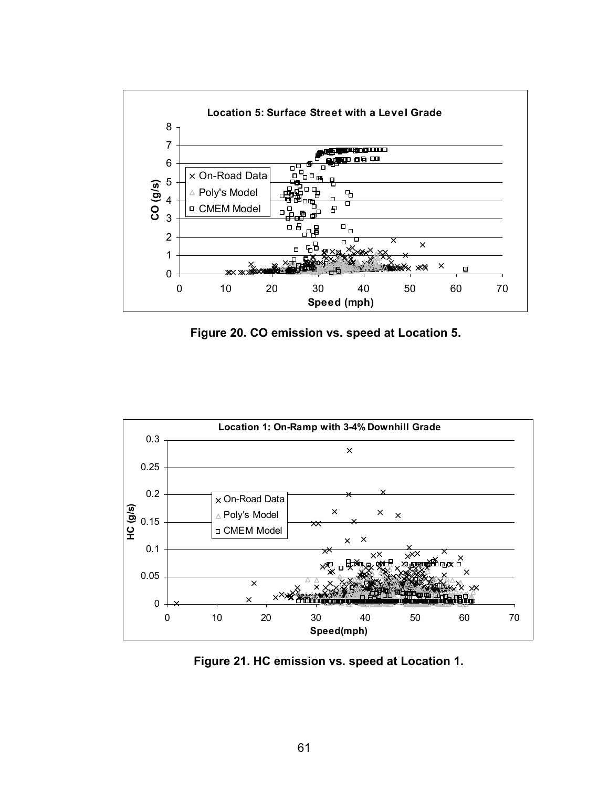

**Figure 20. CO emission vs. speed at Location 5.** 



**Figure 21. HC emission vs. speed at Location 1.**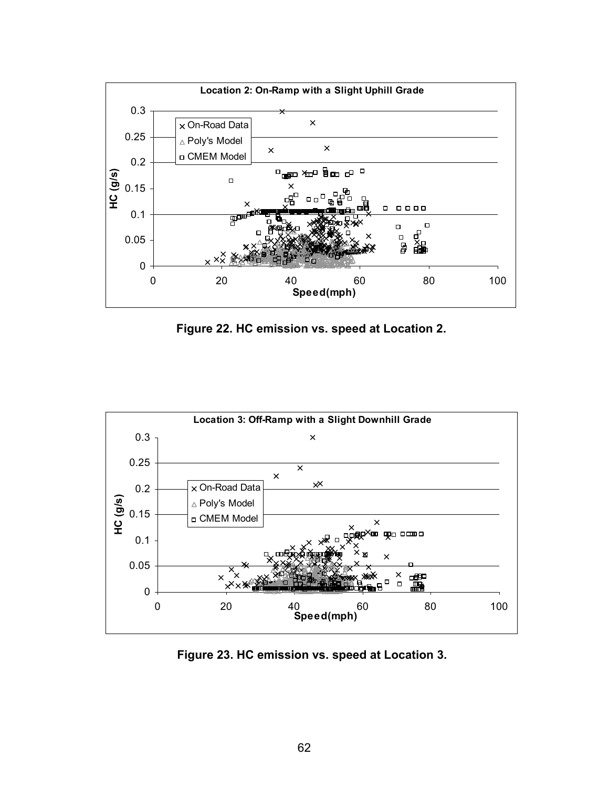

**Figure 22. HC emission vs. speed at Location 2.** 



**Figure 23. HC emission vs. speed at Location 3.**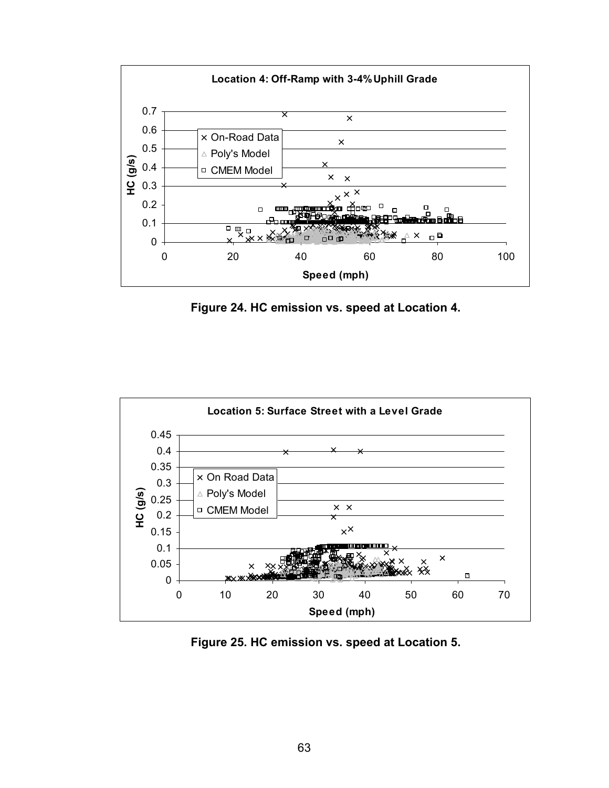

**Figure 24. HC emission vs. speed at Location 4.** 



**Figure 25. HC emission vs. speed at Location 5.**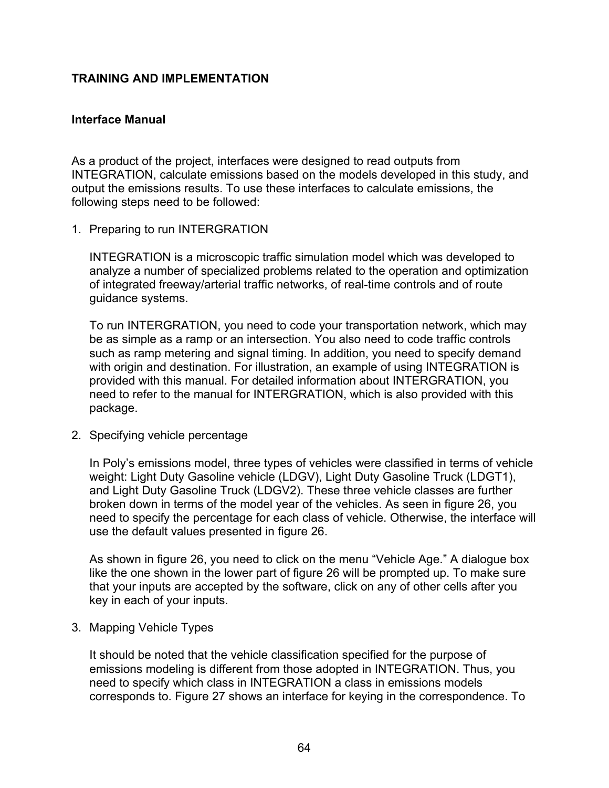### **TRAINING AND IMPLEMENTATION**

### **Interface Manual**

As a product of the project, interfaces were designed to read outputs from INTEGRATION, calculate emissions based on the models developed in this study, and output the emissions results. To use these interfaces to calculate emissions, the following steps need to be followed:

1. Preparing to run INTERGRATION

INTEGRATION is a microscopic traffic simulation model which was developed to analyze a number of specialized problems related to the operation and optimization of integrated freeway/arterial traffic networks, of real-time controls and of route guidance systems.

To run INTERGRATION, you need to code your transportation network, which may be as simple as a ramp or an intersection. You also need to code traffic controls such as ramp metering and signal timing. In addition, you need to specify demand with origin and destination. For illustration, an example of using INTEGRATION is provided with this manual. For detailed information about INTERGRATION, you need to refer to the manual for INTERGRATION, which is also provided with this package.

2. Specifying vehicle percentage

In Poly's emissions model, three types of vehicles were classified in terms of vehicle weight: Light Duty Gasoline vehicle (LDGV), Light Duty Gasoline Truck (LDGT1), and Light Duty Gasoline Truck (LDGV2). These three vehicle classes are further broken down in terms of the model year of the vehicles. As seen in figure 26, you need to specify the percentage for each class of vehicle. Otherwise, the interface will use the default values presented in figure 26.

As shown in figure 26, you need to click on the menu "Vehicle Age." A dialogue box like the one shown in the lower part of figure 26 will be prompted up. To make sure that your inputs are accepted by the software, click on any of other cells after you key in each of your inputs.

3. Mapping Vehicle Types

It should be noted that the vehicle classification specified for the purpose of emissions modeling is different from those adopted in INTEGRATION. Thus, you need to specify which class in INTEGRATION a class in emissions models corresponds to. Figure 27 shows an interface for keying in the correspondence. To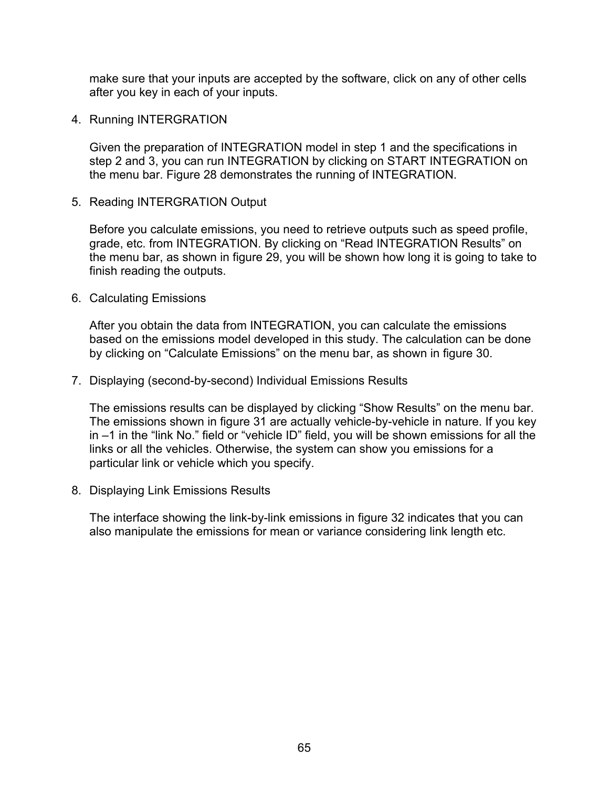make sure that your inputs are accepted by the software, click on any of other cells after you key in each of your inputs.

4. Running INTERGRATION

Given the preparation of INTEGRATION model in step 1 and the specifications in step 2 and 3, you can run INTEGRATION by clicking on START INTEGRATION on the menu bar. Figure 28 demonstrates the running of INTEGRATION.

5. Reading INTERGRATION Output

Before you calculate emissions, you need to retrieve outputs such as speed profile, grade, etc. from INTEGRATION. By clicking on "Read INTEGRATION Results" on the menu bar, as shown in figure 29, you will be shown how long it is going to take to finish reading the outputs.

6. Calculating Emissions

After you obtain the data from INTEGRATION, you can calculate the emissions based on the emissions model developed in this study. The calculation can be done by clicking on "Calculate Emissions" on the menu bar, as shown in figure 30.

7. Displaying (second-by-second) Individual Emissions Results

The emissions results can be displayed by clicking "Show Results" on the menu bar. The emissions shown in figure 31 are actually vehicle-by-vehicle in nature. If you key in –1 in the "link No." field or "vehicle ID" field, you will be shown emissions for all the links or all the vehicles. Otherwise, the system can show you emissions for a particular link or vehicle which you specify.

8. Displaying Link Emissions Results

The interface showing the link-by-link emissions in figure 32 indicates that you can also manipulate the emissions for mean or variance considering link length etc.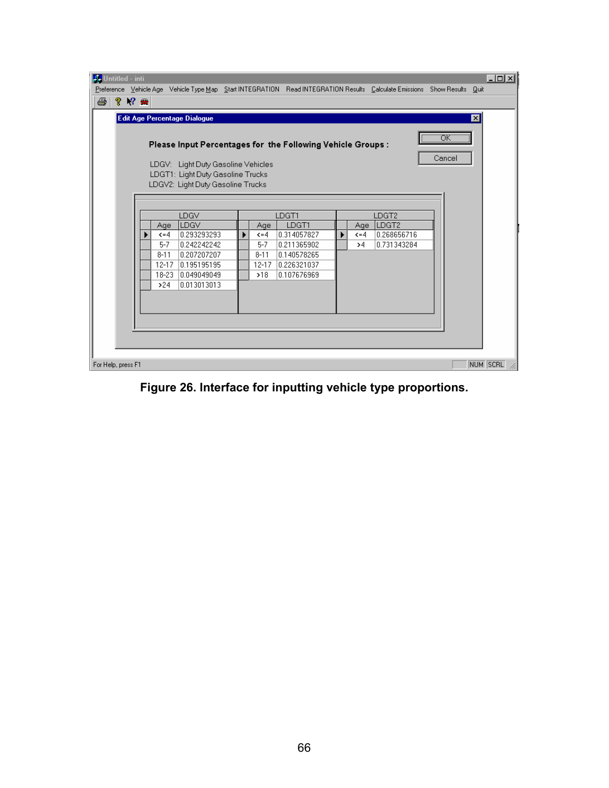| <b>A.</b> Untitled - inti<br>Preference Vehicle Age Vehicle Type Map Start INTEGRATION Read INTEGRATION Results Calculate Emissions Show Results Quit                                                                                                                                                                                                                                                                                            | I |
|--------------------------------------------------------------------------------------------------------------------------------------------------------------------------------------------------------------------------------------------------------------------------------------------------------------------------------------------------------------------------------------------------------------------------------------------------|---|
| $\gamma \sim \blacksquare$<br>4                                                                                                                                                                                                                                                                                                                                                                                                                  |   |
| $\mathbf{x}$<br>Edit Age Percentage Dialogue                                                                                                                                                                                                                                                                                                                                                                                                     |   |
| öΚ<br>Please Input Percentages for the Following Vehicle Groups:<br>Cancel<br>LDGV: Light Duty Gasoline Vehicles<br>LDGT1: Light Duty Gasoline Trucks<br>LDGV2: Light Duty Gasoline Trucks                                                                                                                                                                                                                                                       |   |
| LDGV<br>LDGT1<br>LDGT <sub>2</sub><br>LDGV<br>LDGT1<br>LDGT <sub>2</sub><br>Age<br>Age<br>Age<br>0.293293293<br>0.268656716<br>0.314057827<br>$\xi = 4$<br>$\xi = 4$<br>$\xi = 4$<br>0.731343284<br>$5 - 7$<br>0.242242242<br>$5 - 7$<br>0.211365902<br>>4<br>$8 - 11$<br>0.207207207<br>$8 - 11$<br>0.140578265<br>0.195195195<br>$12 - 17$<br>0.226321037<br>$12 - 17$<br>0.049049049<br>0.107676969<br>$18 - 23$<br>>18<br>0.013013013<br>>24 |   |
| NUM SCRL<br>For Help, press F1                                                                                                                                                                                                                                                                                                                                                                                                                   |   |

**Figure 26. Interface for inputting vehicle type proportions.**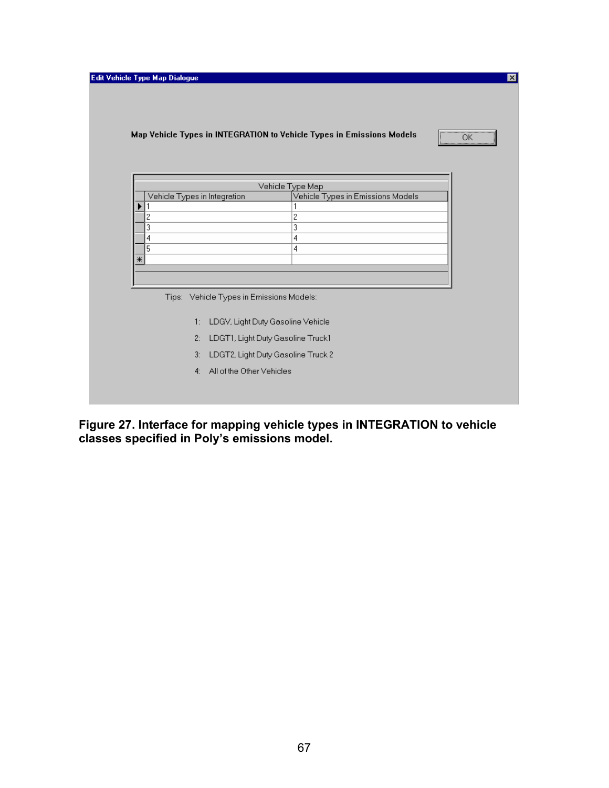|             |    |                                          |                                    | Map Vehicle Types in INTEGRATION to Vehicle Types in Emissions Models |
|-------------|----|------------------------------------------|------------------------------------|-----------------------------------------------------------------------|
|             |    |                                          |                                    |                                                                       |
|             |    |                                          | Vehicle Type Map                   |                                                                       |
|             |    | Vehicle Types in Integration             | Vehicle Types in Emissions Models  |                                                                       |
| 2           |    |                                          | $\overline{c}$                     |                                                                       |
| 3           |    |                                          | 3                                  |                                                                       |
| 4           |    |                                          | 4                                  |                                                                       |
| 5<br>$\ast$ |    |                                          | 4                                  |                                                                       |
|             |    |                                          |                                    |                                                                       |
|             |    |                                          |                                    |                                                                       |
|             |    | Tips: Vehicle Types in Emissions Models: |                                    |                                                                       |
|             | 1: |                                          | LDGV, Light Duty Gasoline Vehicle  |                                                                       |
|             |    |                                          |                                    |                                                                       |
|             | 2: |                                          | LDGT1, Light Duty Gasoline Truck1  |                                                                       |
|             | 3: |                                          | LDGT2, Light Duty Gasoline Truck 2 |                                                                       |
|             | 4: | All of the Other Vehicles                |                                    |                                                                       |

**Figure 27. Interface for mapping vehicle types in INTEGRATION to vehicle classes specified in Poly's emissions model.**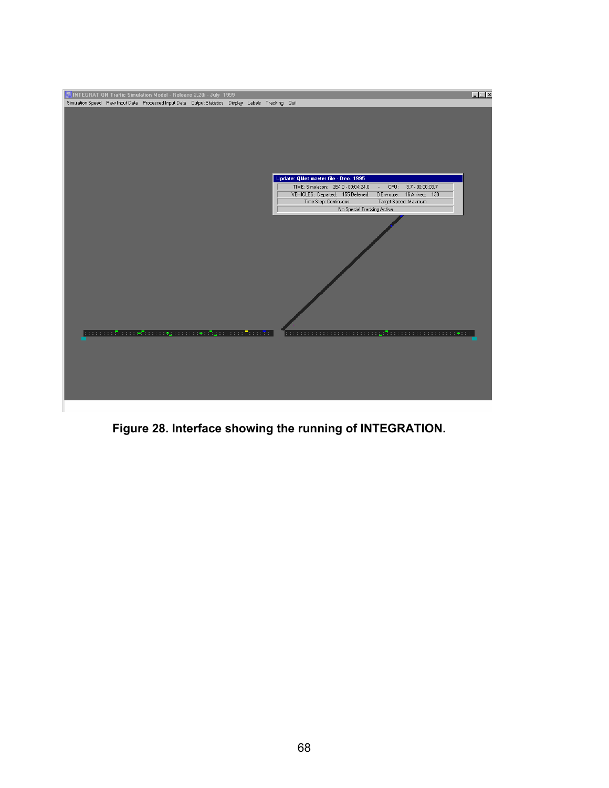

**Figure 28. Interface showing the running of INTEGRATION.**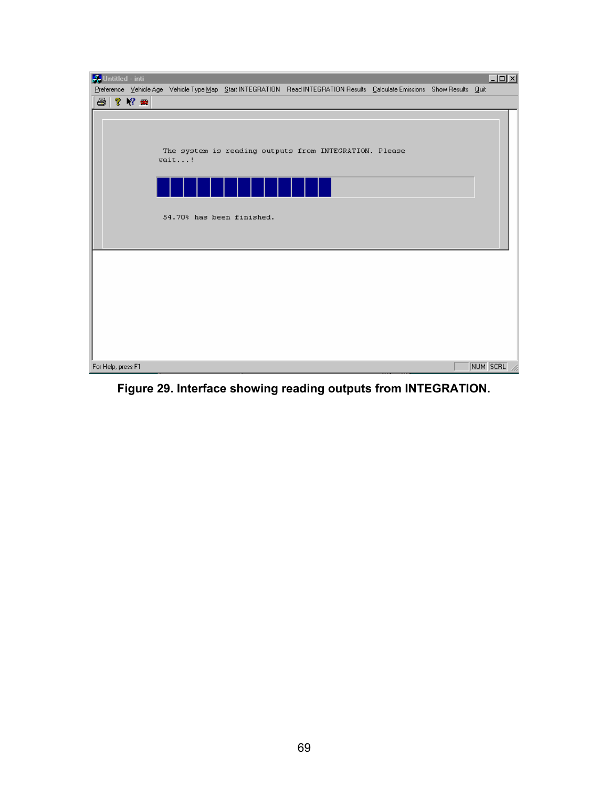

**Figure 29. Interface showing reading outputs from INTEGRATION.**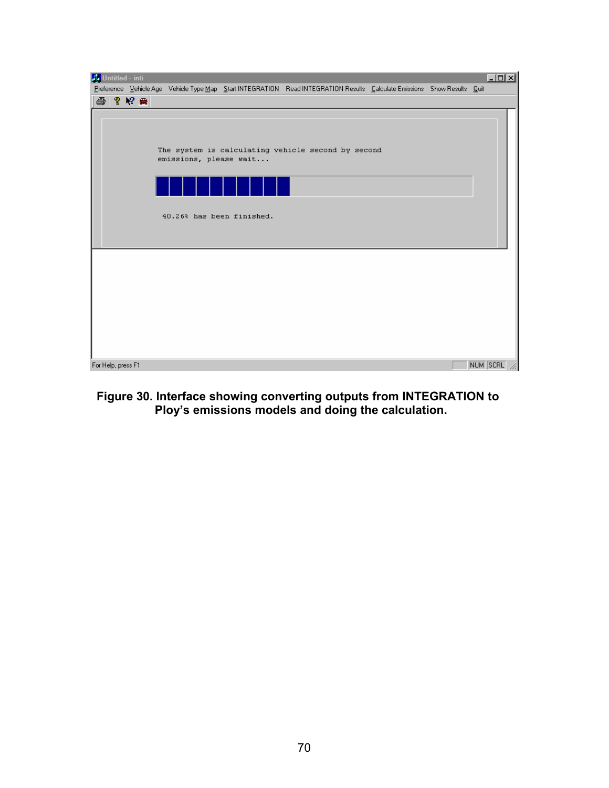

# **Figure 30. Interface showing converting outputs from INTEGRATION to Ploy's emissions models and doing the calculation.**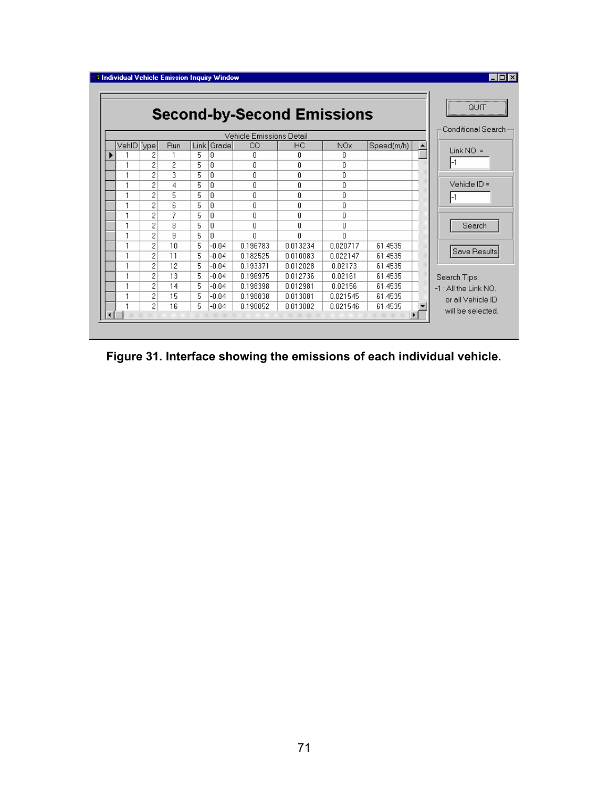|           |                    |     |      |          |          | <b>Second-by-Second Emissions</b> |                 |            | QUIT                  |
|-----------|--------------------|-----|------|----------|----------|-----------------------------------|-----------------|------------|-----------------------|
|           | Conditional Search |     |      |          |          |                                   |                 |            |                       |
| VehID ype |                    | Run | Link | Grade    | CO.      | НC                                | NO <sub>x</sub> | Speed(m/h) | Link $NO =$           |
|           | 2                  |     | 5    | 0        | 0        | 0                                 | 0               |            |                       |
|           | 2                  | 2   | 5    | n        | $\Omega$ | 0                                 | 0               |            | -1                    |
|           | 2                  | 3   | 5    | n        | n        | 0                                 | 0               |            |                       |
|           | 2                  | 4   | 5    | 0        | n        | $\Omega$                          | 0               |            | Vehicle ID =          |
|           | 2                  | 5   | 5    | $\theta$ | n        | 0                                 | 0               |            | -1                    |
|           | 2                  | 6   | 5    | 0        | 0        | 0                                 | 0               |            |                       |
|           | 2                  | 7   | 5    | 0        | f.       | 0                                 | 0               |            |                       |
|           | 2                  | 8   | 5    | 0        | n.       | 0                                 | 0               |            | Search                |
|           | 2                  | 9   | 5    | n        | $\Omega$ | n                                 | n               |            |                       |
|           | $\overline{c}$     | 10  | 5    | -0.04    | 0.196783 | 0.013234                          | 0.020717        | 61.4535    |                       |
|           | 2                  | 11  | 5    | $-0.04$  | 0.182525 | 0.010083                          | 0.022147        | 61.4535    | Save Results          |
|           | 2                  | 12  | 5    | $-0.04$  | 0.193371 | 0.012028                          | 0.02173         | 61.4535    |                       |
|           | 2                  | 13  | 5    | -0.04    | 0.196975 | 0.012736                          | 0.02161         | 61.4535    | Search Tips:          |
|           | 2                  | 14  | 5    | -0.04    | 0.198398 | 0.012981                          | 0.02156         | 61.4535    | -1 : All the Link NO. |
|           | 2                  | 15  | 5    | -0.04    | 0.198838 | 0.013081                          | 0.021545        | 61.4535    | or all Vehicle ID     |
|           | 2                  | 16  | 5    | -0.04    | 0.198852 | 0.013082                          | 0.021546        | 61.4535    | will be selected.     |

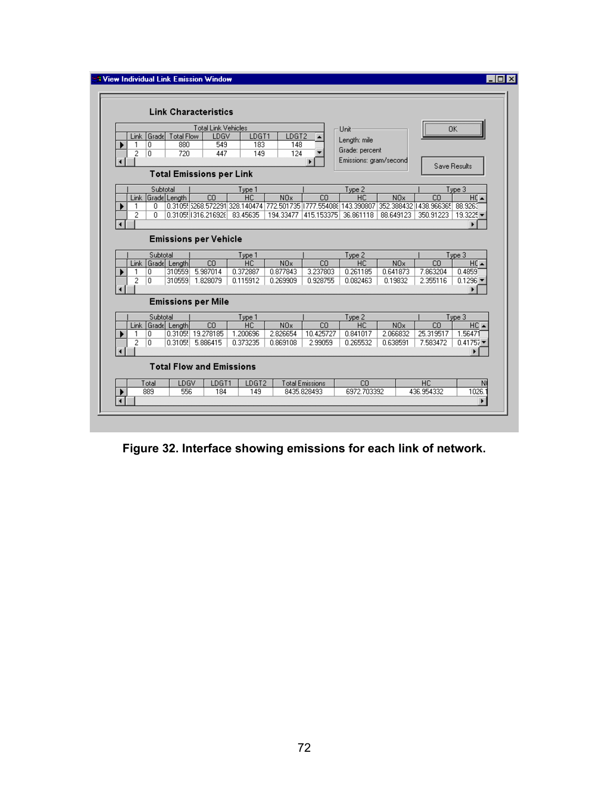|                                                 |                |            |                   | <b>Link Characteristics</b>     |                     |                  |                        |                        |                  |                                                                                                            |                  |  |
|-------------------------------------------------|----------------|------------|-------------------|---------------------------------|---------------------|------------------|------------------------|------------------------|------------------|------------------------------------------------------------------------------------------------------------|------------------|--|
|                                                 |                |            |                   | <b>Total Link Vehicles</b>      |                     |                  |                        |                        |                  |                                                                                                            |                  |  |
|                                                 |                | Link Grade | Total Flow        | LDGV                            | LDGT1               | LDGT2            |                        | Unit                   |                  |                                                                                                            | OK.              |  |
|                                                 |                | 0          | 880               | 549                             | 183                 | 148              |                        | Length: mile           |                  |                                                                                                            |                  |  |
|                                                 | 2              | ۱o         | 720               | 447                             | 149                 | 124              |                        | Grade: percent         |                  |                                                                                                            |                  |  |
|                                                 |                |            |                   |                                 |                     |                  |                        | Emissions: gram/second |                  |                                                                                                            |                  |  |
| Save Results<br><b>Total Emissions per Link</b> |                |            |                   |                                 |                     |                  |                        |                        |                  |                                                                                                            |                  |  |
|                                                 |                | Subtotal   |                   |                                 | Type 1              |                  |                        | Type 2                 |                  |                                                                                                            | Type 3           |  |
|                                                 |                |            | Link Grade Length | CO                              | HC                  | N <sub>O</sub> x | CO                     | <b>HC</b>              | N <sub>O</sub> x | CO                                                                                                         | HC 4             |  |
|                                                 | 1              | 0.         |                   |                                 |                     |                  |                        |                        |                  | 0.3105(5268.572291)328.140474   772.501735   1777.554086   143.390807   352.388432   1438.966365   88.9263 |                  |  |
|                                                 | 2              | 0.         |                   | 0.3105 1316.216928 83.45635     |                     | 194.33477        | 415.153375 36.861118   |                        | 88.649123        | 350.91223                                                                                                  | 19.3225          |  |
| $\blacktriangleleft$                            |                |            |                   |                                 |                     |                  |                        |                        |                  |                                                                                                            | ٠                |  |
| <b>Emissions per Vehicle</b><br>Subtotal        |                |            |                   |                                 |                     |                  |                        |                        |                  |                                                                                                            |                  |  |
|                                                 |                |            |                   |                                 |                     |                  |                        |                        |                  |                                                                                                            | Type 3           |  |
|                                                 |                |            | Link Grade Length | CO                              | Type 1<br><b>HC</b> | N <sub>O</sub> x | CO                     | Type 2<br><b>HC</b>    | <b>NOx</b>       | CO                                                                                                         | $HC \rightarrow$ |  |
|                                                 | 1              | 0          | 310559            | 5.987014                        | 0.372887            | 0.877843         | 3.237803               | 0.261185               | 0.641873         | 7.863204                                                                                                   | 0.4859           |  |
|                                                 | $\overline{2}$ | o          | 310559            | 1.828079                        | 0.115912            | 0.269909         | 0.928755               | 0.082463               | 0.19832          | 2.355116                                                                                                   | 0.1296           |  |
|                                                 |                |            |                   |                                 |                     |                  |                        |                        |                  |                                                                                                            |                  |  |
|                                                 |                |            |                   | <b>Emissions per Mile</b>       |                     |                  |                        |                        |                  |                                                                                                            |                  |  |
|                                                 |                | Subtotal   |                   |                                 |                     |                  |                        |                        |                  |                                                                                                            |                  |  |
|                                                 | <b>Link</b>    |            | Grade Length      | CO                              | Type 1<br>HC.       | N <sub>O</sub> x | CO.                    | Type 2<br>НC           | N <sub>O</sub> x | CO                                                                                                         | Type 3<br>HC A   |  |
|                                                 | 1              | 0          |                   | 0.3105! 19.278185               | 1.200696            | 2.826654         | 10.425727              | 0.841017               | 2.066832         | 25.319517                                                                                                  | 1.56471          |  |
|                                                 | $\overline{c}$ | 0          |                   | 0.3105. 5.886415                | 0.373235            | 0.869108         | 2.99059                | 0.265532               | 0.638591         | 7.583472                                                                                                   | 0.41757          |  |
|                                                 |                |            |                   |                                 |                     |                  |                        |                        |                  |                                                                                                            |                  |  |
|                                                 |                |            |                   | <b>Total Flow and Emissions</b> |                     |                  |                        |                        |                  |                                                                                                            |                  |  |
|                                                 |                | Total      | LDGV              | LDGT1                           | LDGT2               |                  | <b>Total Emissions</b> | C <sub>0</sub>         |                  | HC                                                                                                         |                  |  |

**Figure 32. Interface showing emissions for each link of network.**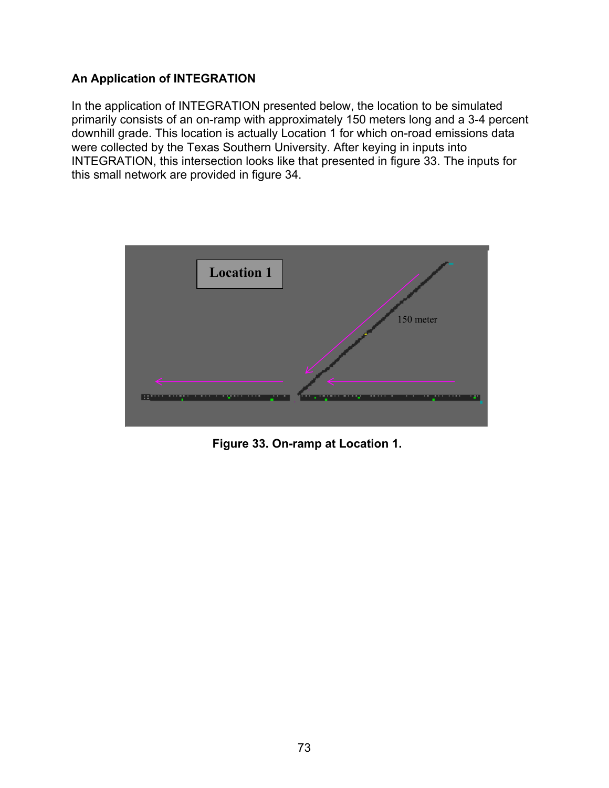## **An Application of INTEGRATION**

In the application of INTEGRATION presented below, the location to be simulated primarily consists of an on-ramp with approximately 150 meters long and a 3-4 percent downhill grade. This location is actually Location 1 for which on-road emissions data were collected by the Texas Southern University. After keying in inputs into INTEGRATION, this intersection looks like that presented in figure 33. The inputs for this small network are provided in figure 34.



**Figure 33. On-ramp at Location 1.**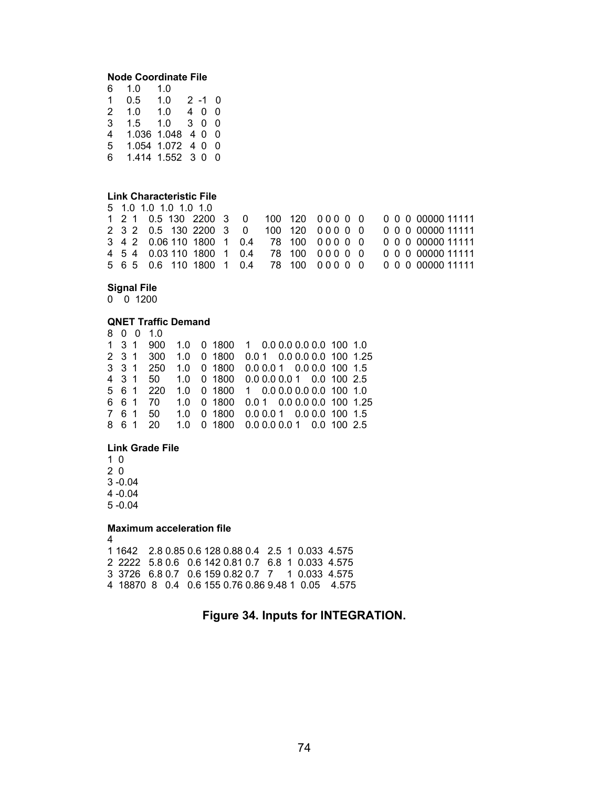### **Node Coordinate File**

| 6 | 1.0           | 1.0             |    |      |     |
|---|---------------|-----------------|----|------|-----|
| 1 | 0.5           | 1.0             |    | 2 -1 | 0   |
| 2 | 1.0           | 1.0             | 40 |      | 0   |
| 3 | $1.5^{\circ}$ | 1.0             |    | 300  |     |
| 4 |               | 1.036 1.048     |    | 40   | - 0 |
| 5 |               | 1.054 1.072 4 0 |    |      | 0   |
| 6 |               | 1.414 1.552 3 0 |    |      | 0   |

### **Link Characteristic File**

|  | 5 1.0 1.0 1.0 1.0 1.0                      |  |  |  |                                                           |
|--|--------------------------------------------|--|--|--|-----------------------------------------------------------|
|  |                                            |  |  |  | 1 2 1 0.5 130 2200 3 0 100 120 000 0 0 0 0 0 0 0000 11111 |
|  | 2 3 2 0.5 130 2200 3 0 100 120 000 0 0     |  |  |  | 0 0 0 00000 11111                                         |
|  | 3 4 2 0.06 110 1800 1 0.4 78 100 0 0 0 0 0 |  |  |  | 0 0 0 00000 11111                                         |
|  | 4 5 4 0.03 110 1800 1 0.4 78 100 0 0 0 0 0 |  |  |  | 0 0 0 00000 11111                                         |
|  |                                            |  |  |  | 5 6 5 0.6 110 1800 1 0.4 78 100 000 0 0 0 0 0 00000 11111 |

### **Signal File**

 $0$  0 1200

### **QNET Traffic Demand**

|       |     | 8 0 0 1.0 |  |                                      |  |  |                           |                             |
|-------|-----|-----------|--|--------------------------------------|--|--|---------------------------|-----------------------------|
| 1 3 1 |     | 900       |  | 1.0 0 1800 1 0.0 0.0 0.0 0.0 100 1.0 |  |  |                           |                             |
|       |     | 2 3 1 300 |  | 1.0 0 1800                           |  |  |                           | $0.01$ 0.0 0.0 0.0 100 1.25 |
|       |     | 3 3 1 250 |  | 1.0 0 1800                           |  |  | $0.0001$ 0.0 0.0 100 1.5  |                             |
|       |     | 4 3 1 50  |  | 1.0 0 1800 0.0 0.0 0.0 1 0.0 100 2.5 |  |  |                           |                             |
|       |     | 5 6 1 220 |  | 1.0 0 1800 1 0.0 0.0 0.0 0.0 100 1.0 |  |  |                           |                             |
|       |     | 6 6 1 70  |  | 1.0 0 1800                           |  |  |                           | $0.01$ 0.0 0.0 0.0 100 1.25 |
|       |     | 7 6 1 50  |  | 1.0 0 1800                           |  |  | $0.00.01$ 0.0 0.0 100 1.5 |                             |
|       | 861 | 20        |  | 1.0 0 1800 0.0 0.0 0.0 1 0.0 100 2.5 |  |  |                           |                             |

### **Link Grade File**

5 -0.04

### **Maximum acceleration file**

4 1 1642 2.8 0.85 0.6 128 0.88 0.4 2.5 1 0.033 4.575 2 2222 5.8 0.6 0.6 142 0.81 0.7 6.8 1 0.033 4.575 3 3726 6.8 0.7 0.6 159 0.82 0.7 7 1 0.033 4.575 4 18870 8 0.4 0.6 155 0.76 0.86 9.48 1 0.05 4.575

# **Figure 34. Inputs for INTEGRATION.**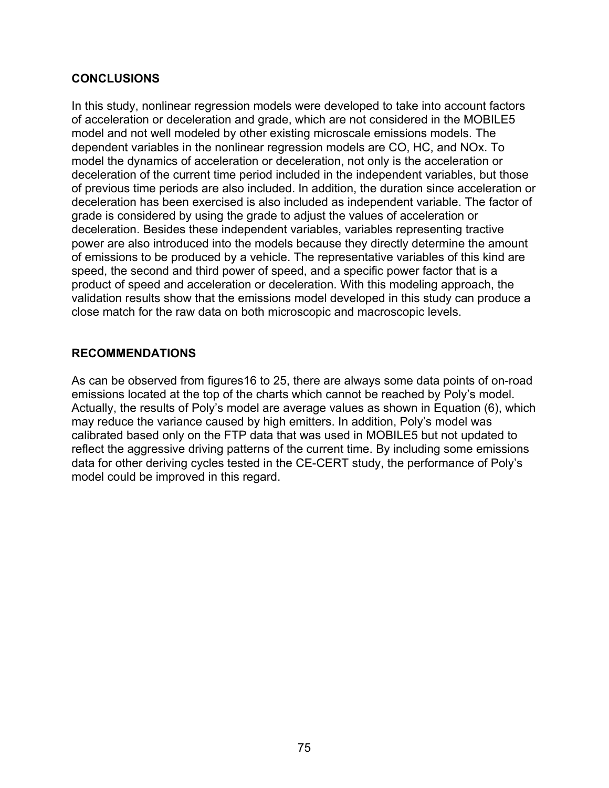## **CONCLUSIONS**

In this study, nonlinear regression models were developed to take into account factors of acceleration or deceleration and grade, which are not considered in the MOBILE5 model and not well modeled by other existing microscale emissions models. The dependent variables in the nonlinear regression models are CO, HC, and NOx. To model the dynamics of acceleration or deceleration, not only is the acceleration or deceleration of the current time period included in the independent variables, but those of previous time periods are also included. In addition, the duration since acceleration or deceleration has been exercised is also included as independent variable. The factor of grade is considered by using the grade to adjust the values of acceleration or deceleration. Besides these independent variables, variables representing tractive power are also introduced into the models because they directly determine the amount of emissions to be produced by a vehicle. The representative variables of this kind are speed, the second and third power of speed, and a specific power factor that is a product of speed and acceleration or deceleration. With this modeling approach, the validation results show that the emissions model developed in this study can produce a close match for the raw data on both microscopic and macroscopic levels.

## **RECOMMENDATIONS**

As can be observed from figures16 to 25, there are always some data points of on-road emissions located at the top of the charts which cannot be reached by Poly's model. Actually, the results of Poly's model are average values as shown in Equation (6), which may reduce the variance caused by high emitters. In addition, Poly's model was calibrated based only on the FTP data that was used in MOBILE5 but not updated to reflect the aggressive driving patterns of the current time. By including some emissions data for other deriving cycles tested in the CE-CERT study, the performance of Poly's model could be improved in this regard.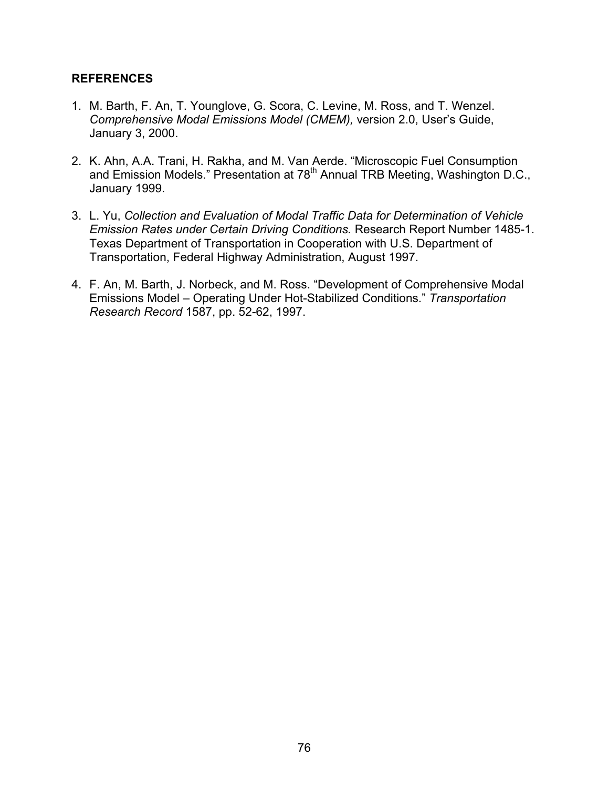### **REFERENCES**

- 1. M. Barth, F. An, T. Younglove, G. Scora, C. Levine, M. Ross, and T. Wenzel. *Comprehensive Modal Emissions Model (CMEM),* version 2.0, User's Guide, January 3, 2000.
- 2. K. Ahn, A.A. Trani, H. Rakha, and M. Van Aerde. "Microscopic Fuel Consumption and Emission Models." Presentation at 78<sup>th</sup> Annual TRB Meeting, Washington D.C., January 1999.
- 3. L. Yu, *Collection and Evaluation of Modal Traffic Data for Determination of Vehicle Emission Rates under Certain Driving Conditions.* Research Report Number 1485-1. Texas Department of Transportation in Cooperation with U.S. Department of Transportation, Federal Highway Administration, August 1997.
- 4. F. An, M. Barth, J. Norbeck, and M. Ross. "Development of Comprehensive Modal Emissions Model – Operating Under Hot-Stabilized Conditions." *Transportation Research Record* 1587, pp. 52-62, 1997.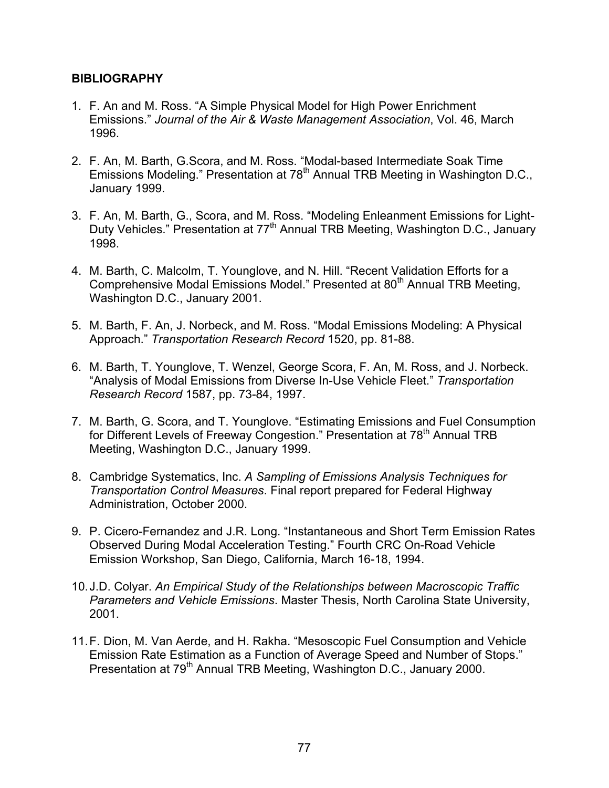### **BIBLIOGRAPHY**

- 1. F. An and M. Ross. "A Simple Physical Model for High Power Enrichment Emissions." *Journal of the Air & Waste Management Association*, Vol. 46, March 1996.
- 2. F. An, M. Barth, G.Scora, and M. Ross. "Modal-based Intermediate Soak Time Emissions Modeling." Presentation at 78<sup>th</sup> Annual TRB Meeting in Washington D.C., January 1999.
- 3. F. An, M. Barth, G., Scora, and M. Ross. "Modeling Enleanment Emissions for Light-Duty Vehicles." Presentation at 77<sup>th</sup> Annual TRB Meeting, Washington D.C., January 1998.
- 4. M. Barth, C. Malcolm, T. Younglove, and N. Hill. "Recent Validation Efforts for a Comprehensive Modal Emissions Model." Presented at 80<sup>th</sup> Annual TRB Meeting, Washington D.C., January 2001.
- 5. M. Barth, F. An, J. Norbeck, and M. Ross. "Modal Emissions Modeling: A Physical Approach." *Transportation Research Record* 1520, pp. 81-88.
- 6. M. Barth, T. Younglove, T. Wenzel, George Scora, F. An, M. Ross, and J. Norbeck. "Analysis of Modal Emissions from Diverse In-Use Vehicle Fleet." *Transportation Research Record* 1587, pp. 73-84, 1997.
- 7. M. Barth, G. Scora, and T. Younglove. "Estimating Emissions and Fuel Consumption for Different Levels of Freeway Congestion." Presentation at 78<sup>th</sup> Annual TRB Meeting, Washington D.C., January 1999.
- 8. Cambridge Systematics, Inc. *A Sampling of Emissions Analysis Techniques for Transportation Control Measures*. Final report prepared for Federal Highway Administration, October 2000.
- 9. P. Cicero-Fernandez and J.R. Long. "Instantaneous and Short Term Emission Rates Observed During Modal Acceleration Testing." Fourth CRC On-Road Vehicle Emission Workshop, San Diego, California, March 16-18, 1994.
- 10. J.D. Colyar. *An Empirical Study of the Relationships between Macroscopic Traffic Parameters and Vehicle Emissions*. Master Thesis, North Carolina State University, 2001.
- 11. F. Dion, M. Van Aerde, and H. Rakha. "Mesoscopic Fuel Consumption and Vehicle Emission Rate Estimation as a Function of Average Speed and Number of Stops." Presentation at 79<sup>th</sup> Annual TRB Meeting, Washington D.C., January 2000.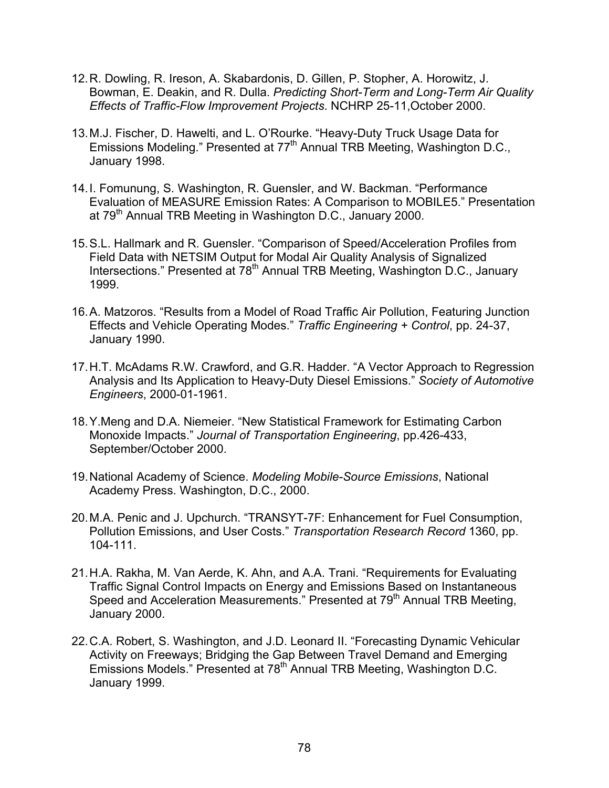- 12. R. Dowling, R. Ireson, A. Skabardonis, D. Gillen, P. Stopher, A. Horowitz, J. Bowman, E. Deakin, and R. Dulla. *Predicting Short-Term and Long-Term Air Quality Effects of Traffic-Flow Improvement Projects*. NCHRP 25-11,October 2000.
- 13. M.J. Fischer, D. Hawelti, and L. O'Rourke. "Heavy-Duty Truck Usage Data for Emissions Modeling." Presented at 77<sup>th</sup> Annual TRB Meeting, Washington D.C., January 1998.
- 14. I. Fomunung, S. Washington, R. Guensler, and W. Backman. "Performance Evaluation of MEASURE Emission Rates: A Comparison to MOBILE5." Presentation at 79<sup>th</sup> Annual TRB Meeting in Washington D.C., January 2000.
- 15. S.L. Hallmark and R. Guensler. "Comparison of Speed/Acceleration Profiles from Field Data with NETSIM Output for Modal Air Quality Analysis of Signalized Intersections." Presented at 78<sup>th</sup> Annual TRB Meeting, Washington D.C., January 1999.
- 16. A. Matzoros. "Results from a Model of Road Traffic Air Pollution, Featuring Junction Effects and Vehicle Operating Modes." *Traffic Engineering + Control*, pp. 24-37, January 1990.
- 17. H.T. McAdams R.W. Crawford, and G.R. Hadder. "A Vector Approach to Regression Analysis and Its Application to Heavy-Duty Diesel Emissions." *Society of Automotive Engineers*, 2000-01-1961.
- 18. Y.Meng and D.A. Niemeier. "New Statistical Framework for Estimating Carbon Monoxide Impacts." *Journal of Transportation Engineering*, pp.426-433, September/October 2000.
- 19. National Academy of Science. *Modeling Mobile-Source Emissions*, National Academy Press. Washington, D.C., 2000.
- 20. M.A. Penic and J. Upchurch. "TRANSYT-7F: Enhancement for Fuel Consumption, Pollution Emissions, and User Costs." *Transportation Research Record* 1360, pp. 104-111.
- 21. H.A. Rakha, M. Van Aerde, K. Ahn, and A.A. Trani. "Requirements for Evaluating Traffic Signal Control Impacts on Energy and Emissions Based on Instantaneous Speed and Acceleration Measurements." Presented at 79<sup>th</sup> Annual TRB Meeting, January 2000.
- 22. C.A. Robert, S. Washington, and J.D. Leonard II. "Forecasting Dynamic Vehicular Activity on Freeways; Bridging the Gap Between Travel Demand and Emerging Emissions Models." Presented at 78<sup>th</sup> Annual TRB Meeting, Washington D.C. January 1999.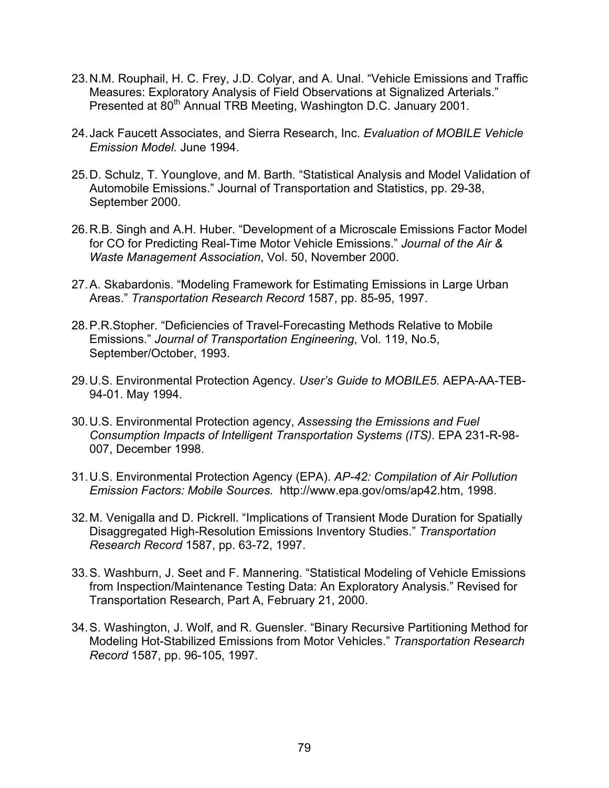- 23. N.M. Rouphail, H. C. Frey, J.D. Colyar, and A. Unal. "Vehicle Emissions and Traffic Measures: Exploratory Analysis of Field Observations at Signalized Arterials." Presented at 80<sup>th</sup> Annual TRB Meeting, Washington D.C. January 2001.
- 24. Jack Faucett Associates, and Sierra Research, Inc. *Evaluation of MOBILE Vehicle Emission Model.* June 1994.
- 25. D. Schulz, T. Younglove, and M. Barth. "Statistical Analysis and Model Validation of Automobile Emissions." Journal of Transportation and Statistics, pp. 29-38, September 2000.
- 26. R.B. Singh and A.H. Huber. "Development of a Microscale Emissions Factor Model for CO for Predicting Real-Time Motor Vehicle Emissions." *Journal of the Air & Waste Management Association*, Vol. 50, November 2000.
- 27. A. Skabardonis. "Modeling Framework for Estimating Emissions in Large Urban Areas." *Transportation Research Record* 1587, pp. 85-95, 1997.
- 28. P.R.Stopher. "Deficiencies of Travel-Forecasting Methods Relative to Mobile Emissions." *Journal of Transportation Engineering*, Vol. 119, No.5, September/October, 1993.
- 29. U.S. Environmental Protection Agency. *User's Guide to MOBILE5.* AEPA-AA-TEB-94-01. May 1994.
- 30. U.S. Environmental Protection agency, *Assessing the Emissions and Fuel Consumption Impacts of Intelligent Transportation Systems (ITS).* EPA 231-R-98- 007, December 1998.
- 31. U.S. Environmental Protection Agency (EPA). *AP-42: Compilation of Air Pollution Emission Factors: Mobile Sources.* http://www.epa.gov/oms/ap42.htm, 1998.
- 32. M. Venigalla and D. Pickrell. "Implications of Transient Mode Duration for Spatially Disaggregated High-Resolution Emissions Inventory Studies." *Transportation Research Record* 1587, pp. 63-72, 1997.
- 33. S. Washburn, J. Seet and F. Mannering. "Statistical Modeling of Vehicle Emissions from Inspection/Maintenance Testing Data: An Exploratory Analysis." Revised for Transportation Research, Part A, February 21, 2000.
- 34. S. Washington, J. Wolf, and R. Guensler. "Binary Recursive Partitioning Method for Modeling Hot-Stabilized Emissions from Motor Vehicles." *Transportation Research Record* 1587, pp. 96-105, 1997.